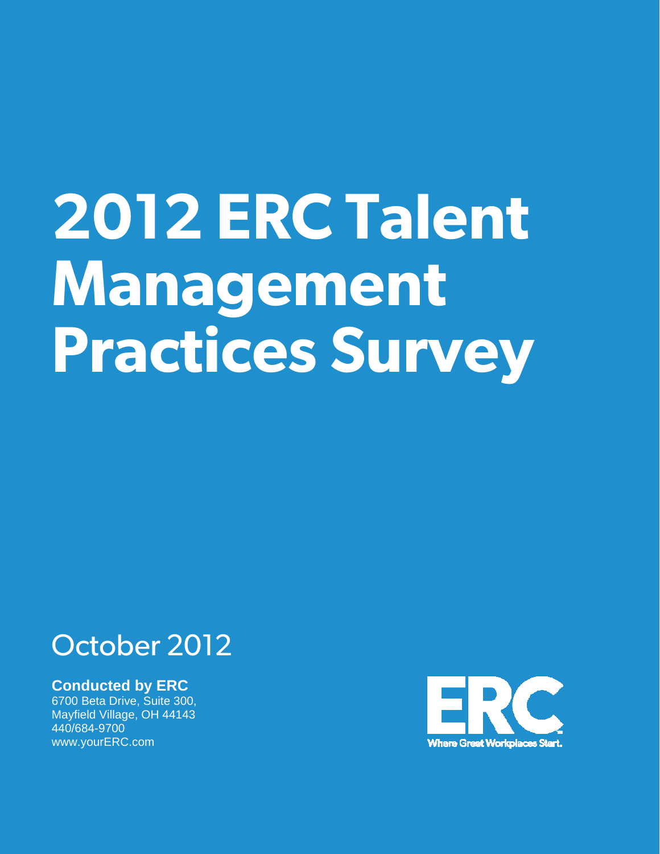# **2012 ERC Talent Management Practices Survey**

# October 2012

# **Conducted by ERC**

6700 Beta Drive, Suite 300, Mayfield Village, OH 44143 440/684-9700 www.yourERC.com

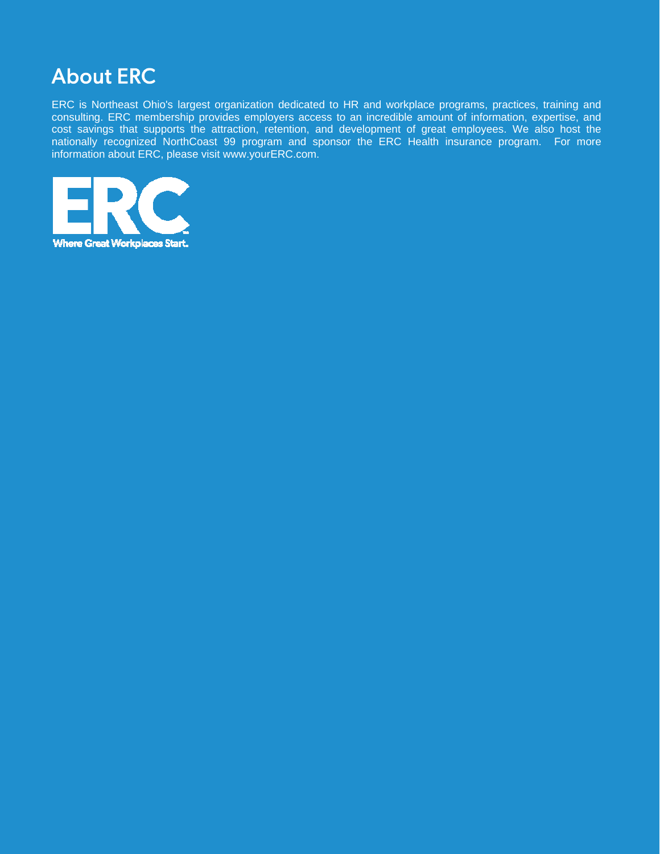

ERC is Northeast Ohio's largest organization dedicated to HR and workplace programs, practices, training and consulting. ERC membership provides employers access to an incredible amount of information, expertise, and cost savings that supports the attraction, retention, and development of great employees. We also host the nationally recognized NorthCoast 99 program and sponsor the ERC Health insurance program. For more information about ERC, please visit [www.yourERC.com.](http://www.yourerc.com/)

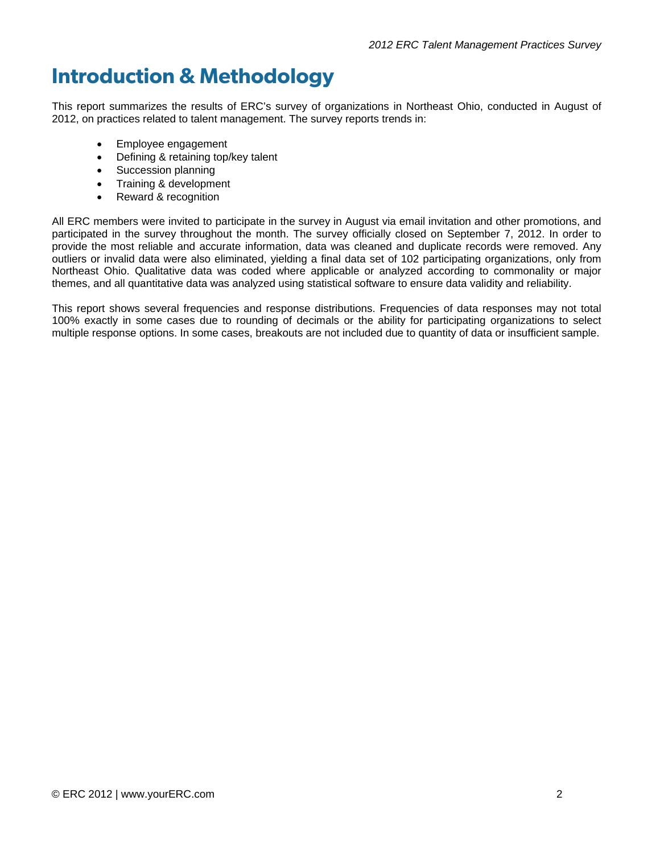# **Introduction & Methodology**

This report summarizes the results of ERC's survey of organizations in Northeast Ohio, conducted in August of 2012, on practices related to talent management. The survey reports trends in:

- Employee engagement
- Defining & retaining top/key talent
- Succession planning
- Training & development
- Reward & recognition

All ERC members were invited to participate in the survey in August via email invitation and other promotions, and participated in the survey throughout the month. The survey officially closed on September 7, 2012. In order to provide the most reliable and accurate information, data was cleaned and duplicate records were removed. Any outliers or invalid data were also eliminated, yielding a final data set of 102 participating organizations, only from Northeast Ohio. Qualitative data was coded where applicable or analyzed according to commonality or major themes, and all quantitative data was analyzed using statistical software to ensure data validity and reliability.

This report shows several frequencies and response distributions. Frequencies of data responses may not total 100% exactly in some cases due to rounding of decimals or the ability for participating organizations to select multiple response options. In some cases, breakouts are not included due to quantity of data or insufficient sample.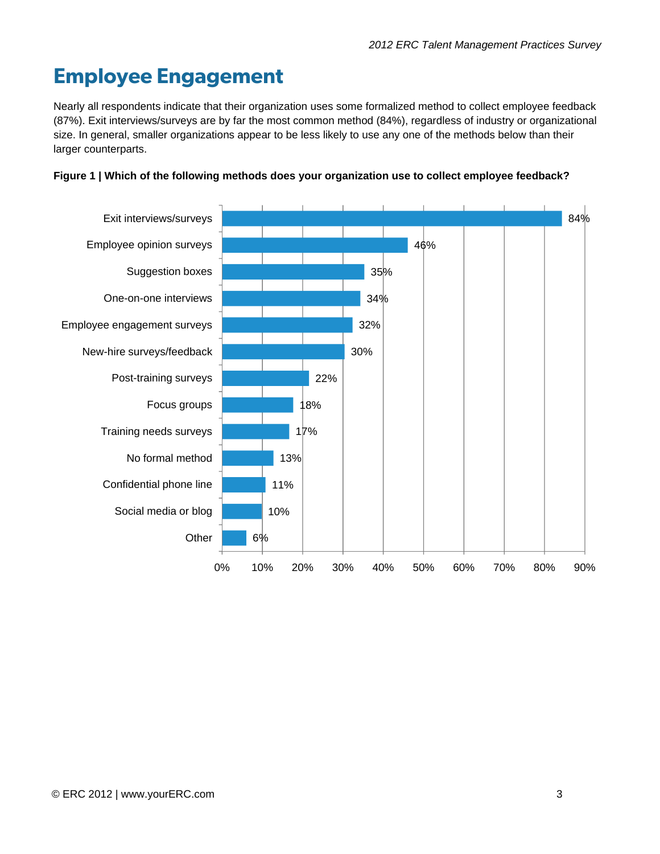# **Employee Engagement**

Nearly all respondents indicate that their organization uses some formalized method to collect employee feedback (87%). Exit interviews/surveys are by far the most common method (84%), regardless of industry or organizational size. In general, smaller organizations appear to be less likely to use any one of the methods below than their larger counterparts.



#### **Figure 1 | Which of the following methods does your organization use to collect employee feedback?**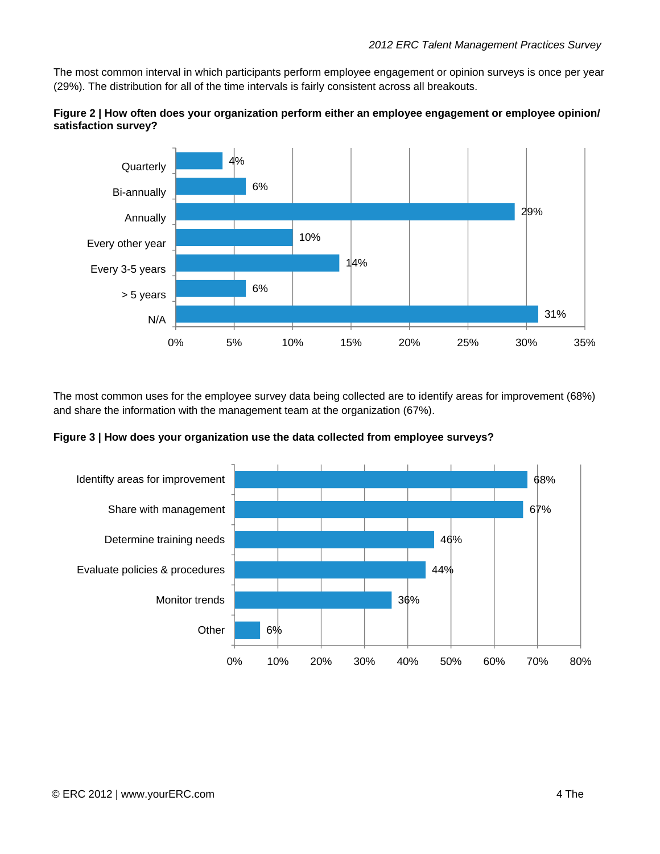The most common interval in which participants perform employee engagement or opinion surveys is once per year (29%). The distribution for all of the time intervals is fairly consistent across all breakouts.





The most common uses for the employee survey data being collected are to identify areas for improvement (68%) and share the information with the management team at the organization (67%).

**Figure 3 | How does your organization use the data collected from employee surveys?** 

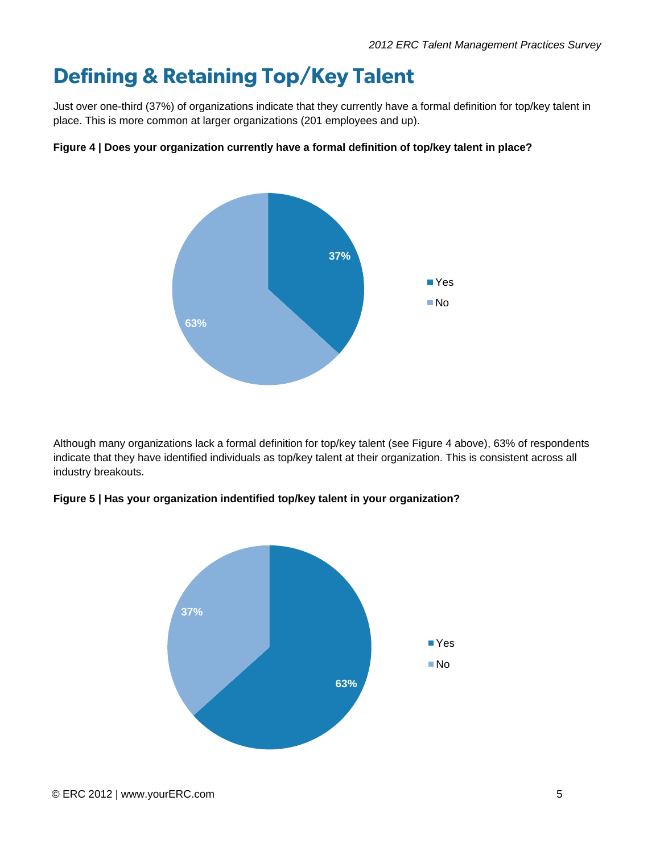# **Defining & Retaining Top/Key Talent**

Just over one-third (37%) of organizations indicate that they currently have a formal definition for top/key talent in place. This is more common at larger organizations (201 employees and up).

#### **Figure 4 | Does your organization currently have a formal definition of top/key talent in place?**



Although many organizations lack a formal definition for top/key talent (see Figure 4 above), 63% of respondents indicate that they have identified individuals as top/key talent at their organization. This is consistent across all industry breakouts.

#### **Figure 5 | Has your organization indentified top/key talent in your organization?**

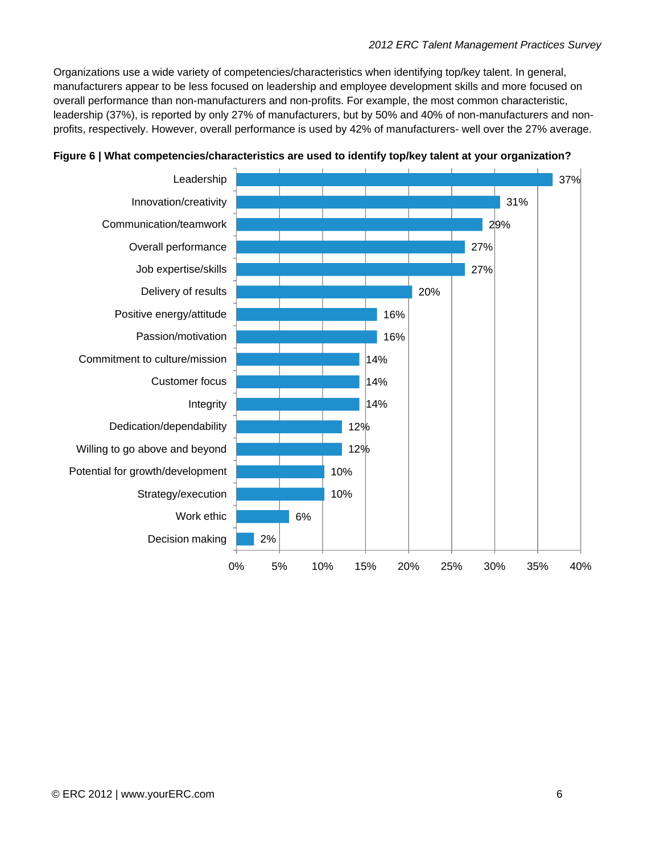Organizations use a wide variety of competencies/characteristics when identifying top/key talent. In general, manufacturers appear to be less focused on leadership and employee development skills and more focused on overall performance than non-manufacturers and non-profits. For example, the most common characteristic, leadership (37%), is reported by only 27% of manufacturers, but by 50% and 40% of non-manufacturers and nonprofits, respectively. However, overall performance is used by 42% of manufacturers- well over the 27% average.



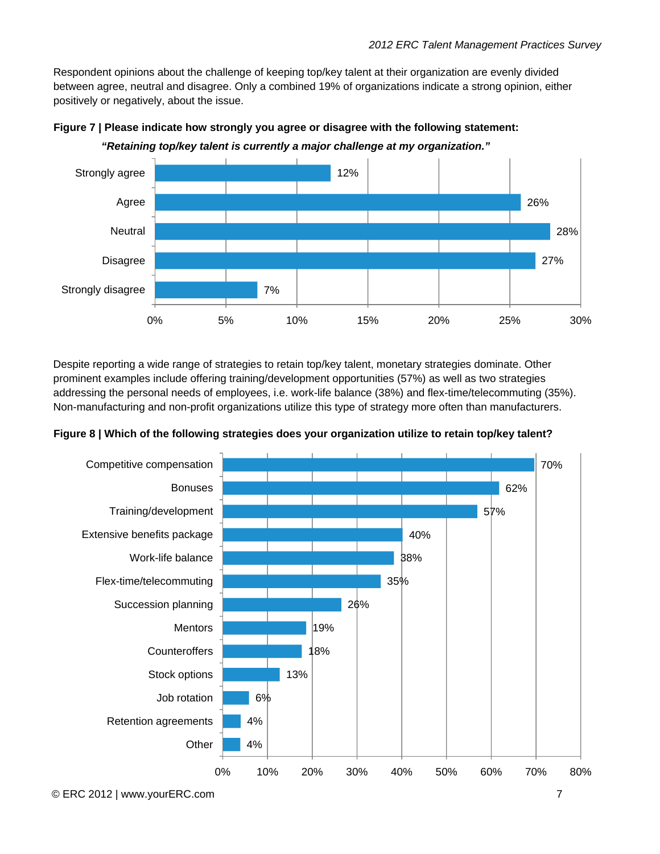Respondent opinions about the challenge of keeping top/key talent at their organization are evenly divided between agree, neutral and disagree. Only a combined 19% of organizations indicate a strong opinion, either positively or negatively, about the issue.



**Figure 7 | Please indicate how strongly you agree or disagree with the following statement:** 

Despite reporting a wide range of strategies to retain top/key talent, monetary strategies dominate. Other prominent examples include offering training/development opportunities (57%) as well as two strategies addressing the personal needs of employees, i.e. work-life balance (38%) and flex-time/telecommuting (35%). Non-manufacturing and non-profit organizations utilize this type of strategy more often than manufacturers.



**Figure 8 | Which of the following strategies does your organization utilize to retain top/key talent?**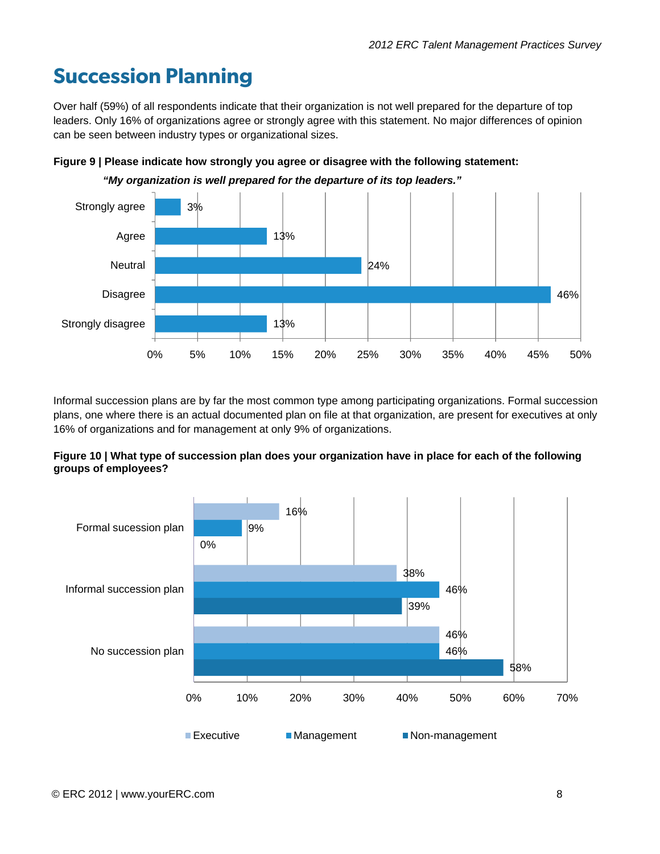# **Succession Planning**

Over half (59%) of all respondents indicate that their organization is not well prepared for the departure of top leaders. Only 16% of organizations agree or strongly agree with this statement. No major differences of opinion can be seen between industry types or organizational sizes.



**Figure 9 | Please indicate how strongly you agree or disagree with the following statement:** 

 *"My organization is well prepared for the departure of its top leaders."* 

Informal succession plans are by far the most common type among participating organizations. Formal succession plans, one where there is an actual documented plan on file at that organization, are present for executives at only 16% of organizations and for management at only 9% of organizations.



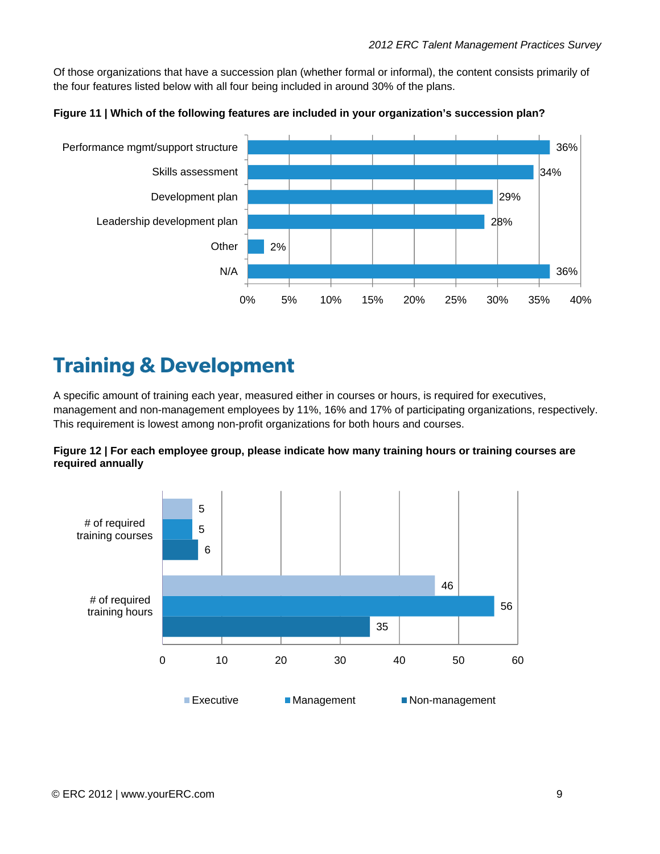Of those organizations that have a succession plan (whether formal or informal), the content consists primarily of the four features listed below with all four being included in around 30% of the plans.





# **Training & Development**

A specific amount of training each year, measured either in courses or hours, is required for executives, management and non-management employees by 11%, 16% and 17% of participating organizations, respectively. This requirement is lowest among non-profit organizations for both hours and courses.



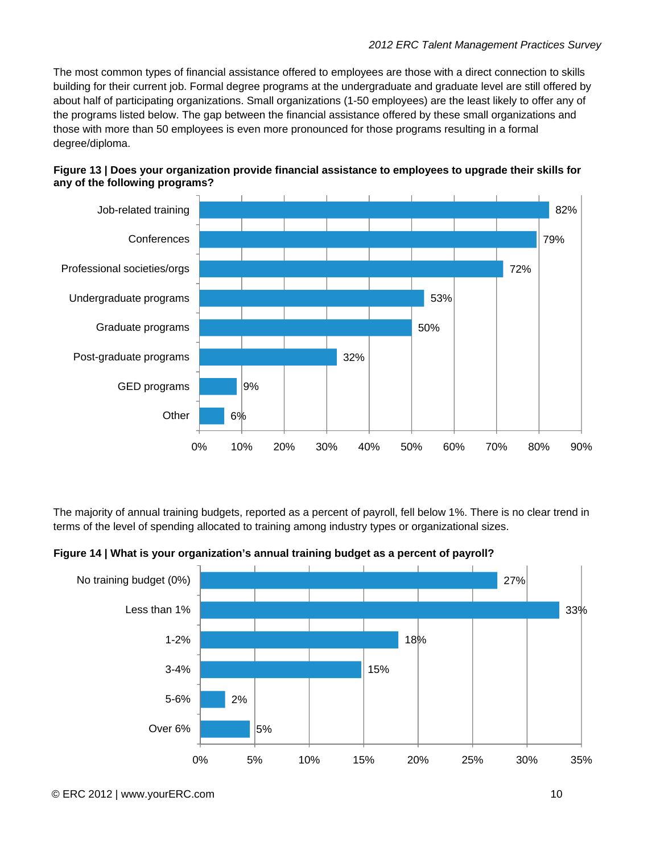The most common types of financial assistance offered to employees are those with a direct connection to skills building for their current job. Formal degree programs at the undergraduate and graduate level are still offered by about half of participating organizations. Small organizations (1-50 employees) are the least likely to offer any of the programs listed below. The gap between the financial assistance offered by these small organizations and those with more than 50 employees is even more pronounced for those programs resulting in a formal degree/diploma.



#### **Figure 13 | Does your organization provide financial assistance to employees to upgrade their skills for any of the following programs?**

The majority of annual training budgets, reported as a percent of payroll, fell below 1%. There is no clear trend in terms of the level of spending allocated to training among industry types or organizational sizes.



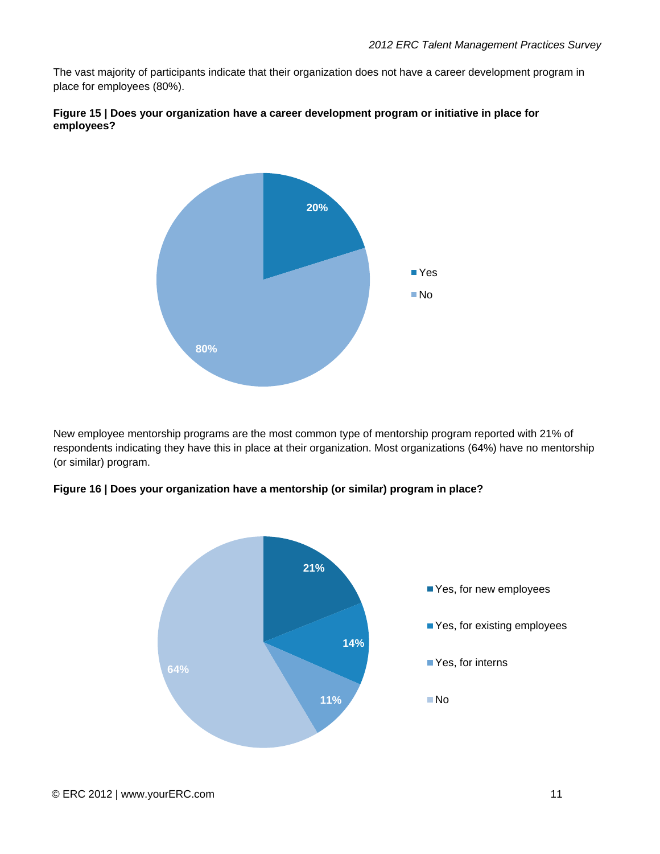The vast majority of participants indicate that their organization does not have a career development program in place for employees (80%).





New employee mentorship programs are the most common type of mentorship program reported with 21% of respondents indicating they have this in place at their organization. Most organizations (64%) have no mentorship (or similar) program.



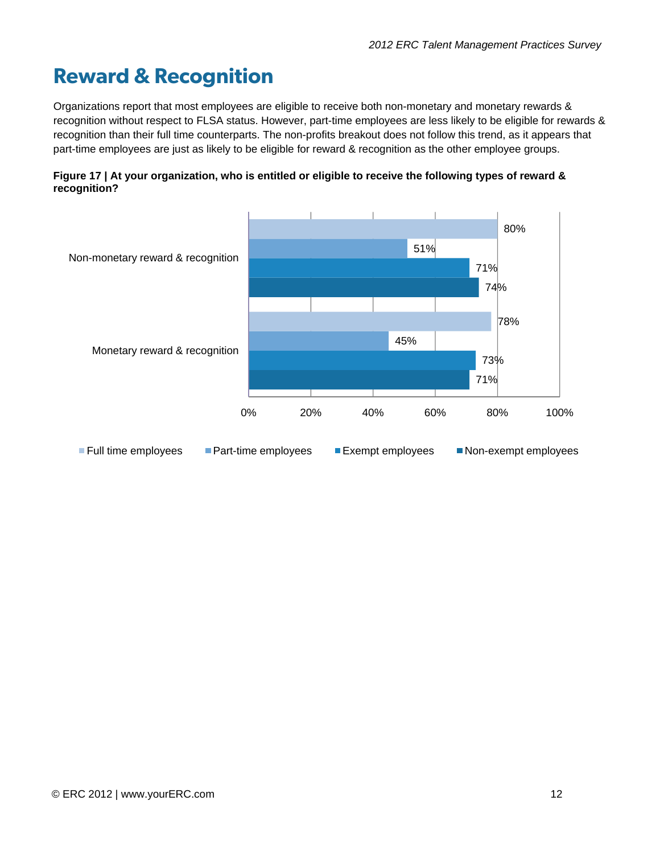# **Reward & Recognition**

Organizations report that most employees are eligible to receive both non-monetary and monetary rewards & recognition without respect to FLSA status. However, part-time employees are less likely to be eligible for rewards & recognition than their full time counterparts. The non-profits breakout does not follow this trend, as it appears that part-time employees are just as likely to be eligible for reward & recognition as the other employee groups.



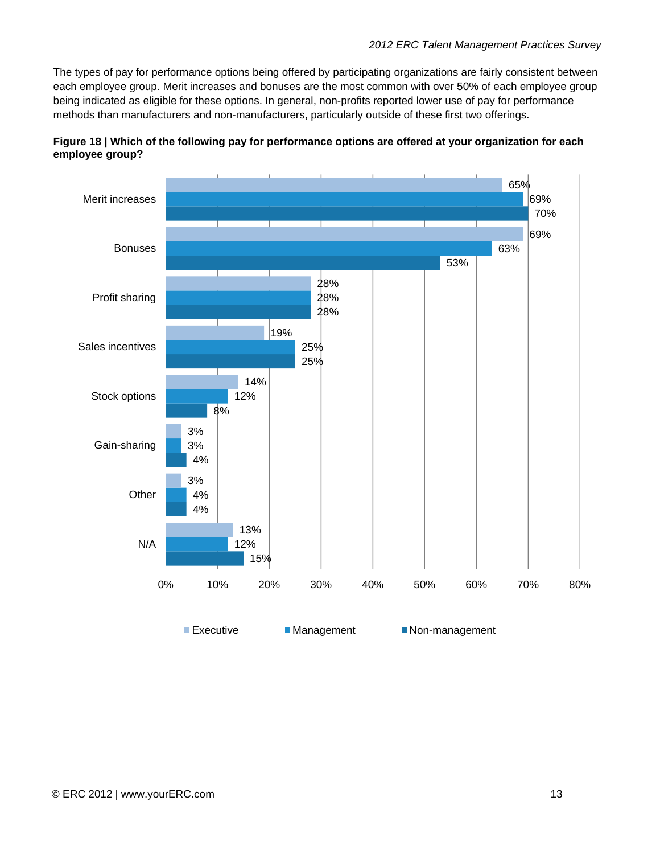The types of pay for performance options being offered by participating organizations are fairly consistent between each employee group. Merit increases and bonuses are the most common with over 50% of each employee group being indicated as eligible for these options. In general, non-profits reported lower use of pay for performance methods than manufacturers and non-manufacturers, particularly outside of these first two offerings.



**Figure 18 | Which of the following pay for performance options are offered at your organization for each employee group?**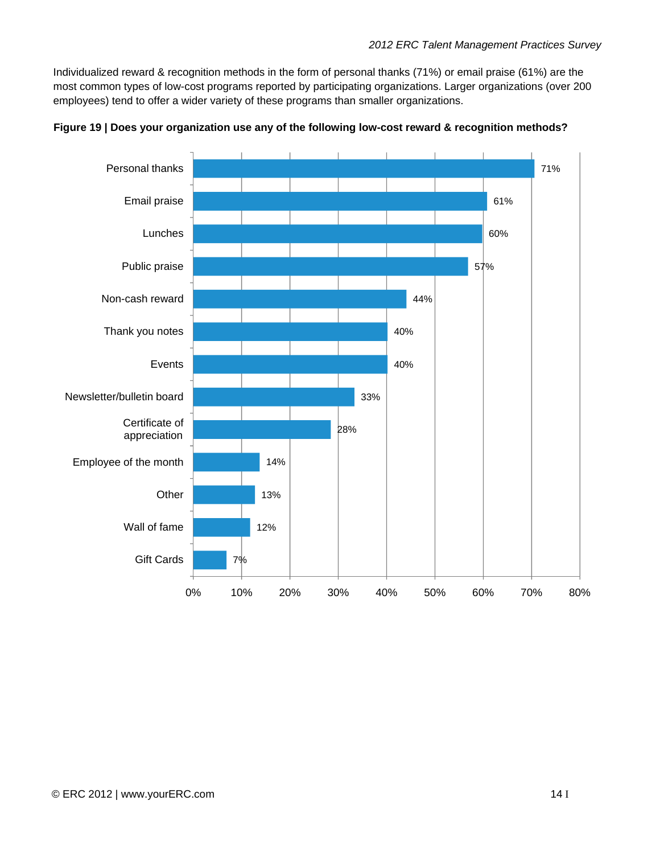Individualized reward & recognition methods in the form of personal thanks (71%) or email praise (61%) are the most common types of low-cost programs reported by participating organizations. Larger organizations (over 200 employees) tend to offer a wider variety of these programs than smaller organizations.



**Figure 19 | Does your organization use any of the following low-cost reward & recognition methods?**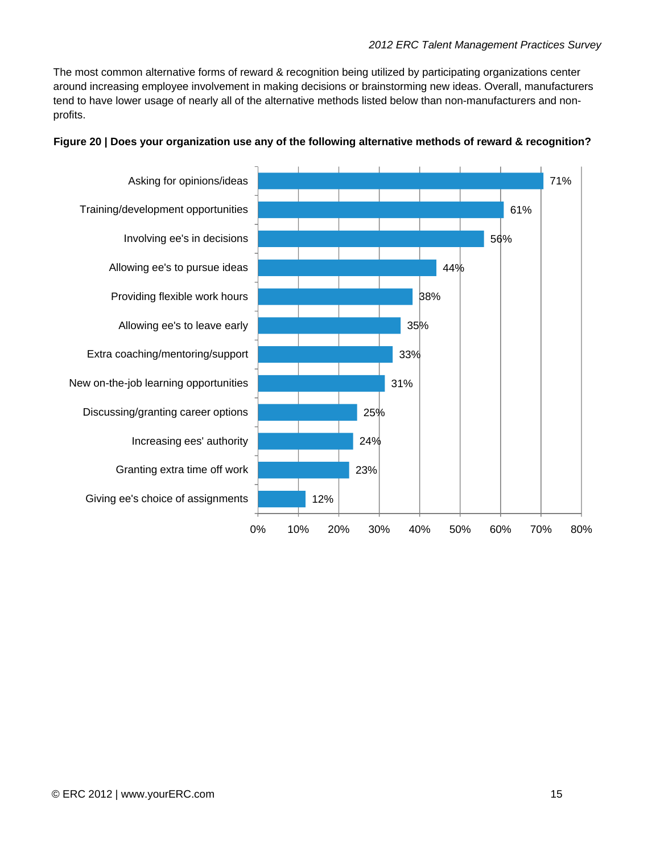The most common alternative forms of reward & recognition being utilized by participating organizations center around increasing employee involvement in making decisions or brainstorming new ideas. Overall, manufacturers tend to have lower usage of nearly all of the alternative methods listed below than non-manufacturers and nonprofits.



#### **Figure 20 | Does your organization use any of the following alternative methods of reward & recognition?**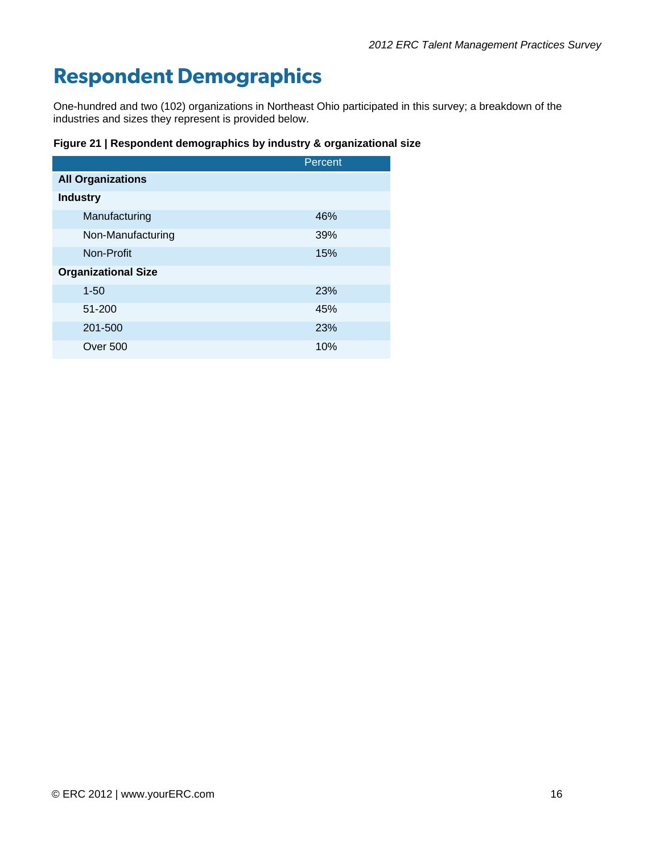# **Respondent Demographics**

One-hundred and two (102) organizations in Northeast Ohio participated in this survey; a breakdown of the industries and sizes they represent is provided below.

**Figure 21 | Respondent demographics by industry & organizational size** 

|                            | Percent    |
|----------------------------|------------|
| <b>All Organizations</b>   |            |
| <b>Industry</b>            |            |
| Manufacturing              | 46%        |
| Non-Manufacturing          | 39%        |
| Non-Profit                 | 15%        |
| <b>Organizational Size</b> |            |
| $1 - 50$                   | 23%        |
| 51-200                     | 45%        |
| 201-500                    | <b>23%</b> |
| Over 500                   | 10%        |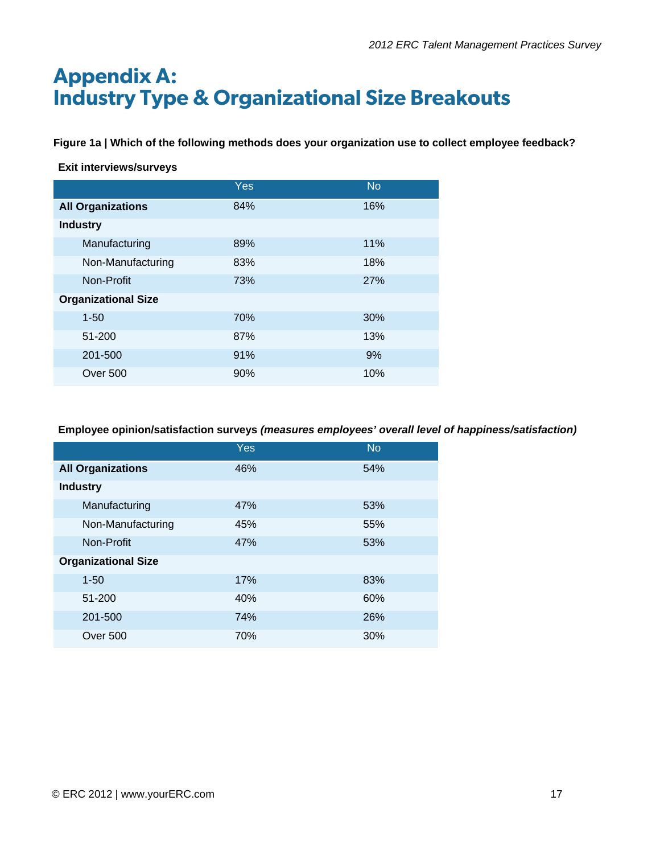# **Appendix A: Industry Type & Organizational Size Breakouts**

**Figure 1a | Which of the following methods does your organization use to collect employee feedback?** 

#### **Exit interviews/surveys**

|                            | <b>Yes</b> | <b>No</b> |
|----------------------------|------------|-----------|
| <b>All Organizations</b>   | 84%        | 16%       |
| <b>Industry</b>            |            |           |
| Manufacturing              | 89%        | 11%       |
| Non-Manufacturing          | 83%        | 18%       |
| Non-Profit                 | 73%        | 27%       |
| <b>Organizational Size</b> |            |           |
| $1 - 50$                   | 70%        | 30%       |
| 51-200                     | 87%        | 13%       |
| 201-500                    | 91%        | 9%        |
| Over 500                   | 90%        | 10%       |

**Employee opinion/satisfaction surveys** *(measures employees' overall level of happiness/satisfaction)* 

|                            | <b>Yes</b> | <b>No</b> |
|----------------------------|------------|-----------|
| <b>All Organizations</b>   | 46%        | 54%       |
| <b>Industry</b>            |            |           |
| Manufacturing              | 47%        | 53%       |
| Non-Manufacturing          | 45%        | 55%       |
| Non-Profit                 | 47%        | 53%       |
| <b>Organizational Size</b> |            |           |
| $1 - 50$                   | 17%        | 83%       |
| 51-200                     | 40%        | 60%       |
| 201-500                    | 74%        | 26%       |
| Over 500                   | 70%        | 30%       |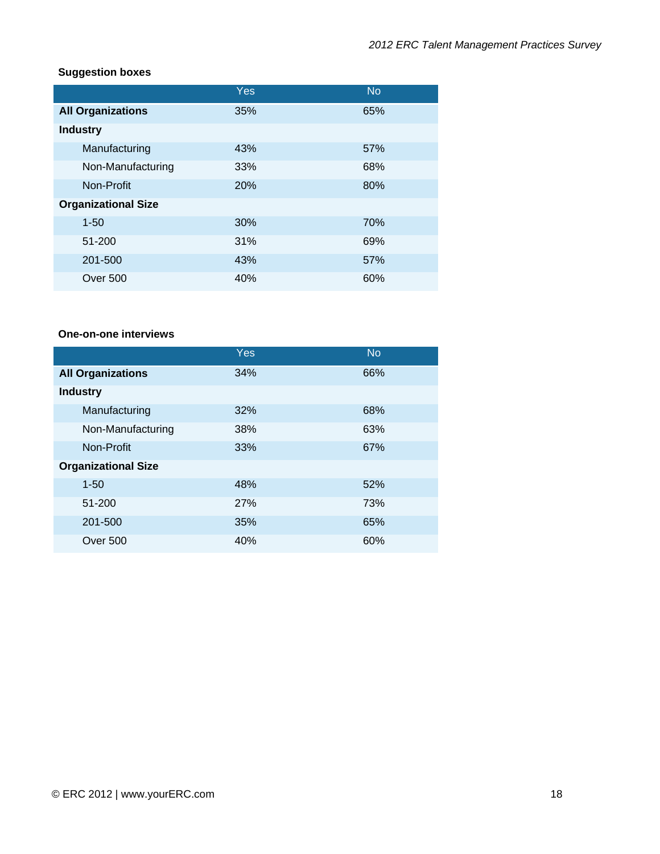## **Suggestion boxes**

|                            | Yes | <b>No</b> |
|----------------------------|-----|-----------|
| <b>All Organizations</b>   | 35% | 65%       |
| <b>Industry</b>            |     |           |
| Manufacturing              | 43% | 57%       |
| Non-Manufacturing          | 33% | 68%       |
| Non-Profit                 | 20% | 80%       |
| <b>Organizational Size</b> |     |           |
| $1 - 50$                   | 30% | 70%       |
| 51-200                     | 31% | 69%       |
| 201-500                    | 43% | 57%       |
| <b>Over 500</b>            | 40% | 60%       |

#### **One-on-one interviews**

|                            | Yes        | <b>No</b> |
|----------------------------|------------|-----------|
| <b>All Organizations</b>   | 34%        | 66%       |
| <b>Industry</b>            |            |           |
| Manufacturing              | 32%        | 68%       |
| Non-Manufacturing          | 38%        | 63%       |
| Non-Profit                 | 33%        | 67%       |
| <b>Organizational Size</b> |            |           |
| $1 - 50$                   | 48%        | 52%       |
| 51-200                     | <b>27%</b> | 73%       |
| 201-500                    | 35%        | 65%       |
| Over 500                   | 40%        | 60%       |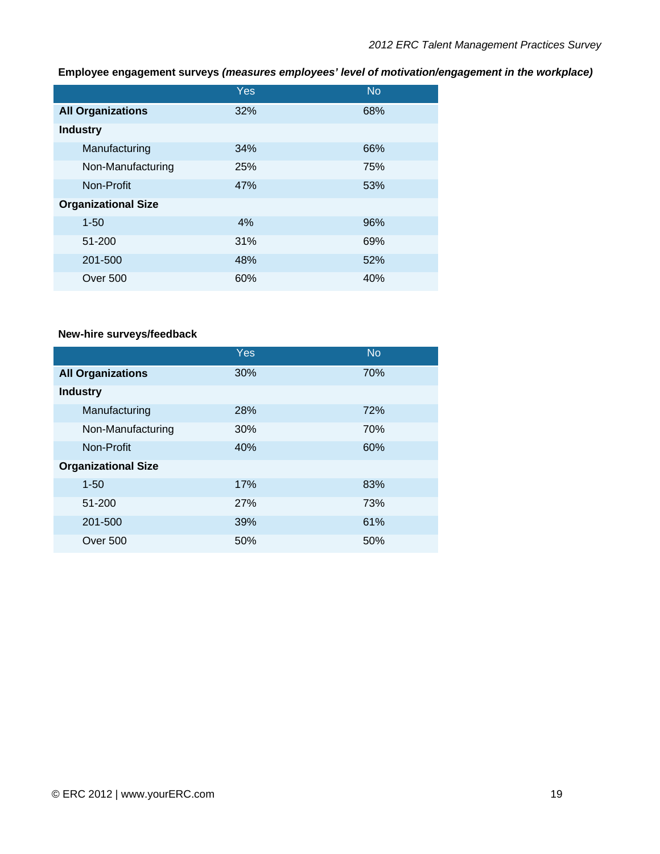## **Employee engagement surveys** *(measures employees' level of motivation/engagement in the workplace)*

|                            | Yes | <b>No</b> |
|----------------------------|-----|-----------|
| <b>All Organizations</b>   | 32% | 68%       |
| <b>Industry</b>            |     |           |
| Manufacturing              | 34% | 66%       |
| Non-Manufacturing          | 25% | 75%       |
| Non-Profit                 | 47% | 53%       |
| <b>Organizational Size</b> |     |           |
| $1 - 50$                   | 4%  | 96%       |
| 51-200                     | 31% | 69%       |
| 201-500                    | 48% | 52%       |
| Over 500                   | 60% | 40%       |

#### **New-hire surveys/feedback**

|                            | Yes | <b>No</b> |
|----------------------------|-----|-----------|
| <b>All Organizations</b>   | 30% | 70%       |
| <b>Industry</b>            |     |           |
| Manufacturing              | 28% | 72%       |
| Non-Manufacturing          | 30% | 70%       |
| Non-Profit                 | 40% | 60%       |
| <b>Organizational Size</b> |     |           |
| $1 - 50$                   | 17% | 83%       |
| 51-200                     | 27% | 73%       |
| 201-500                    | 39% | 61%       |
| <b>Over 500</b>            | 50% | 50%       |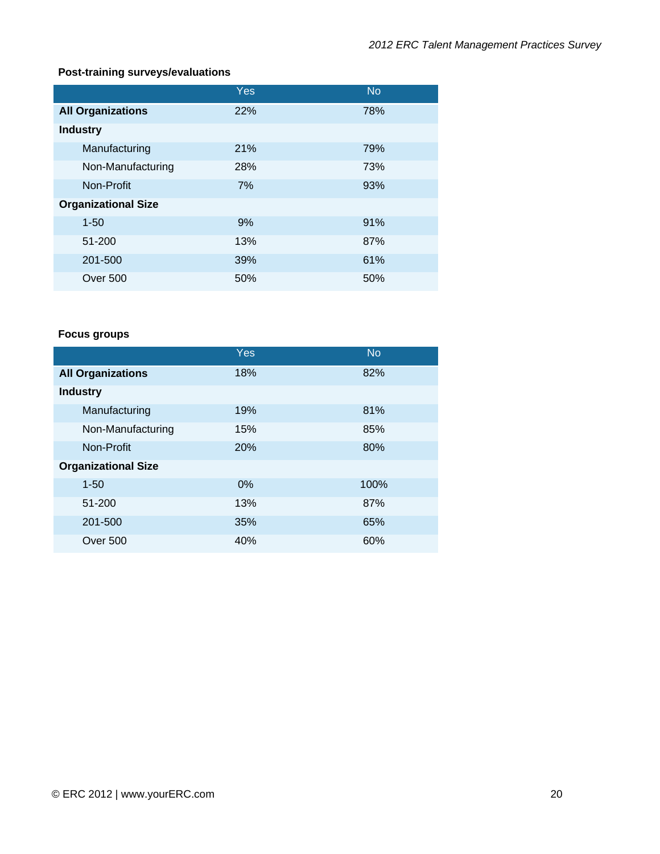## **Post-training surveys/evaluations**

|                            | <b>Yes</b> | <b>No</b> |
|----------------------------|------------|-----------|
| <b>All Organizations</b>   | 22%        | 78%       |
| <b>Industry</b>            |            |           |
| Manufacturing              | 21%        | 79%       |
| Non-Manufacturing          | 28%        | 73%       |
| Non-Profit                 | 7%         | 93%       |
| <b>Organizational Size</b> |            |           |
| $1 - 50$                   | 9%         | 91%       |
| 51-200                     | 13%        | 87%       |
| 201-500                    | 39%        | 61%       |
| Over 500                   | 50%        | 50%       |

## **Focus groups**

|                            | Yes   | <b>No</b> |
|----------------------------|-------|-----------|
| <b>All Organizations</b>   | 18%   | 82%       |
| <b>Industry</b>            |       |           |
| Manufacturing              | 19%   | 81%       |
| Non-Manufacturing          | 15%   | 85%       |
| Non-Profit                 | 20%   | 80%       |
| <b>Organizational Size</b> |       |           |
| $1 - 50$                   | $0\%$ | 100%      |
| 51-200                     | 13%   | 87%       |
| 201-500                    | 35%   | 65%       |
| Over 500                   | 40%   | 60%       |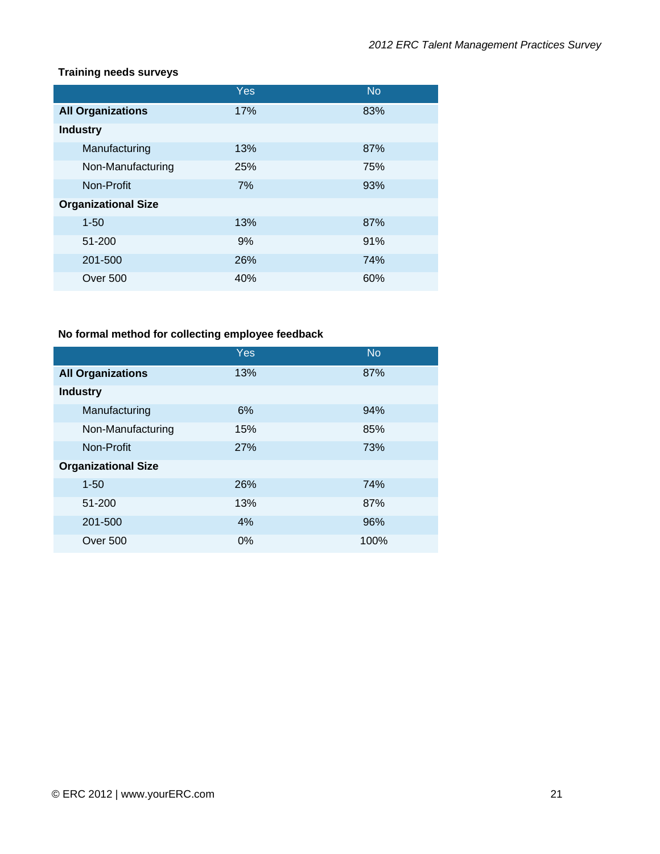#### **Training needs surveys**

|                            | Yes | <b>No</b> |
|----------------------------|-----|-----------|
| <b>All Organizations</b>   | 17% | 83%       |
| <b>Industry</b>            |     |           |
| Manufacturing              | 13% | 87%       |
| Non-Manufacturing          | 25% | 75%       |
| Non-Profit                 | 7%  | 93%       |
| <b>Organizational Size</b> |     |           |
| $1 - 50$                   | 13% | 87%       |
| 51-200                     | 9%  | 91%       |
| 201-500                    | 26% | 74%       |
| <b>Over 500</b>            | 40% | 60%       |

# **No formal method for collecting employee feedback**

|                            | Yes   | <b>No</b> |
|----------------------------|-------|-----------|
| <b>All Organizations</b>   | 13%   | 87%       |
| <b>Industry</b>            |       |           |
| Manufacturing              | 6%    | 94%       |
| Non-Manufacturing          | 15%   | 85%       |
| Non-Profit                 | 27%   | 73%       |
| <b>Organizational Size</b> |       |           |
| $1 - 50$                   | 26%   | 74%       |
| 51-200                     | 13%   | 87%       |
| 201-500                    | 4%    | 96%       |
| <b>Over 500</b>            | $0\%$ | 100%      |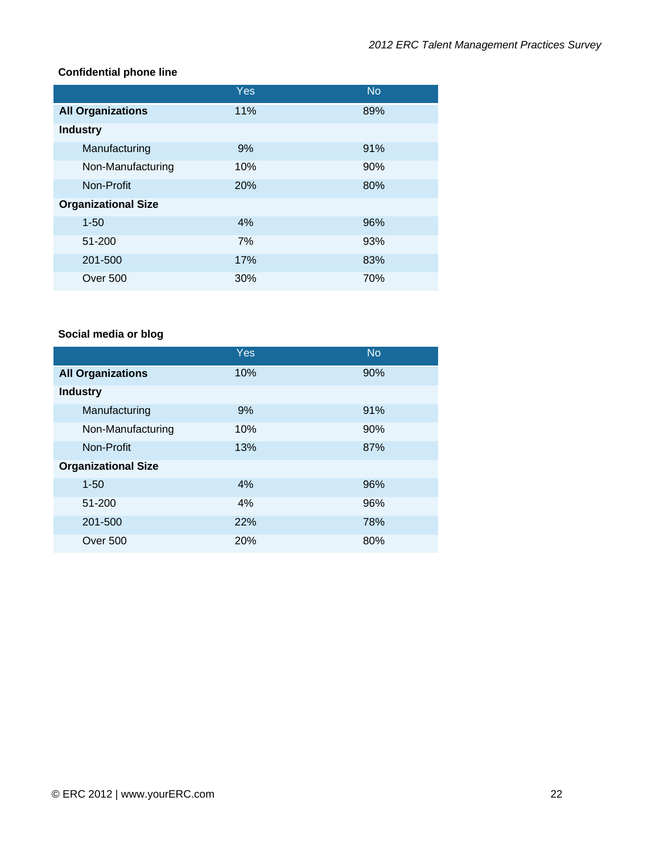#### **Confidential phone line**

|                            | Yes        | <b>No</b> |
|----------------------------|------------|-----------|
| <b>All Organizations</b>   | 11%        | 89%       |
| <b>Industry</b>            |            |           |
| Manufacturing              | 9%         | 91%       |
| Non-Manufacturing          | 10%        | 90%       |
| Non-Profit                 | <b>20%</b> | 80%       |
| <b>Organizational Size</b> |            |           |
| $1 - 50$                   | 4%         | 96%       |
| 51-200                     | 7%         | 93%       |
| 201-500                    | 17%        | 83%       |
| Over 500                   | 30%        | 70%       |

#### **Social media or blog**

|                            | Yes | <b>No</b> |
|----------------------------|-----|-----------|
| <b>All Organizations</b>   | 10% | 90%       |
| <b>Industry</b>            |     |           |
| Manufacturing              | 9%  | 91%       |
| Non-Manufacturing          | 10% | 90%       |
| Non-Profit                 | 13% | 87%       |
| <b>Organizational Size</b> |     |           |
| $1 - 50$                   | 4%  | 96%       |
| 51-200                     | 4%  | 96%       |
| 201-500                    | 22% | 78%       |
| Over 500                   | 20% | 80%       |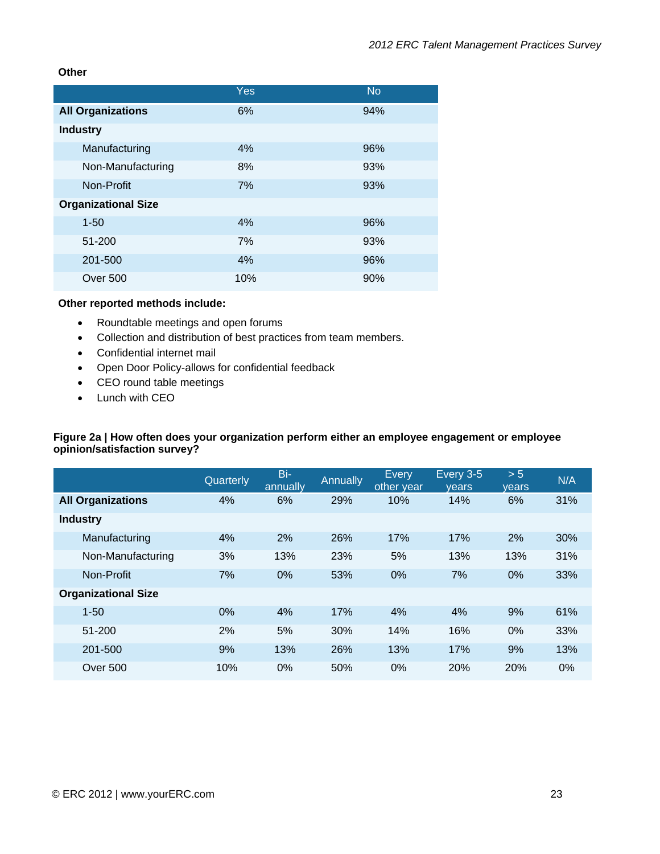#### **Other**

|                            | <b>Yes</b> | <b>No</b> |
|----------------------------|------------|-----------|
| <b>All Organizations</b>   | 6%         | 94%       |
| <b>Industry</b>            |            |           |
| Manufacturing              | 4%         | 96%       |
| Non-Manufacturing          | 8%         | 93%       |
| Non-Profit                 | 7%         | 93%       |
| <b>Organizational Size</b> |            |           |
| $1 - 50$                   | 4%         | 96%       |
| 51-200                     | 7%         | 93%       |
| 201-500                    | 4%         | 96%       |
| Over 500                   | 10%        | 90%       |

#### **Other reported methods include:**

- Roundtable meetings and open forums
- Collection and distribution of best practices from team members.
- Confidential internet mail
- Open Door Policy-allows for confidential feedback
- CEO round table meetings
- Lunch with CEO

#### **Figure 2a | How often does your organization perform either an employee engagement or employee opinion/satisfaction survey?**

|                            | Quarterly | Bi-<br>annually | <b>Annually</b> | Every<br>other year | Every 3-5<br>vears | > 5<br>vears | N/A |
|----------------------------|-----------|-----------------|-----------------|---------------------|--------------------|--------------|-----|
| <b>All Organizations</b>   | 4%        | 6%              | 29%             | 10%                 | 14%                | 6%           | 31% |
| <b>Industry</b>            |           |                 |                 |                     |                    |              |     |
| Manufacturing              | 4%        | 2%              | 26%             | 17%                 | 17%                | 2%           | 30% |
| Non-Manufacturing          | 3%        | 13%             | 23%             | 5%                  | 13%                | 13%          | 31% |
| Non-Profit                 | 7%        | 0%              | 53%             | 0%                  | 7%                 | 0%           | 33% |
| <b>Organizational Size</b> |           |                 |                 |                     |                    |              |     |
| $1 - 50$                   | 0%        | 4%              | 17%             | 4%                  | 4%                 | 9%           | 61% |
| 51-200                     | 2%        | 5%              | 30%             | 14%                 | 16%                | $0\%$        | 33% |
| 201-500                    | 9%        | 13%             | 26%             | 13%                 | 17%                | 9%           | 13% |
| Over 500                   | 10%       | 0%              | 50%             | 0%                  | 20%                | 20%          | 0%  |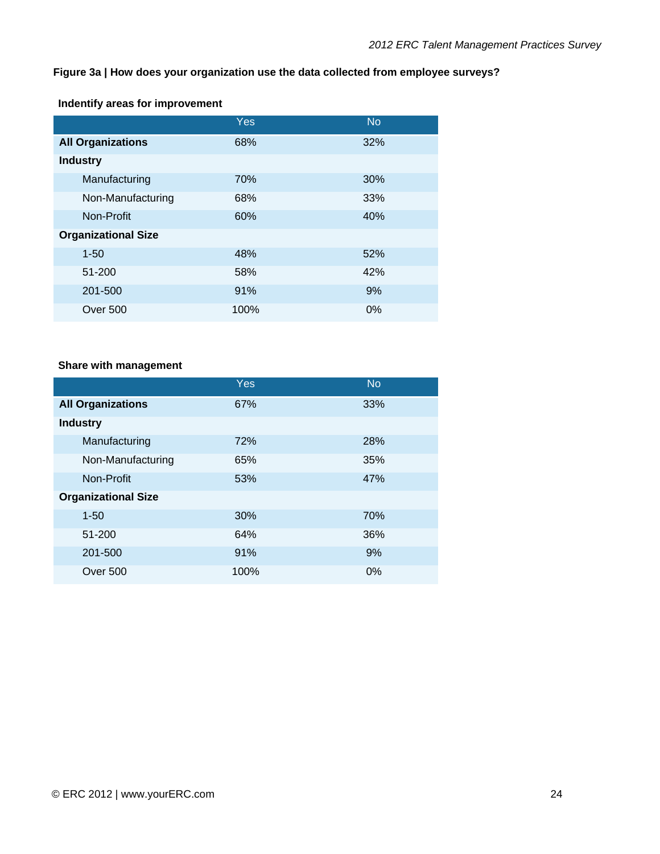## **Figure 3a | How does your organization use the data collected from employee surveys?**

## **Indentify areas for improvement**

|                            | Yes  | <b>No</b> |
|----------------------------|------|-----------|
| <b>All Organizations</b>   | 68%  | 32%       |
| <b>Industry</b>            |      |           |
| Manufacturing              | 70%  | 30%       |
| Non-Manufacturing          | 68%  | 33%       |
| Non-Profit                 | 60%  | 40%       |
| <b>Organizational Size</b> |      |           |
| $1 - 50$                   | 48%  | 52%       |
| 51-200                     | 58%  | 42%       |
| 201-500                    | 91%  | 9%        |
| Over 500                   | 100% | 0%        |

#### **Share with management**

|                            | Yes  | <b>No</b> |
|----------------------------|------|-----------|
| <b>All Organizations</b>   | 67%  | 33%       |
| <b>Industry</b>            |      |           |
| Manufacturing              | 72%  | 28%       |
| Non-Manufacturing          | 65%  | 35%       |
| Non-Profit                 | 53%  | 47%       |
| <b>Organizational Size</b> |      |           |
| $1 - 50$                   | 30%  | 70%       |
| 51-200                     | 64%  | 36%       |
| 201-500                    | 91%  | 9%        |
| <b>Over 500</b>            | 100% | 0%        |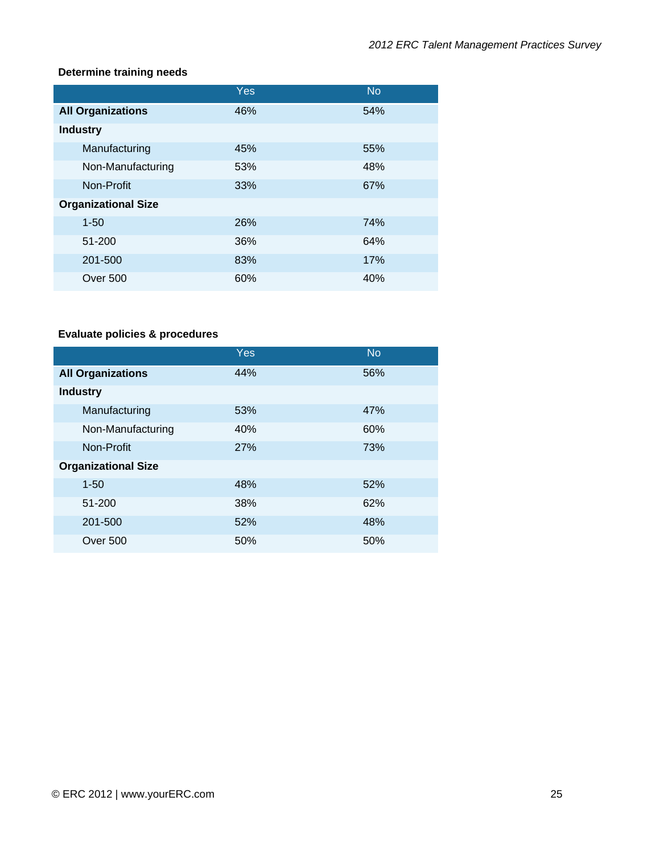#### **Determine training needs**

|                            | Yes | <b>No</b> |
|----------------------------|-----|-----------|
| <b>All Organizations</b>   | 46% | 54%       |
| <b>Industry</b>            |     |           |
| Manufacturing              | 45% | 55%       |
| Non-Manufacturing          | 53% | 48%       |
| Non-Profit                 | 33% | 67%       |
| <b>Organizational Size</b> |     |           |
| $1 - 50$                   | 26% | 74%       |
| 51-200                     | 36% | 64%       |
| 201-500                    | 83% | 17%       |
| <b>Over 500</b>            | 60% | 40%       |

## **Evaluate policies & procedures**

|                            | Yes | <b>No</b> |
|----------------------------|-----|-----------|
| <b>All Organizations</b>   | 44% | 56%       |
| <b>Industry</b>            |     |           |
| Manufacturing              | 53% | 47%       |
| Non-Manufacturing          | 40% | 60%       |
| Non-Profit                 | 27% | 73%       |
| <b>Organizational Size</b> |     |           |
| $1 - 50$                   | 48% | 52%       |
| 51-200                     | 38% | 62%       |
| 201-500                    | 52% | 48%       |
| <b>Over 500</b>            | 50% | 50%       |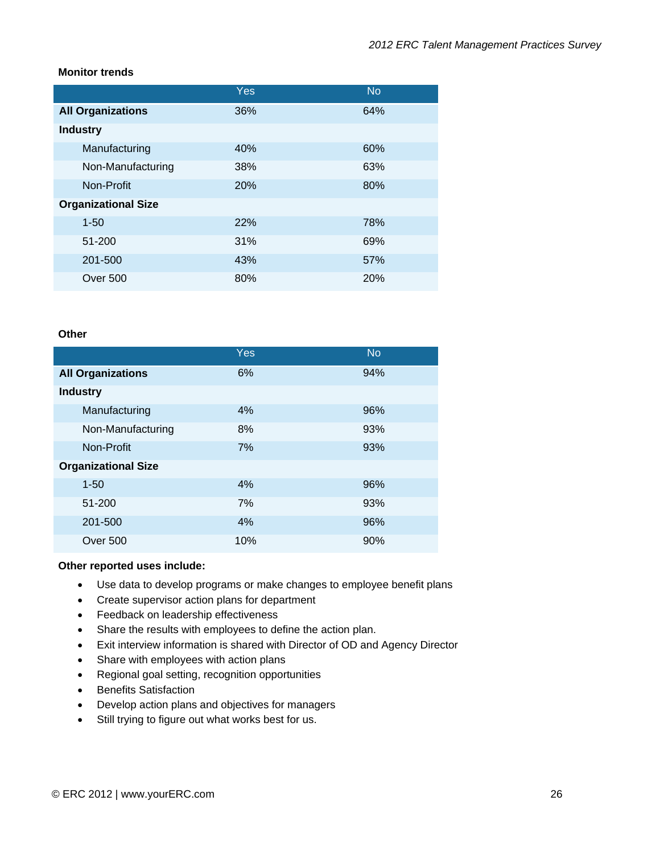#### **Monitor trends**

|                            | Yes        | <b>No</b> |
|----------------------------|------------|-----------|
| <b>All Organizations</b>   | 36%        | 64%       |
| <b>Industry</b>            |            |           |
| Manufacturing              | 40%        | 60%       |
| Non-Manufacturing          | <b>38%</b> | 63%       |
| Non-Profit                 | <b>20%</b> | 80%       |
| <b>Organizational Size</b> |            |           |
| $1 - 50$                   | 22%        | 78%       |
| 51-200                     | 31%        | 69%       |
| 201-500                    | 43%        | 57%       |
| Over 500                   | 80%        | 20%       |

#### **Other**

|                            | Yes | <b>No</b> |
|----------------------------|-----|-----------|
| <b>All Organizations</b>   | 6%  | 94%       |
| <b>Industry</b>            |     |           |
| Manufacturing              | 4%  | 96%       |
| Non-Manufacturing          | 8%  | 93%       |
| Non-Profit                 | 7%  | 93%       |
| <b>Organizational Size</b> |     |           |
| $1 - 50$                   | 4%  | 96%       |
| 51-200                     | 7%  | 93%       |
| 201-500                    | 4%  | 96%       |
| Over 500                   | 10% | 90%       |

#### **Other reported uses include:**

- Use data to develop programs or make changes to employee benefit plans
- Create supervisor action plans for department
- Feedback on leadership effectiveness
- Share the results with employees to define the action plan.
- Exit interview information is shared with Director of OD and Agency Director
- Share with employees with action plans
- Regional goal setting, recognition opportunities
- Benefits Satisfaction
- Develop action plans and objectives for managers
- Still trying to figure out what works best for us.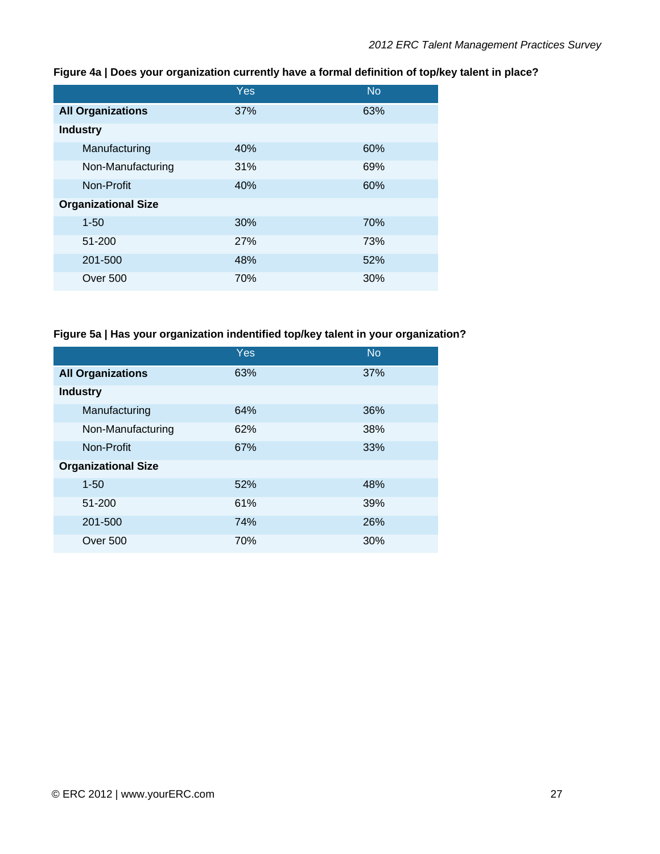|                            | Yes        | <b>No</b> |
|----------------------------|------------|-----------|
| <b>All Organizations</b>   | 37%        | 63%       |
| <b>Industry</b>            |            |           |
| Manufacturing              | 40%        | 60%       |
| Non-Manufacturing          | 31%        | 69%       |
| Non-Profit                 | 40%        | 60%       |
| <b>Organizational Size</b> |            |           |
| $1 - 50$                   | 30%        | 70%       |
| 51-200                     | <b>27%</b> | 73%       |
| 201-500                    | 48%        | 52%       |
| Over 500                   | 70%        | 30%       |

#### **Figure 4a | Does your organization currently have a formal definition of top/key talent in place?**

## **Figure 5a | Has your organization indentified top/key talent in your organization?**

|                            | Yes | <b>No</b> |
|----------------------------|-----|-----------|
| <b>All Organizations</b>   | 63% | 37%       |
| <b>Industry</b>            |     |           |
| Manufacturing              | 64% | 36%       |
| Non-Manufacturing          | 62% | 38%       |
| Non-Profit                 | 67% | 33%       |
| <b>Organizational Size</b> |     |           |
| $1 - 50$                   | 52% | 48%       |
| 51-200                     | 61% | 39%       |
| 201-500                    | 74% | 26%       |
| <b>Over 500</b>            | 70% | 30%       |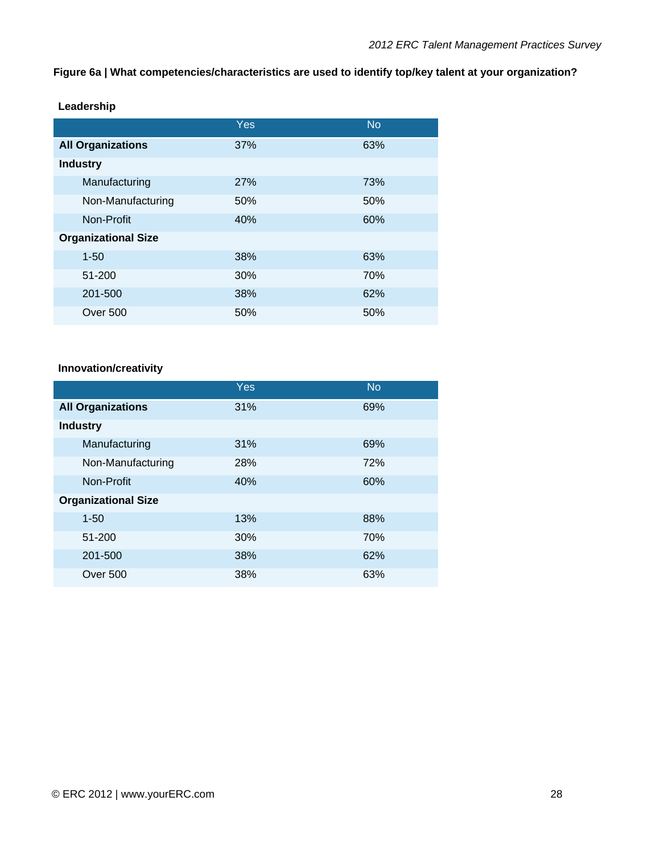#### **Figure 6a | What competencies/characteristics are used to identify top/key talent at your organization?**

|                            | Yes | <b>No</b> |
|----------------------------|-----|-----------|
| <b>All Organizations</b>   | 37% | 63%       |
| <b>Industry</b>            |     |           |
| Manufacturing              | 27% | 73%       |
| Non-Manufacturing          | 50% | 50%       |
| Non-Profit                 | 40% | 60%       |
| <b>Organizational Size</b> |     |           |
| $1 - 50$                   | 38% | 63%       |
| 51-200                     | 30% | 70%       |
| 201-500                    | 38% | 62%       |
| <b>Over 500</b>            | 50% | 50%       |

#### **Leadership**

#### **Innovation/creativity**

|                            | Yes | <b>No</b> |
|----------------------------|-----|-----------|
| <b>All Organizations</b>   | 31% | 69%       |
| <b>Industry</b>            |     |           |
| Manufacturing              | 31% | 69%       |
| Non-Manufacturing          | 28% | 72%       |
| Non-Profit                 | 40% | 60%       |
| <b>Organizational Size</b> |     |           |
| $1 - 50$                   | 13% | 88%       |
| 51-200                     | 30% | 70%       |
| 201-500                    | 38% | 62%       |
| <b>Over 500</b>            | 38% | 63%       |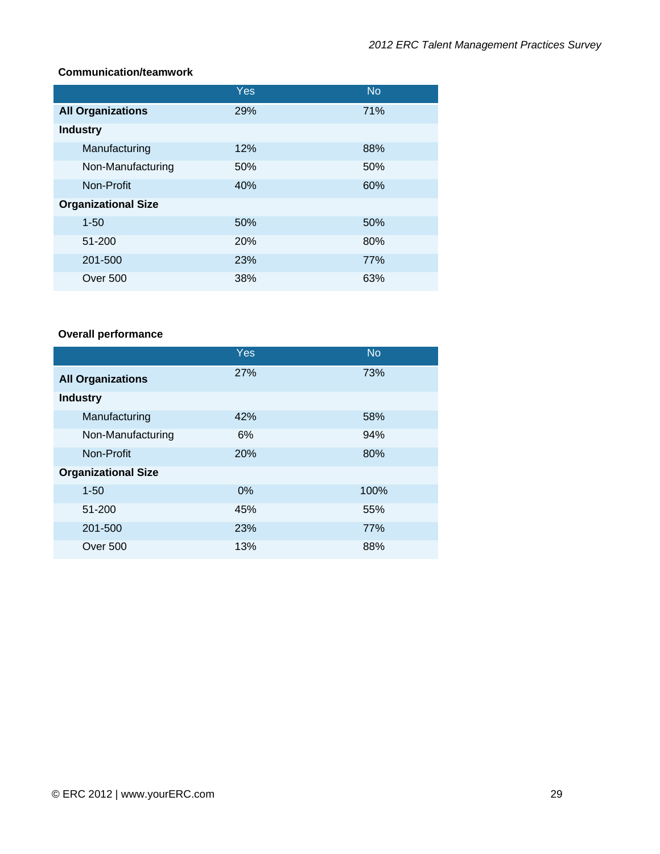#### **Communication/teamwork**

|                            | Yes        | <b>No</b> |
|----------------------------|------------|-----------|
| <b>All Organizations</b>   | 29%        | 71%       |
| <b>Industry</b>            |            |           |
| Manufacturing              | 12%        | 88%       |
| Non-Manufacturing          | 50%        | 50%       |
| Non-Profit                 | 40%        | 60%       |
| <b>Organizational Size</b> |            |           |
| $1 - 50$                   | 50%        | 50%       |
| 51-200                     | <b>20%</b> | 80%       |
| 201-500                    | 23%        | 77%       |
| Over 500                   | 38%        | 63%       |

## **Overall performance**

|                            | Yes   | <b>No</b> |
|----------------------------|-------|-----------|
| <b>All Organizations</b>   | 27%   | 73%       |
| <b>Industry</b>            |       |           |
| Manufacturing              | 42%   | 58%       |
| Non-Manufacturing          | 6%    | 94%       |
| Non-Profit                 | 20%   | 80%       |
| <b>Organizational Size</b> |       |           |
| $1 - 50$                   | $0\%$ | 100%      |
| 51-200                     | 45%   | 55%       |
| 201-500                    | 23%   | 77%       |
| Over 500                   | 13%   | 88%       |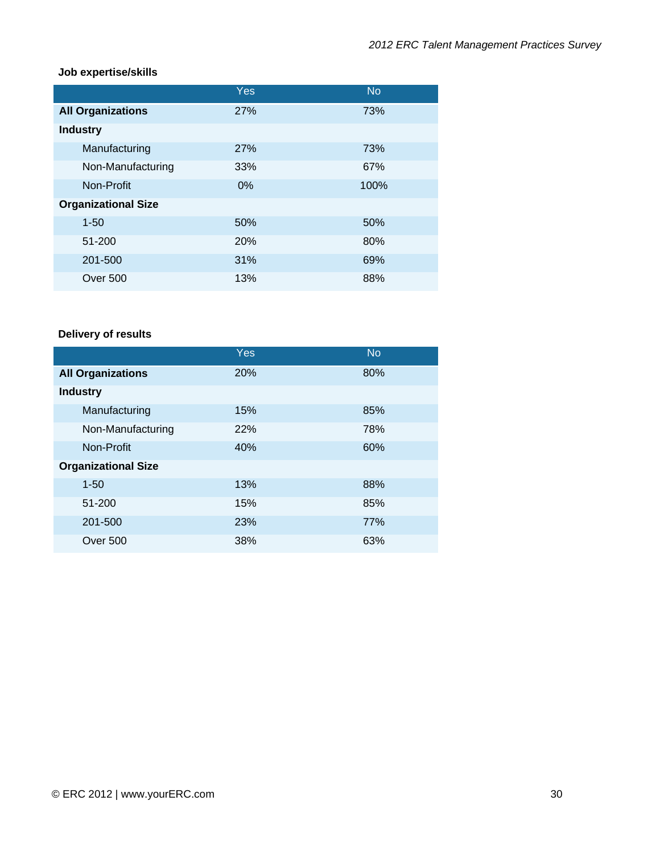#### **Job expertise/skills**

|                            | Yes        | <b>No</b> |
|----------------------------|------------|-----------|
| <b>All Organizations</b>   | <b>27%</b> | 73%       |
| <b>Industry</b>            |            |           |
| Manufacturing              | <b>27%</b> | 73%       |
| Non-Manufacturing          | 33%        | 67%       |
| Non-Profit                 | $0\%$      | 100%      |
| <b>Organizational Size</b> |            |           |
| $1 - 50$                   | 50%        | 50%       |
| 51-200                     | <b>20%</b> | 80%       |
| 201-500                    | 31%        | 69%       |
| <b>Over 500</b>            | 13%        | 88%       |

## **Delivery of results**

|                            | Yes | <b>No</b> |
|----------------------------|-----|-----------|
| <b>All Organizations</b>   | 20% | 80%       |
| <b>Industry</b>            |     |           |
| Manufacturing              | 15% | 85%       |
| Non-Manufacturing          | 22% | 78%       |
| Non-Profit                 | 40% | 60%       |
| <b>Organizational Size</b> |     |           |
| $1 - 50$                   | 13% | 88%       |
| 51-200                     | 15% | 85%       |
| 201-500                    | 23% | 77%       |
| Over 500                   | 38% | 63%       |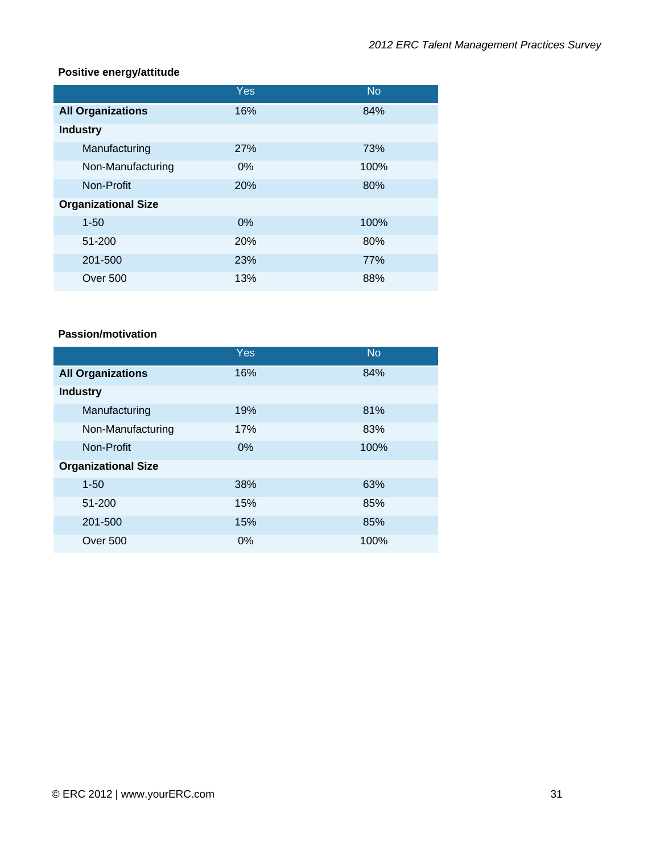#### **Positive energy/attitude**

|                            | Yes        | <b>No</b> |
|----------------------------|------------|-----------|
| <b>All Organizations</b>   | 16%        | 84%       |
| <b>Industry</b>            |            |           |
| Manufacturing              | 27%        | 73%       |
| Non-Manufacturing          | $0\%$      | 100%      |
| Non-Profit                 | <b>20%</b> | 80%       |
| <b>Organizational Size</b> |            |           |
| $1 - 50$                   | 0%         | 100%      |
| 51-200                     | <b>20%</b> | 80%       |
| 201-500                    | 23%        | 77%       |
| Over 500                   | 13%        | 88%       |

#### **Passion/motivation**

|                            | Yes   | <b>No</b> |
|----------------------------|-------|-----------|
| <b>All Organizations</b>   | 16%   | 84%       |
| <b>Industry</b>            |       |           |
| Manufacturing              | 19%   | 81%       |
| Non-Manufacturing          | 17%   | 83%       |
| Non-Profit                 | $0\%$ | 100%      |
| <b>Organizational Size</b> |       |           |
| $1 - 50$                   | 38%   | 63%       |
| 51-200                     | 15%   | 85%       |
| 201-500                    | 15%   | 85%       |
| Over 500                   | $0\%$ | 100%      |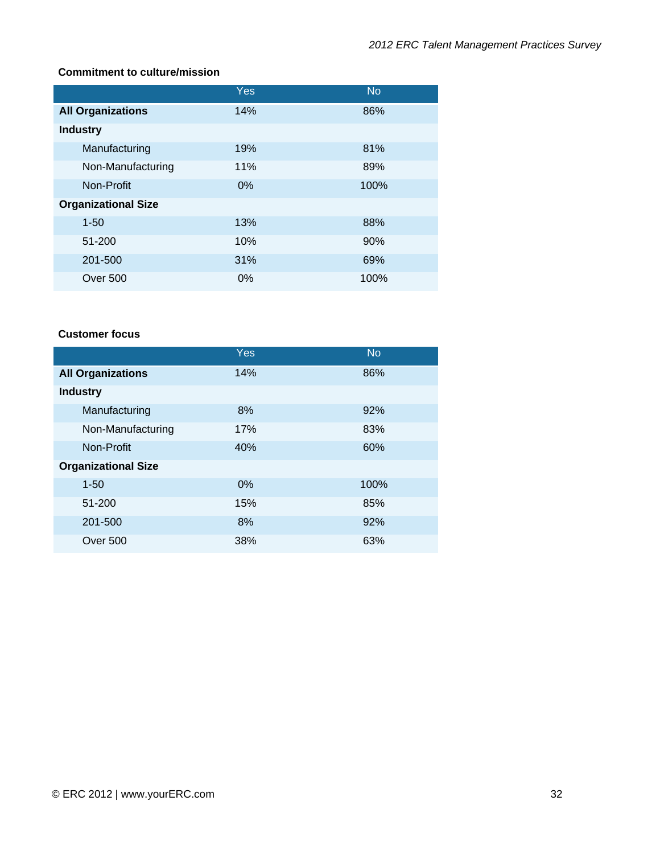## **Commitment to culture/mission**

|                            | Yes | <b>No</b> |
|----------------------------|-----|-----------|
| <b>All Organizations</b>   | 14% | 86%       |
| <b>Industry</b>            |     |           |
| Manufacturing              | 19% | 81%       |
| Non-Manufacturing          | 11% | 89%       |
| Non-Profit                 | 0%  | 100%      |
| <b>Organizational Size</b> |     |           |
| $1 - 50$                   | 13% | 88%       |
| 51-200                     | 10% | 90%       |
| 201-500                    | 31% | 69%       |
| Over 500                   | 0%  | 100%      |

#### **Customer focus**

|                            | Yes   | <b>No</b> |
|----------------------------|-------|-----------|
| <b>All Organizations</b>   | 14%   | 86%       |
| <b>Industry</b>            |       |           |
| Manufacturing              | 8%    | 92%       |
| Non-Manufacturing          | 17%   | 83%       |
| Non-Profit                 | 40%   | 60%       |
| <b>Organizational Size</b> |       |           |
| $1 - 50$                   | $0\%$ | 100%      |
| 51-200                     | 15%   | 85%       |
| 201-500                    | 8%    | 92%       |
| Over 500                   | 38%   | 63%       |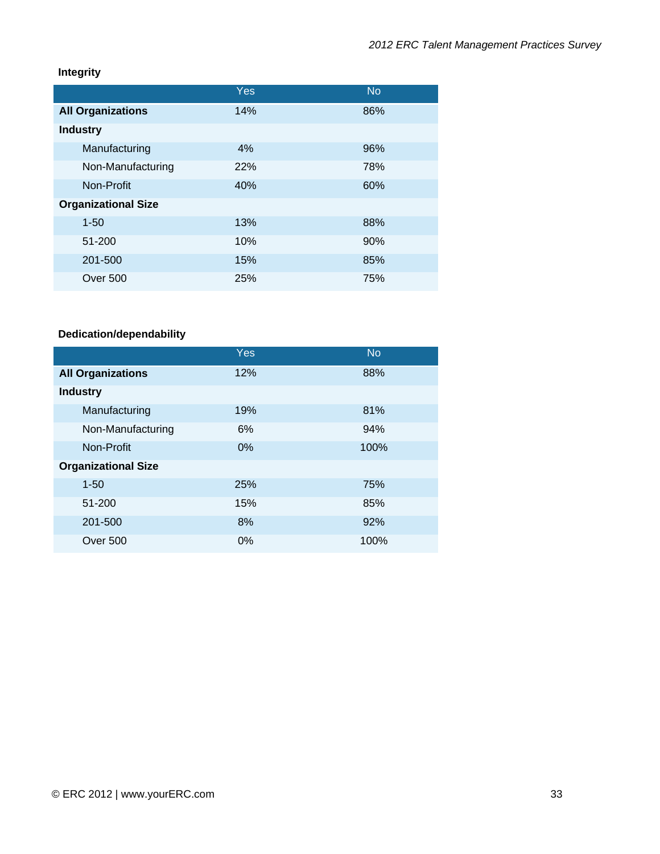## **Integrity**

|                            | Yes | <b>No</b> |
|----------------------------|-----|-----------|
| <b>All Organizations</b>   | 14% | 86%       |
| <b>Industry</b>            |     |           |
| Manufacturing              | 4%  | 96%       |
| Non-Manufacturing          | 22% | 78%       |
| Non-Profit                 | 40% | 60%       |
| <b>Organizational Size</b> |     |           |
| $1 - 50$                   | 13% | 88%       |
| 51-200                     | 10% | 90%       |
| 201-500                    | 15% | 85%       |
| Over 500                   | 25% | 75%       |

# **Dedication/dependability**

|                            | Yes | <b>No</b> |
|----------------------------|-----|-----------|
| <b>All Organizations</b>   | 12% | 88%       |
| <b>Industry</b>            |     |           |
| Manufacturing              | 19% | 81%       |
| Non-Manufacturing          | 6%  | 94%       |
| Non-Profit                 | 0%  | 100%      |
| <b>Organizational Size</b> |     |           |
| $1 - 50$                   | 25% | 75%       |
| 51-200                     | 15% | 85%       |
| 201-500                    | 8%  | 92%       |
| Over 500                   | 0%  | 100%      |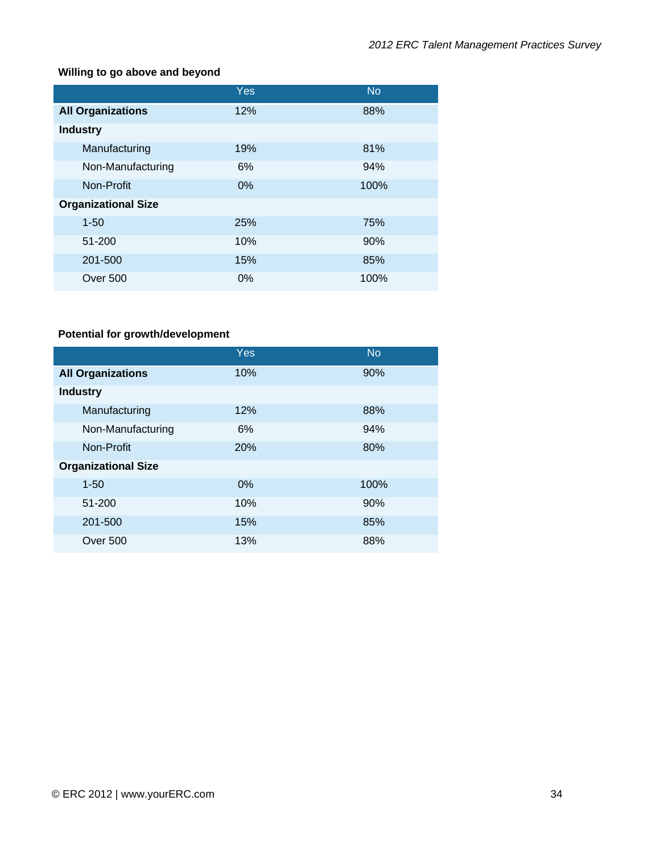## **Willing to go above and beyond**

|                            | Yes | <b>No</b> |
|----------------------------|-----|-----------|
| <b>All Organizations</b>   | 12% | 88%       |
| <b>Industry</b>            |     |           |
| Manufacturing              | 19% | 81%       |
| Non-Manufacturing          | 6%  | 94%       |
| Non-Profit                 | 0%  | 100%      |
| <b>Organizational Size</b> |     |           |
| $1 - 50$                   | 25% | 75%       |
| 51-200                     | 10% | 90%       |
| 201-500                    | 15% | 85%       |
| Over 500                   | 0%  | 100%      |

# **Potential for growth/development**

|                            | Yes | <b>No</b> |
|----------------------------|-----|-----------|
| <b>All Organizations</b>   | 10% | 90%       |
| <b>Industry</b>            |     |           |
| Manufacturing              | 12% | 88%       |
| Non-Manufacturing          | 6%  | 94%       |
| Non-Profit                 | 20% | 80%       |
| <b>Organizational Size</b> |     |           |
| $1 - 50$                   | 0%  | 100%      |
| 51-200                     | 10% | 90%       |
| 201-500                    | 15% | 85%       |
| <b>Over 500</b>            | 13% | 88%       |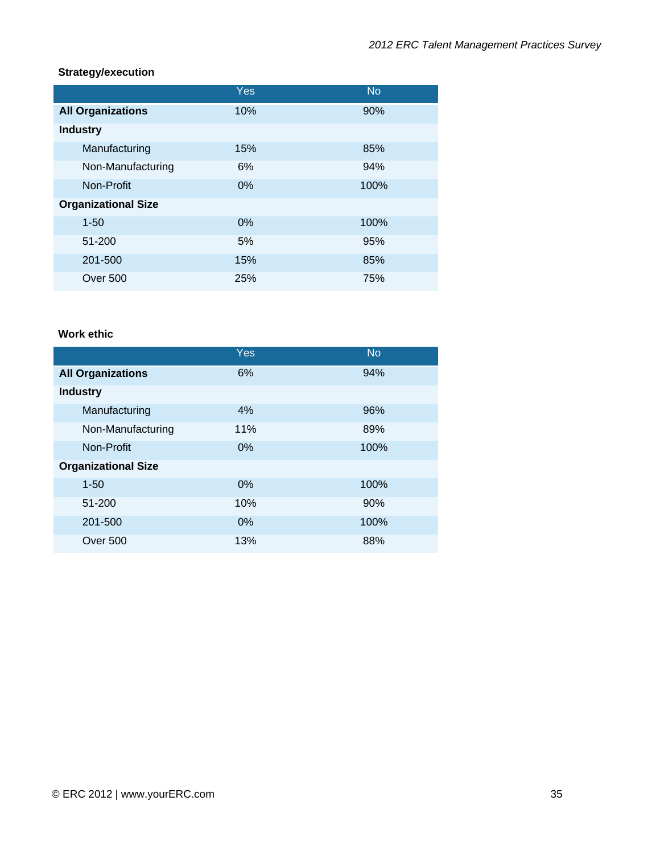#### **Strategy/execution**

|                            | Yes | <b>No</b> |
|----------------------------|-----|-----------|
| <b>All Organizations</b>   | 10% | 90%       |
| <b>Industry</b>            |     |           |
| Manufacturing              | 15% | 85%       |
| Non-Manufacturing          | 6%  | 94%       |
| Non-Profit                 | 0%  | 100%      |
| <b>Organizational Size</b> |     |           |
| $1 - 50$                   | 0%  | 100%      |
| 51-200                     | 5%  | 95%       |
| 201-500                    | 15% | 85%       |
| <b>Over 500</b>            | 25% | 75%       |

#### **Work ethic**

|                            | Yes | <b>No</b> |
|----------------------------|-----|-----------|
| <b>All Organizations</b>   | 6%  | 94%       |
| <b>Industry</b>            |     |           |
| Manufacturing              | 4%  | 96%       |
| Non-Manufacturing          | 11% | 89%       |
| Non-Profit                 | 0%  | 100%      |
| <b>Organizational Size</b> |     |           |
| $1 - 50$                   | 0%  | 100%      |
| 51-200                     | 10% | 90%       |
| 201-500                    | 0%  | 100%      |
| Over 500                   | 13% | 88%       |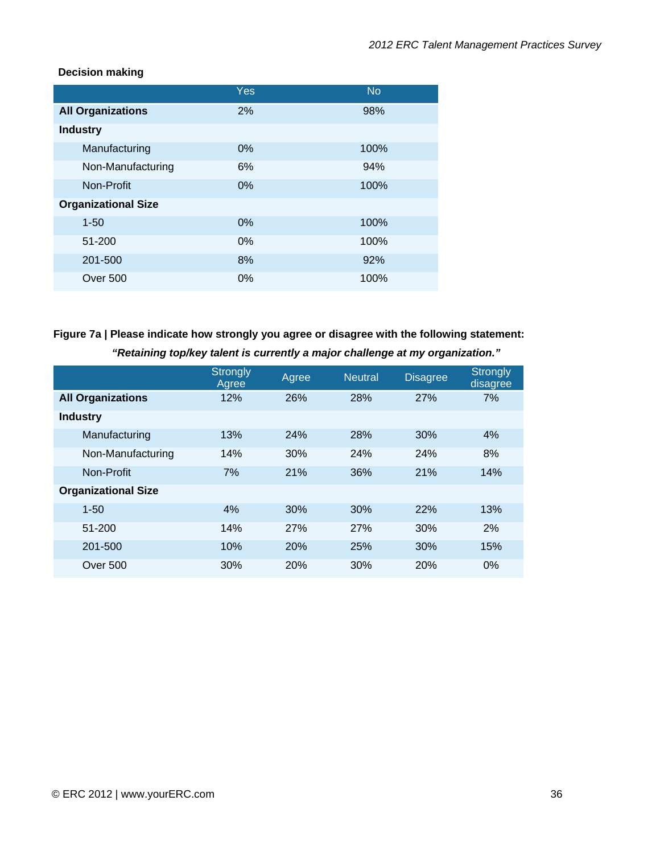## **Decision making**

|                            | Yes   | <b>No</b> |
|----------------------------|-------|-----------|
| <b>All Organizations</b>   | 2%    | 98%       |
| <b>Industry</b>            |       |           |
| Manufacturing              | 0%    | 100%      |
| Non-Manufacturing          | 6%    | 94%       |
| Non-Profit                 | 0%    | 100%      |
| <b>Organizational Size</b> |       |           |
| $1 - 50$                   | 0%    | 100%      |
| 51-200                     | 0%    | 100%      |
| 201-500                    | 8%    | 92%       |
| Over 500                   | $0\%$ | 100%      |

# **Figure 7a | Please indicate how strongly you agree or disagree with the following statement:**

| "Retaining top/key talent is currently a major challenge at my organization." |  |  |
|-------------------------------------------------------------------------------|--|--|
|-------------------------------------------------------------------------------|--|--|

|                            | <b>Strongly</b><br>Agree | Agree      | <b>Neutral</b> | <b>Disagree</b> | <b>Strongly</b><br>disagree |
|----------------------------|--------------------------|------------|----------------|-----------------|-----------------------------|
| <b>All Organizations</b>   | 12%                      | 26%        | 28%            | 27%             | 7%                          |
| <b>Industry</b>            |                          |            |                |                 |                             |
| Manufacturing              | 13%                      | 24%        | 28%            | 30%             | 4%                          |
| Non-Manufacturing          | 14%                      | 30%        | 24%            | 24%             | 8%                          |
| Non-Profit                 | 7%                       | 21%        | 36%            | 21%             | 14%                         |
| <b>Organizational Size</b> |                          |            |                |                 |                             |
| $1 - 50$                   | 4%                       | 30%        | 30%            | 22%             | 13%                         |
| 51-200                     | 14%                      | 27%        | 27%            | 30%             | 2%                          |
| 201-500                    | 10%                      | <b>20%</b> | 25%            | 30%             | 15%                         |
| Over 500                   | 30%                      | 20%        | 30%            | 20%             | $0\%$                       |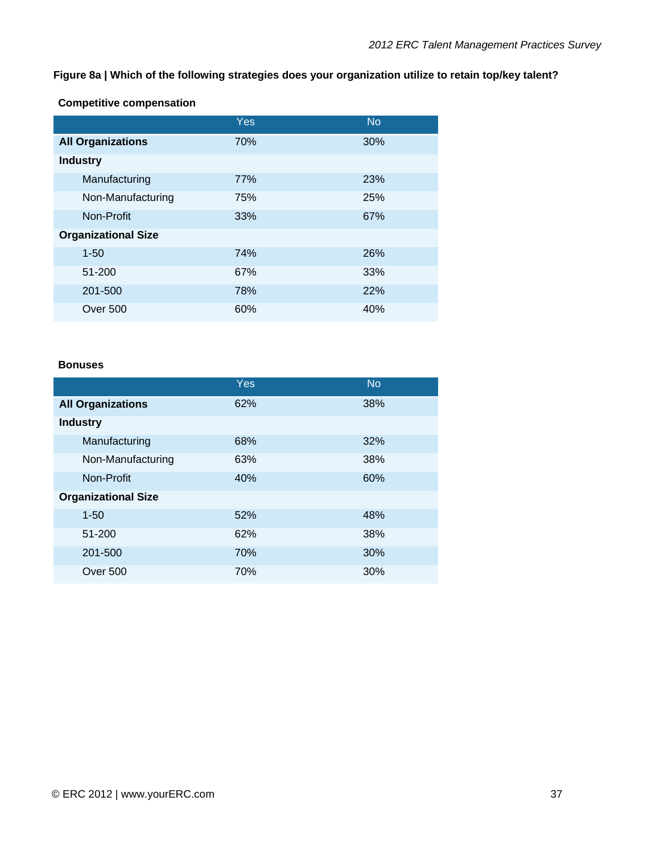**Figure 8a | Which of the following strategies does your organization utilize to retain top/key talent?**

**Competitive compensation** 

|                            | Yes | <b>No</b> |
|----------------------------|-----|-----------|
| <b>All Organizations</b>   | 70% | 30%       |
| <b>Industry</b>            |     |           |
| Manufacturing              | 77% | 23%       |
| Non-Manufacturing          | 75% | 25%       |
| Non-Profit                 | 33% | 67%       |
| <b>Organizational Size</b> |     |           |
| $1 - 50$                   | 74% | 26%       |
| 51-200                     | 67% | 33%       |
| 201-500                    | 78% | 22%       |
| Over 500                   | 60% | 40%       |

#### **Bonuses**

|                            | <b>Yes</b> | <b>No</b> |
|----------------------------|------------|-----------|
| <b>All Organizations</b>   | 62%        | 38%       |
| <b>Industry</b>            |            |           |
| Manufacturing              | 68%        | 32%       |
| Non-Manufacturing          | 63%        | 38%       |
| Non-Profit                 | 40%        | 60%       |
| <b>Organizational Size</b> |            |           |
| $1 - 50$                   | 52%        | 48%       |
| 51-200                     | 62%        | 38%       |
| 201-500                    | 70%        | 30%       |
| <b>Over 500</b>            | 70%        | 30%       |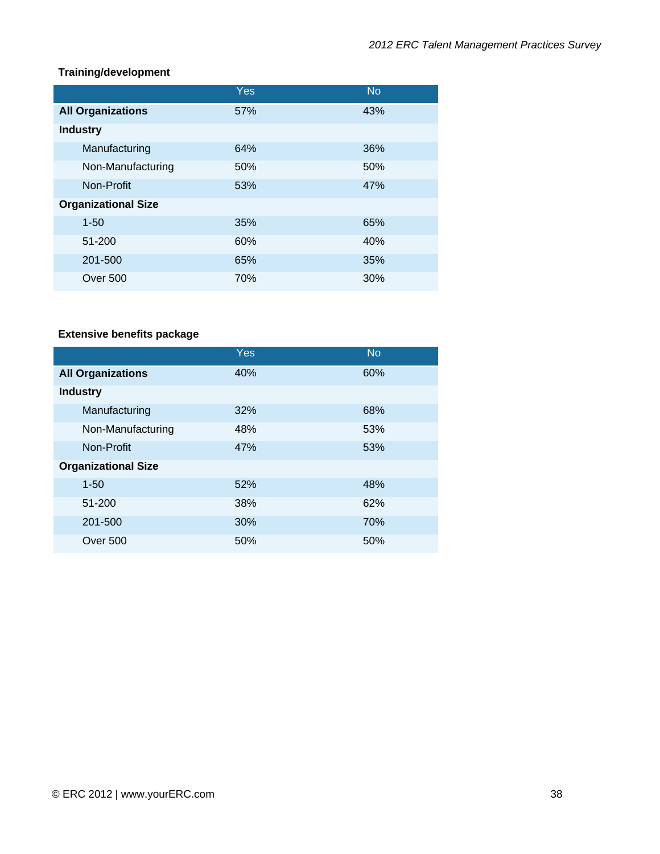## **Training/development**

|                            | Yes | <b>No</b> |
|----------------------------|-----|-----------|
| <b>All Organizations</b>   | 57% | 43%       |
| <b>Industry</b>            |     |           |
| Manufacturing              | 64% | 36%       |
| Non-Manufacturing          | 50% | 50%       |
| Non-Profit                 | 53% | 47%       |
| <b>Organizational Size</b> |     |           |
| $1 - 50$                   | 35% | 65%       |
| 51-200                     | 60% | 40%       |
| 201-500                    | 65% | 35%       |
| Over 500                   | 70% | 30%       |

# **Extensive benefits package**

|                            | Yes | <b>No</b> |
|----------------------------|-----|-----------|
| <b>All Organizations</b>   | 40% | 60%       |
| <b>Industry</b>            |     |           |
| Manufacturing              | 32% | 68%       |
| Non-Manufacturing          | 48% | 53%       |
| Non-Profit                 | 47% | 53%       |
| <b>Organizational Size</b> |     |           |
| $1 - 50$                   | 52% | 48%       |
| 51-200                     | 38% | 62%       |
| 201-500                    | 30% | 70%       |
| Over 500                   | 50% | 50%       |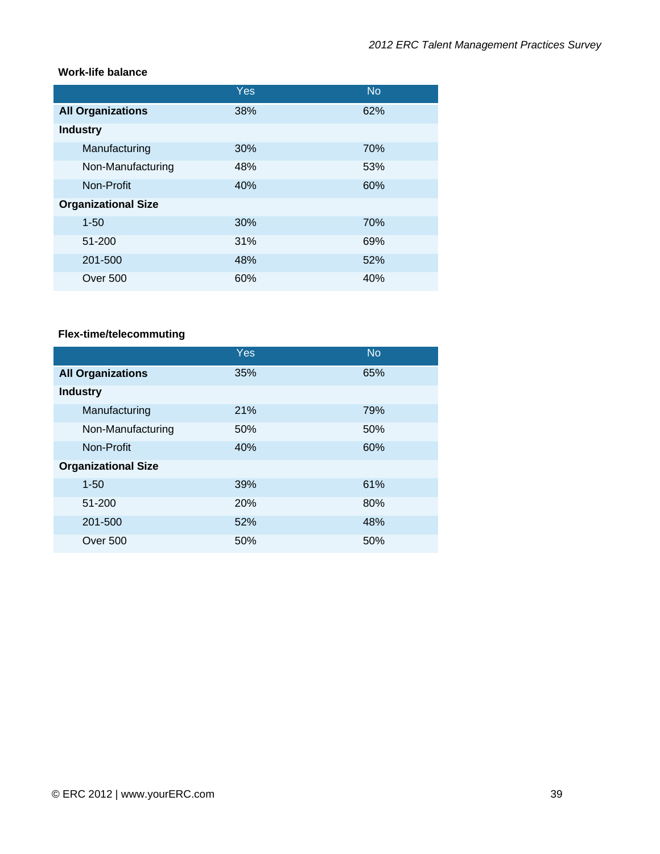#### **Work-life balance**

|                            | Yes | <b>No</b> |
|----------------------------|-----|-----------|
| <b>All Organizations</b>   | 38% | 62%       |
| <b>Industry</b>            |     |           |
| Manufacturing              | 30% | 70%       |
| Non-Manufacturing          | 48% | 53%       |
| Non-Profit                 | 40% | 60%       |
| <b>Organizational Size</b> |     |           |
| $1 - 50$                   | 30% | 70%       |
| 51-200                     | 31% | 69%       |
| 201-500                    | 48% | 52%       |
| <b>Over 500</b>            | 60% | 40%       |

# **Flex-time/telecommuting**

|                            | Yes | <b>No</b> |
|----------------------------|-----|-----------|
| <b>All Organizations</b>   | 35% | 65%       |
| <b>Industry</b>            |     |           |
| Manufacturing              | 21% | 79%       |
| Non-Manufacturing          | 50% | 50%       |
| Non-Profit                 | 40% | 60%       |
| <b>Organizational Size</b> |     |           |
| $1 - 50$                   | 39% | 61%       |
| 51-200                     | 20% | 80%       |
| 201-500                    | 52% | 48%       |
| Over 500                   | 50% | 50%       |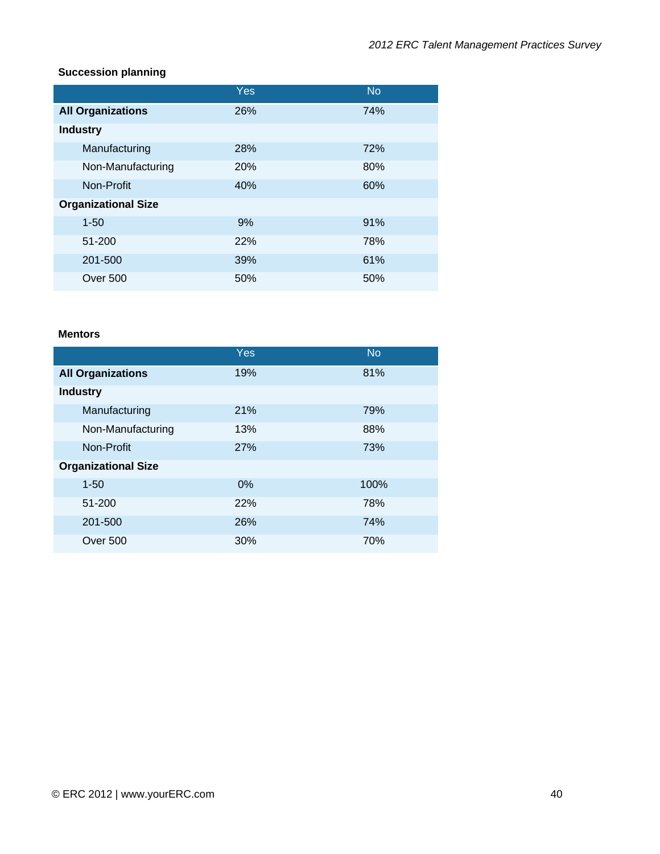## **Succession planning**

|                            | Yes | <b>No</b> |
|----------------------------|-----|-----------|
| <b>All Organizations</b>   | 26% | 74%       |
| <b>Industry</b>            |     |           |
| Manufacturing              | 28% | 72%       |
| Non-Manufacturing          | 20% | 80%       |
| Non-Profit                 | 40% | 60%       |
| <b>Organizational Size</b> |     |           |
| $1 - 50$                   | 9%  | 91%       |
| 51-200                     | 22% | 78%       |
| 201-500                    | 39% | 61%       |
| Over 500                   | 50% | 50%       |

#### **Mentors**

|                            | Yes   | <b>No</b> |
|----------------------------|-------|-----------|
| <b>All Organizations</b>   | 19%   | 81%       |
| <b>Industry</b>            |       |           |
| Manufacturing              | 21%   | 79%       |
| Non-Manufacturing          | 13%   | 88%       |
| Non-Profit                 | 27%   | 73%       |
| <b>Organizational Size</b> |       |           |
| $1 - 50$                   | $0\%$ | 100%      |
| 51-200                     | 22%   | 78%       |
| 201-500                    | 26%   | 74%       |
| Over 500                   | 30%   | 70%       |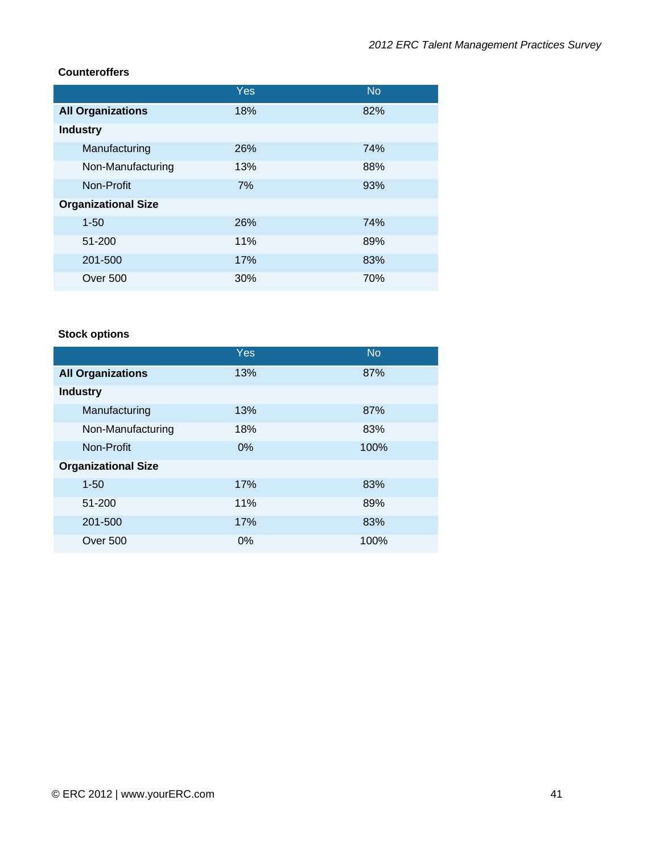## **Counteroffers**

|                            | Yes | <b>No</b> |
|----------------------------|-----|-----------|
| <b>All Organizations</b>   | 18% | 82%       |
| <b>Industry</b>            |     |           |
| Manufacturing              | 26% | 74%       |
| Non-Manufacturing          | 13% | 88%       |
| Non-Profit                 | 7%  | 93%       |
| <b>Organizational Size</b> |     |           |
| $1 - 50$                   | 26% | 74%       |
| 51-200                     | 11% | 89%       |
| 201-500                    | 17% | 83%       |
| <b>Over 500</b>            | 30% | 70%       |

# **Stock options**

|                            | Yes   | <b>No</b> |
|----------------------------|-------|-----------|
| <b>All Organizations</b>   | 13%   | 87%       |
| <b>Industry</b>            |       |           |
| Manufacturing              | 13%   | 87%       |
| Non-Manufacturing          | 18%   | 83%       |
| Non-Profit                 | 0%    | 100%      |
| <b>Organizational Size</b> |       |           |
| $1 - 50$                   | 17%   | 83%       |
| 51-200                     | 11%   | 89%       |
| 201-500                    | 17%   | 83%       |
| Over 500                   | $0\%$ | 100%      |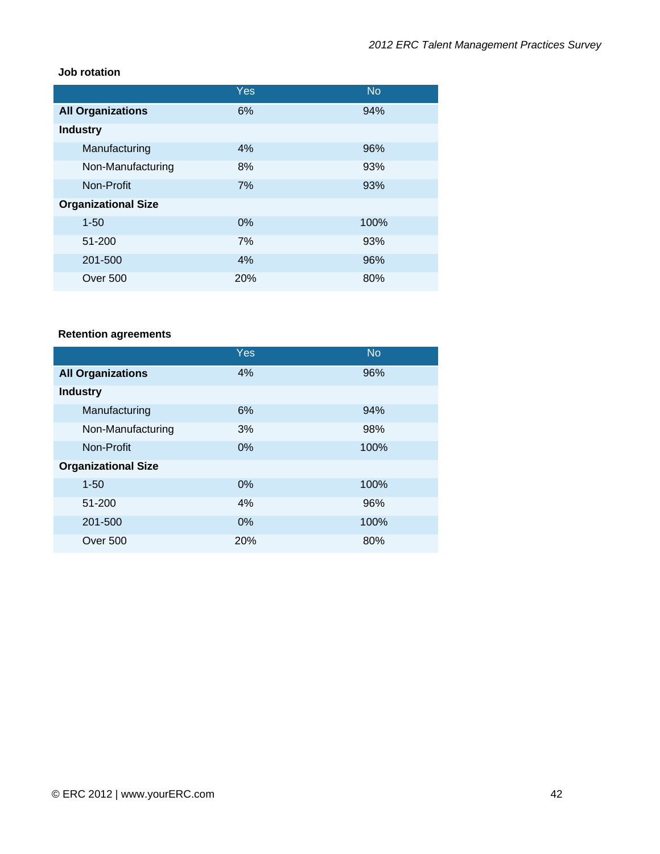#### **Job rotation**

|                            | Yes | <b>No</b> |
|----------------------------|-----|-----------|
| <b>All Organizations</b>   | 6%  | 94%       |
| <b>Industry</b>            |     |           |
| Manufacturing              | 4%  | 96%       |
| Non-Manufacturing          | 8%  | 93%       |
| Non-Profit                 | 7%  | 93%       |
| <b>Organizational Size</b> |     |           |
| $1 - 50$                   | 0%  | 100%      |
| 51-200                     | 7%  | 93%       |
| 201-500                    | 4%  | 96%       |
| <b>Over 500</b>            | 20% | 80%       |

# **Retention agreements**

|                            | Yes | <b>No</b> |
|----------------------------|-----|-----------|
| <b>All Organizations</b>   | 4%  | 96%       |
| <b>Industry</b>            |     |           |
| Manufacturing              | 6%  | 94%       |
| Non-Manufacturing          | 3%  | 98%       |
| Non-Profit                 | 0%  | 100%      |
| <b>Organizational Size</b> |     |           |
| $1 - 50$                   | 0%  | 100%      |
| 51-200                     | 4%  | 96%       |
| 201-500                    | 0%  | 100%      |
| Over 500                   | 20% | 80%       |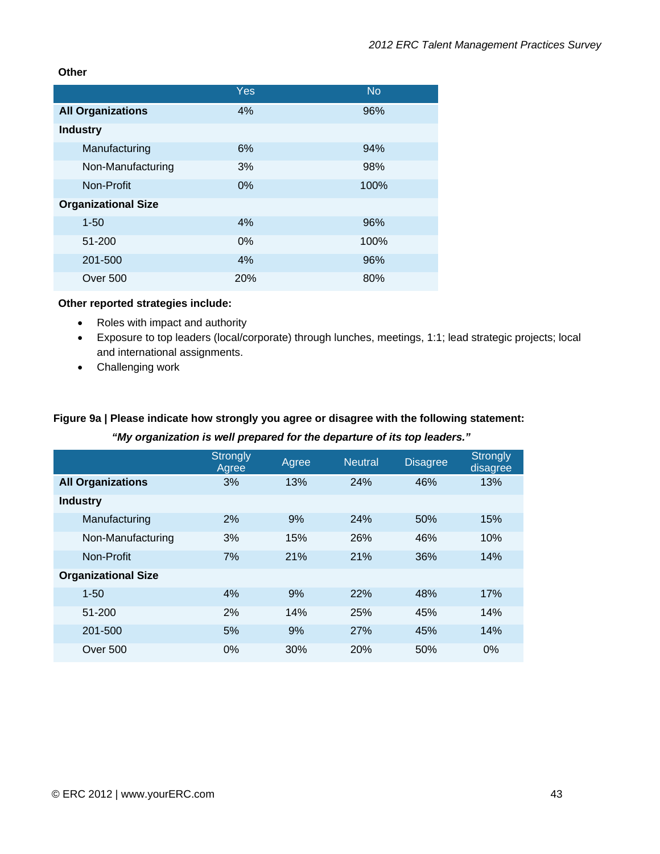#### **Other**

|                            | Yes        | <b>No</b> |
|----------------------------|------------|-----------|
| <b>All Organizations</b>   | 4%         | 96%       |
| <b>Industry</b>            |            |           |
| Manufacturing              | 6%         | 94%       |
| Non-Manufacturing          | 3%         | 98%       |
| Non-Profit                 | 0%         | 100%      |
| <b>Organizational Size</b> |            |           |
| $1 - 50$                   | 4%         | 96%       |
| 51-200                     | 0%         | 100%      |
| 201-500                    | 4%         | 96%       |
| Over 500                   | <b>20%</b> | 80%       |

#### **Other reported strategies include:**

- Roles with impact and authority
- Exposure to top leaders (local/corporate) through lunches, meetings, 1:1; lead strategic projects; local and international assignments.
- Challenging work

# **Figure 9a | Please indicate how strongly you agree or disagree with the following statement:**   *"My organization is well prepared for the departure of its top leaders."*

|                            | <b>Strongly</b><br>Agree | Agree | <b>Neutral</b> | <b>Disagree</b> | <b>Strongly</b><br>disagree |
|----------------------------|--------------------------|-------|----------------|-----------------|-----------------------------|
| <b>All Organizations</b>   | 3%                       | 13%   | 24%            | 46%             | 13%                         |
| <b>Industry</b>            |                          |       |                |                 |                             |
| Manufacturing              | 2%                       | 9%    | 24%            | 50%             | 15%                         |
| Non-Manufacturing          | 3%                       | 15%   | 26%            | 46%             | 10%                         |
| Non-Profit                 | 7%                       | 21%   | 21%            | 36%             | 14%                         |
| <b>Organizational Size</b> |                          |       |                |                 |                             |
| $1 - 50$                   | 4%                       | 9%    | 22%            | 48%             | 17%                         |
| 51-200                     | 2%                       | 14%   | 25%            | 45%             | 14%                         |
| 201-500                    | 5%                       | 9%    | 27%            | 45%             | 14%                         |
| Over 500                   | 0%                       | 30%   | 20%            | 50%             | 0%                          |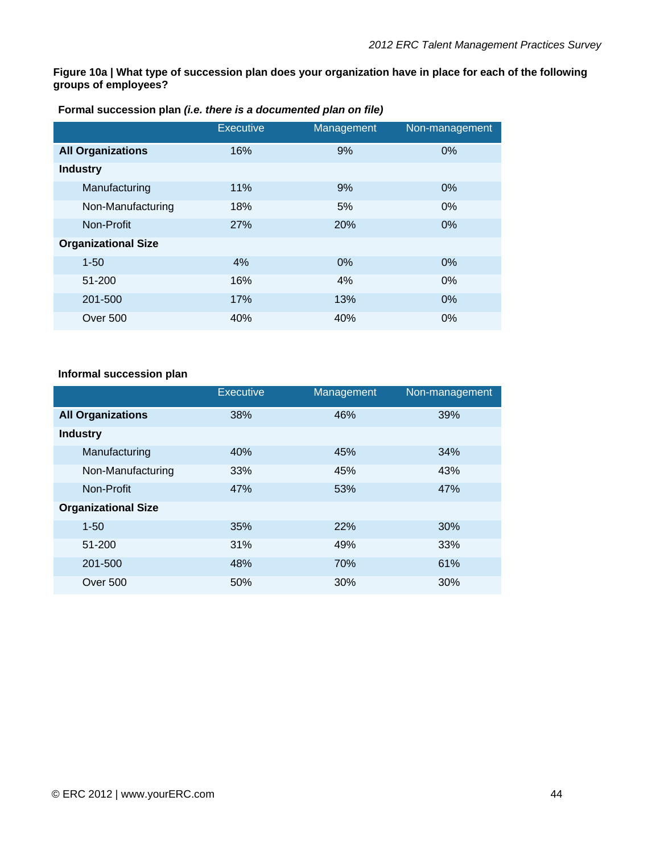**Figure 10a | What type of succession plan does your organization have in place for each of the following groups of employees?** 

**Formal succession plan** *(i.e. there is a documented plan on file)*

|                            | <b>Executive</b> | Management | Non-management |
|----------------------------|------------------|------------|----------------|
| <b>All Organizations</b>   | 16%              | 9%         | 0%             |
| <b>Industry</b>            |                  |            |                |
| Manufacturing              | 11%              | 9%         | 0%             |
| Non-Manufacturing          | 18%              | 5%         | $0\%$          |
| Non-Profit                 | <b>27%</b>       | 20%        | $0\%$          |
| <b>Organizational Size</b> |                  |            |                |
| $1 - 50$                   | 4%               | 0%         | $0\%$          |
| 51-200                     | 16%              | 4%         | $0\%$          |
| 201-500                    | 17%              | 13%        | $0\%$          |
| Over 500                   | 40%              | 40%        | $0\%$          |

#### **Informal succession plan**

|                            | <b>Executive</b> | Management | Non-management |
|----------------------------|------------------|------------|----------------|
| <b>All Organizations</b>   | 38%              | 46%        | 39%            |
| <b>Industry</b>            |                  |            |                |
| Manufacturing              | 40%              | 45%        | 34%            |
| Non-Manufacturing          | 33%              | 45%        | 43%            |
| Non-Profit                 | 47%              | 53%        | 47%            |
| <b>Organizational Size</b> |                  |            |                |
| $1 - 50$                   | 35%              | 22%        | 30%            |
| 51-200                     | 31%              | 49%        | 33%            |
| 201-500                    | 48%              | 70%        | 61%            |
| <b>Over 500</b>            | 50%              | 30%        | 30%            |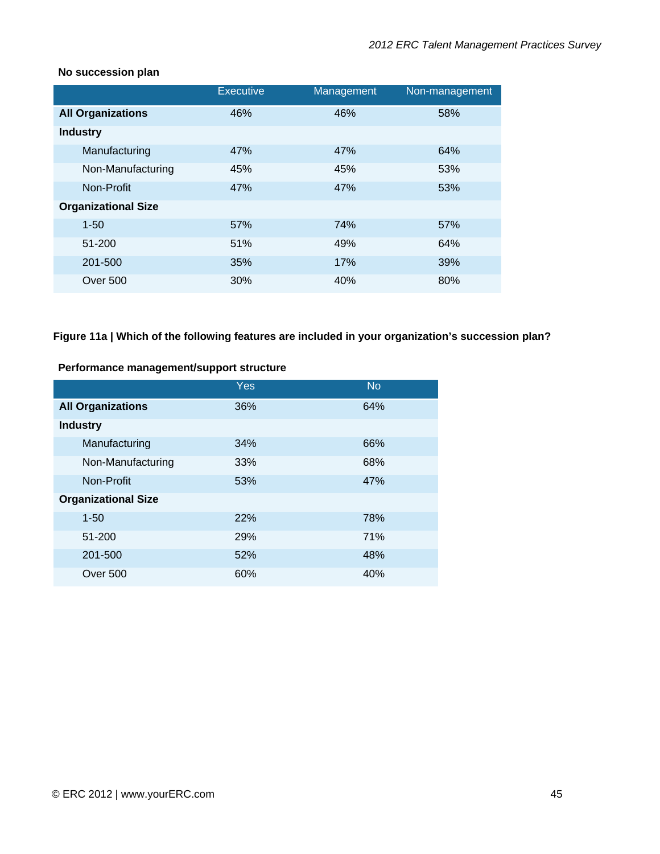#### **No succession plan**

|                            | <b>Executive</b> | Management | Non-management |
|----------------------------|------------------|------------|----------------|
| <b>All Organizations</b>   | 46%              | 46%        | 58%            |
| <b>Industry</b>            |                  |            |                |
| Manufacturing              | 47%              | 47%        | 64%            |
| Non-Manufacturing          | 45%              | 45%        | 53%            |
| Non-Profit                 | 47%              | 47%        | 53%            |
| <b>Organizational Size</b> |                  |            |                |
| $1 - 50$                   | 57%              | 74%        | 57%            |
| 51-200                     | 51%              | 49%        | 64%            |
| 201-500                    | 35%              | 17%        | 39%            |
| <b>Over 500</b>            | 30%              | 40%        | 80%            |

## **Figure 11a | Which of the following features are included in your organization's succession plan?**

#### **Performance management/support structure**

|                            | Yes | <b>No</b> |
|----------------------------|-----|-----------|
| <b>All Organizations</b>   | 36% | 64%       |
| <b>Industry</b>            |     |           |
| Manufacturing              | 34% | 66%       |
| Non-Manufacturing          | 33% | 68%       |
| Non-Profit                 | 53% | 47%       |
| <b>Organizational Size</b> |     |           |
| $1 - 50$                   | 22% | 78%       |
| 51-200                     | 29% | 71%       |
| 201-500                    | 52% | 48%       |
| Over 500                   | 60% | 40%       |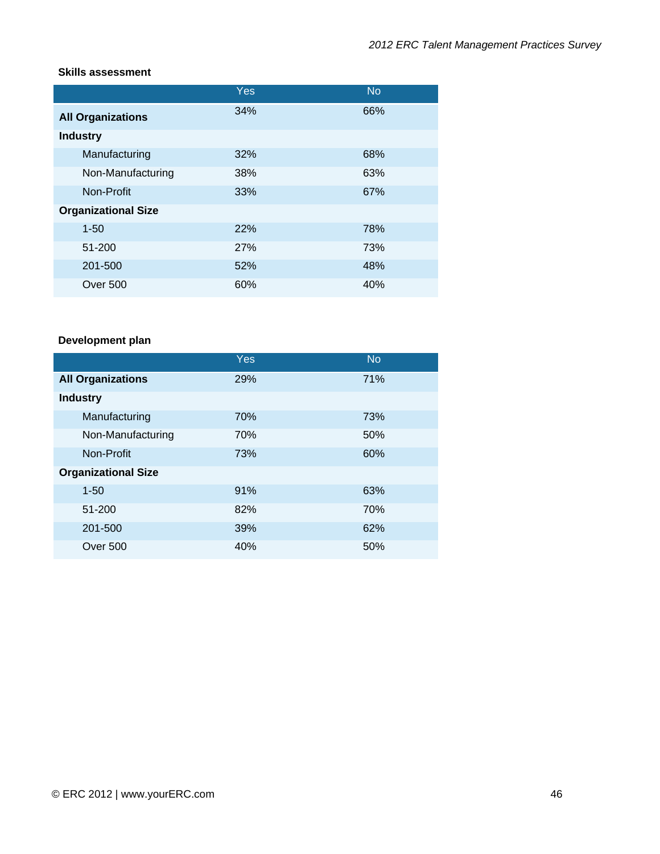#### **Skills assessment**

|                            | Yes | <b>No</b> |
|----------------------------|-----|-----------|
| <b>All Organizations</b>   | 34% | 66%       |
| <b>Industry</b>            |     |           |
| Manufacturing              | 32% | 68%       |
| Non-Manufacturing          | 38% | 63%       |
| Non-Profit                 | 33% | 67%       |
| <b>Organizational Size</b> |     |           |
| $1 - 50$                   | 22% | 78%       |
| 51-200                     | 27% | 73%       |
| 201-500                    | 52% | 48%       |
| Over 500                   | 60% | 40%       |

# **Development plan**

|                            | Yes | <b>No</b> |
|----------------------------|-----|-----------|
| <b>All Organizations</b>   | 29% | 71%       |
| <b>Industry</b>            |     |           |
| Manufacturing              | 70% | 73%       |
| Non-Manufacturing          | 70% | 50%       |
| Non-Profit                 | 73% | 60%       |
| <b>Organizational Size</b> |     |           |
| $1 - 50$                   | 91% | 63%       |
| 51-200                     | 82% | 70%       |
| 201-500                    | 39% | 62%       |
| Over 500                   | 40% | 50%       |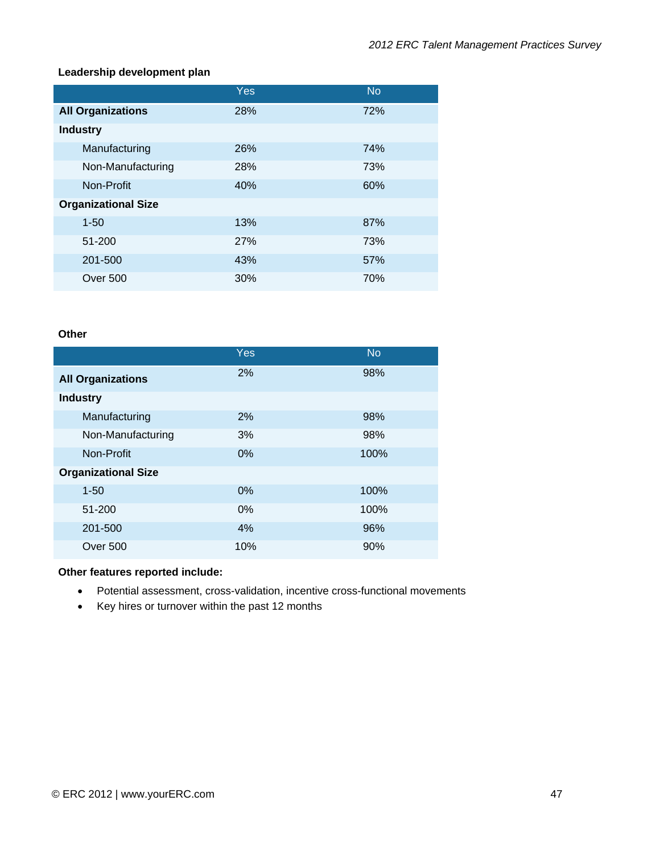#### **Leadership development plan**

|                            | Yes        | <b>No</b> |
|----------------------------|------------|-----------|
| <b>All Organizations</b>   | 28%        | 72%       |
| <b>Industry</b>            |            |           |
| Manufacturing              | <b>26%</b> | 74%       |
| Non-Manufacturing          | 28%        | 73%       |
| Non-Profit                 | 40%        | 60%       |
| <b>Organizational Size</b> |            |           |
| $1 - 50$                   | 13%        | 87%       |
| 51-200                     | <b>27%</b> | 73%       |
| 201-500                    | 43%        | 57%       |
| Over 500                   | 30%        | 70%       |

#### **Other**

|                            | Yes   | <b>No</b> |
|----------------------------|-------|-----------|
| <b>All Organizations</b>   | 2%    | 98%       |
| <b>Industry</b>            |       |           |
| Manufacturing              | 2%    | 98%       |
| Non-Manufacturing          | 3%    | 98%       |
| Non-Profit                 | 0%    | 100%      |
| <b>Organizational Size</b> |       |           |
| $1 - 50$                   | $0\%$ | 100%      |
| 51-200                     | $0\%$ | 100%      |
| 201-500                    | 4%    | 96%       |
| Over 500                   | 10%   | 90%       |

#### **Other features reported include:**

- Potential assessment, cross-validation, incentive cross-functional movements
- Key hires or turnover within the past 12 months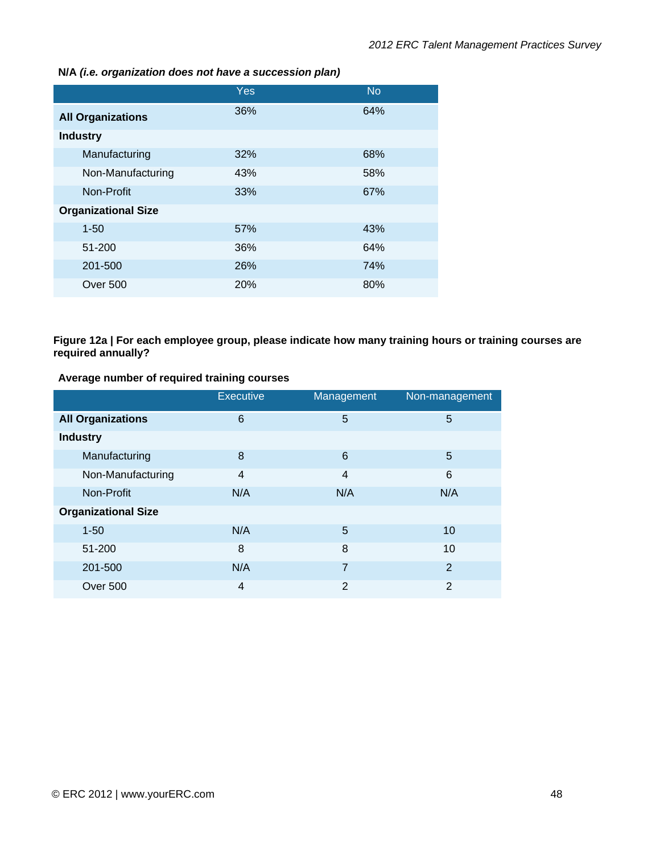**N/A** *(i.e. organization does not have a succession plan)*

|                            | <b>Yes</b> | <b>No</b> |
|----------------------------|------------|-----------|
| <b>All Organizations</b>   | 36%        | 64%       |
| <b>Industry</b>            |            |           |
| Manufacturing              | 32%        | 68%       |
| Non-Manufacturing          | 43%        | 58%       |
| Non-Profit                 | 33%        | 67%       |
| <b>Organizational Size</b> |            |           |
| $1 - 50$                   | 57%        | 43%       |
| 51-200                     | 36%        | 64%       |
| 201-500                    | 26%        | 74%       |
| Over 500                   | <b>20%</b> | 80%       |

#### **Figure 12a | For each employee group, please indicate how many training hours or training courses are required annually?**

**Average number of required training courses** 

|                            | <b>Executive</b> | Management     | Non-management |
|----------------------------|------------------|----------------|----------------|
| <b>All Organizations</b>   | 6                | 5              | 5              |
| <b>Industry</b>            |                  |                |                |
| Manufacturing              | 8                | 6              | 5              |
| Non-Manufacturing          | $\overline{4}$   | 4              | 6              |
| Non-Profit                 | N/A              | N/A            | N/A            |
| <b>Organizational Size</b> |                  |                |                |
| $1 - 50$                   | N/A              | 5              | 10             |
| 51-200                     | 8                | 8              | 10             |
| 201-500                    | N/A              | 7              | $\overline{2}$ |
| Over 500                   | $\overline{4}$   | $\overline{2}$ | $\overline{2}$ |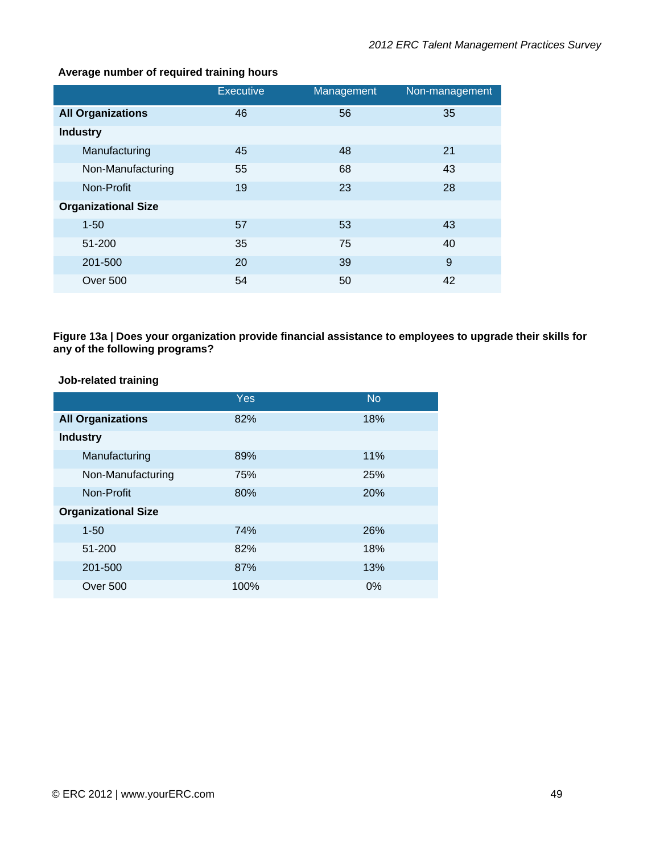|                            | <b>Executive</b> | Management | Non-management |
|----------------------------|------------------|------------|----------------|
| <b>All Organizations</b>   | 46               | 56         | 35             |
| <b>Industry</b>            |                  |            |                |
| Manufacturing              | 45               | 48         | 21             |
| Non-Manufacturing          | 55               | 68         | 43             |
| Non-Profit                 | 19               | 23         | 28             |
| <b>Organizational Size</b> |                  |            |                |
| $1 - 50$                   | 57               | 53         | 43             |
| 51-200                     | 35               | 75         | 40             |
| 201-500                    | 20               | 39         | 9              |
| Over 500                   | 54               | 50         | 42             |

#### **Average number of required training hours**

**Figure 13a | Does your organization provide financial assistance to employees to upgrade their skills for any of the following programs?** 

### **Job-related training**

|                            | Yes  | <b>No</b> |
|----------------------------|------|-----------|
| <b>All Organizations</b>   | 82%  | 18%       |
| <b>Industry</b>            |      |           |
| Manufacturing              | 89%  | 11%       |
| Non-Manufacturing          | 75%  | 25%       |
| Non-Profit                 | 80%  | 20%       |
| <b>Organizational Size</b> |      |           |
| $1 - 50$                   | 74%  | 26%       |
| 51-200                     | 82%  | 18%       |
| 201-500                    | 87%  | 13%       |
| Over 500                   | 100% | 0%        |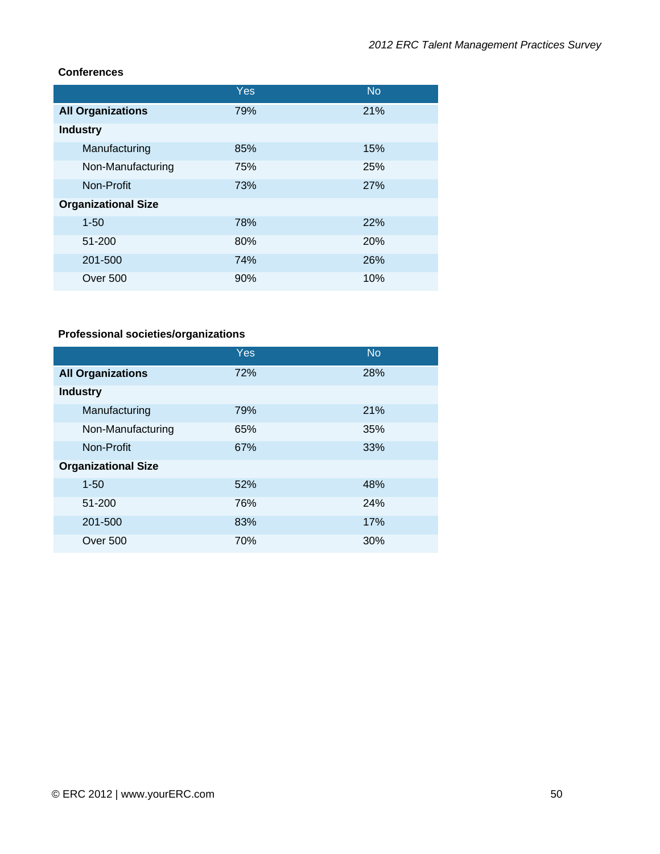## **Conferences**

|                            | Yes | <b>No</b>  |
|----------------------------|-----|------------|
| <b>All Organizations</b>   | 79% | 21%        |
| <b>Industry</b>            |     |            |
| Manufacturing              | 85% | 15%        |
| Non-Manufacturing          | 75% | 25%        |
| Non-Profit                 | 73% | 27%        |
| <b>Organizational Size</b> |     |            |
| $1 - 50$                   | 78% | <b>22%</b> |
| 51-200                     | 80% | 20%        |
| 201-500                    | 74% | 26%        |
| <b>Over 500</b>            | 90% | 10%        |

# **Professional societies/organizations**

|                            | Yes | <b>No</b> |
|----------------------------|-----|-----------|
| <b>All Organizations</b>   | 72% | 28%       |
| <b>Industry</b>            |     |           |
| Manufacturing              | 79% | 21%       |
| Non-Manufacturing          | 65% | 35%       |
| Non-Profit                 | 67% | 33%       |
| <b>Organizational Size</b> |     |           |
| $1 - 50$                   | 52% | 48%       |
| 51-200                     | 76% | 24%       |
| 201-500                    | 83% | 17%       |
| <b>Over 500</b>            | 70% | 30%       |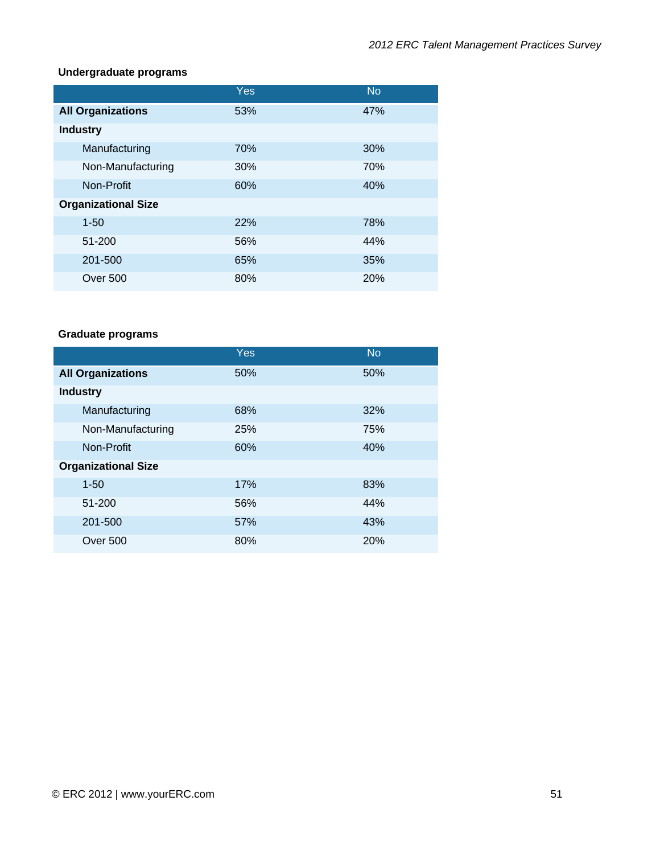## **Undergraduate programs**

|                            | Yes | <b>No</b> |
|----------------------------|-----|-----------|
| <b>All Organizations</b>   | 53% | 47%       |
| <b>Industry</b>            |     |           |
| Manufacturing              | 70% | 30%       |
| Non-Manufacturing          | 30% | 70%       |
| Non-Profit                 | 60% | 40%       |
| <b>Organizational Size</b> |     |           |
| $1 - 50$                   | 22% | 78%       |
| 51-200                     | 56% | 44%       |
| 201-500                    | 65% | 35%       |
| Over 500                   | 80% | 20%       |

# **Graduate programs**

|                            | Yes | <b>No</b> |
|----------------------------|-----|-----------|
| <b>All Organizations</b>   | 50% | 50%       |
| <b>Industry</b>            |     |           |
| Manufacturing              | 68% | 32%       |
| Non-Manufacturing          | 25% | 75%       |
| Non-Profit                 | 60% | 40%       |
| <b>Organizational Size</b> |     |           |
| $1 - 50$                   | 17% | 83%       |
| 51-200                     | 56% | 44%       |
| 201-500                    | 57% | 43%       |
| Over 500                   | 80% | 20%       |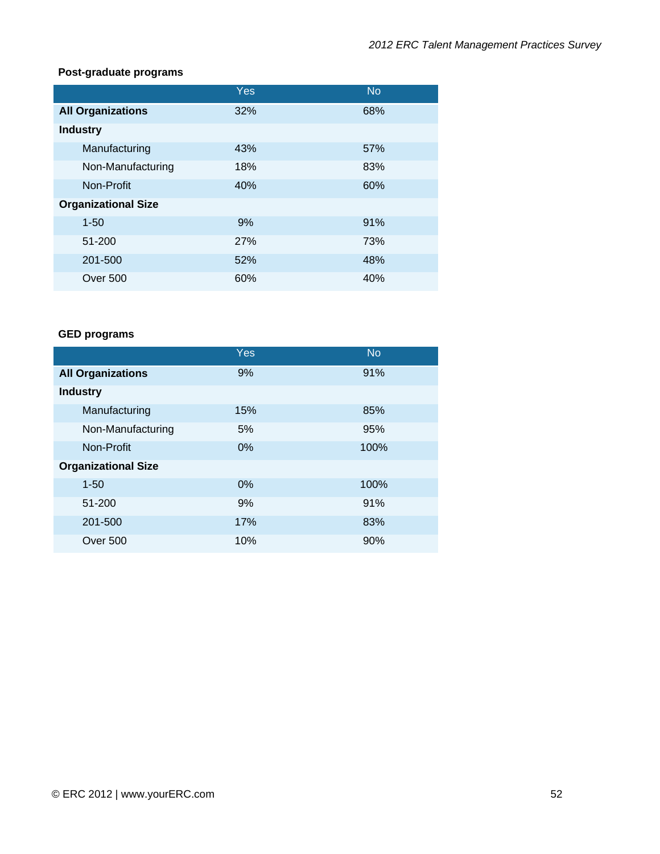## **Post-graduate programs**

|                            | Yes | <b>No</b> |
|----------------------------|-----|-----------|
| <b>All Organizations</b>   | 32% | 68%       |
| <b>Industry</b>            |     |           |
| Manufacturing              | 43% | 57%       |
| Non-Manufacturing          | 18% | 83%       |
| Non-Profit                 | 40% | 60%       |
| <b>Organizational Size</b> |     |           |
| $1 - 50$                   | 9%  | 91%       |
| 51-200                     | 27% | 73%       |
| 201-500                    | 52% | 48%       |
| Over 500                   | 60% | 40%       |

## **GED programs**

|                            | Yes | <b>No</b> |
|----------------------------|-----|-----------|
| <b>All Organizations</b>   | 9%  | 91%       |
| <b>Industry</b>            |     |           |
| Manufacturing              | 15% | 85%       |
| Non-Manufacturing          | 5%  | 95%       |
| Non-Profit                 | 0%  | 100%      |
| <b>Organizational Size</b> |     |           |
| $1 - 50$                   | 0%  | 100%      |
| 51-200                     | 9%  | 91%       |
| 201-500                    | 17% | 83%       |
| Over 500                   | 10% | 90%       |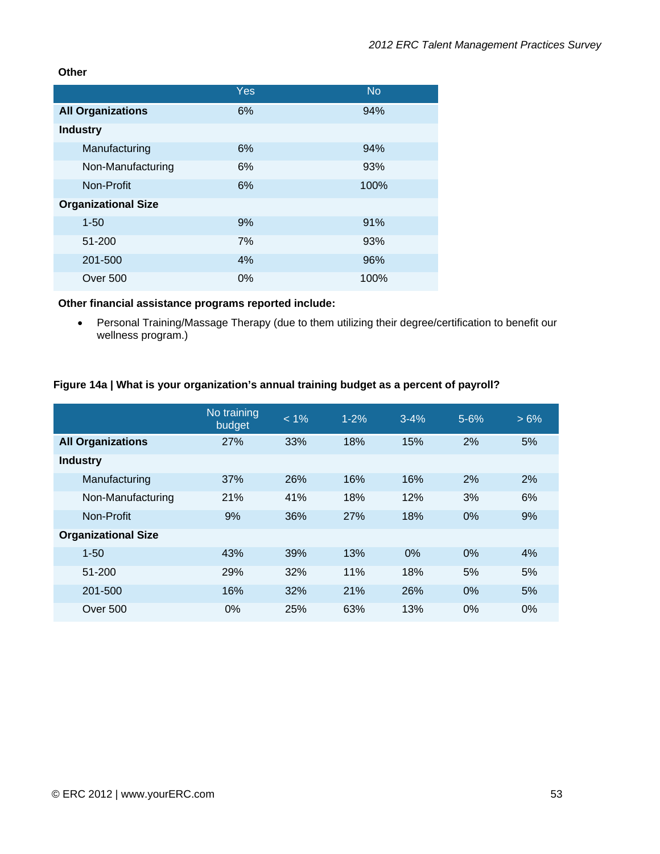#### **Other**

|                            | Yes | <b>No</b> |
|----------------------------|-----|-----------|
| <b>All Organizations</b>   | 6%  | 94%       |
| <b>Industry</b>            |     |           |
| Manufacturing              | 6%  | 94%       |
| Non-Manufacturing          | 6%  | 93%       |
| Non-Profit                 | 6%  | 100%      |
| <b>Organizational Size</b> |     |           |
| $1 - 50$                   | 9%  | 91%       |
| 51-200                     | 7%  | 93%       |
| 201-500                    | 4%  | 96%       |
| Over 500                   | 0%  | 100%      |

# **Other financial assistance programs reported include:**

• Personal Training/Massage Therapy (due to them utilizing their degree/certification to benefit our wellness program.)

#### **Figure 14a | What is your organization's annual training budget as a percent of payroll?**

|                            | No training<br>budget | $< 1\%$ | $1 - 2%$ | $3 - 4%$ | $5 - 6%$ | $>6\%$ |
|----------------------------|-----------------------|---------|----------|----------|----------|--------|
| <b>All Organizations</b>   | 27%                   | 33%     | 18%      | 15%      | 2%       | 5%     |
| <b>Industry</b>            |                       |         |          |          |          |        |
| Manufacturing              | 37%                   | 26%     | 16%      | 16%      | 2%       | 2%     |
| Non-Manufacturing          | 21%                   | 41%     | 18%      | 12%      | 3%       | 6%     |
| Non-Profit                 | 9%                    | 36%     | 27%      | 18%      | 0%       | 9%     |
| <b>Organizational Size</b> |                       |         |          |          |          |        |
| $1 - 50$                   | 43%                   | 39%     | 13%      | 0%       | 0%       | 4%     |
| 51-200                     | 29%                   | 32%     | 11%      | 18%      | 5%       | 5%     |
| 201-500                    | 16%                   | 32%     | 21%      | 26%      | 0%       | 5%     |
| Over 500                   | 0%                    | 25%     | 63%      | 13%      | 0%       | 0%     |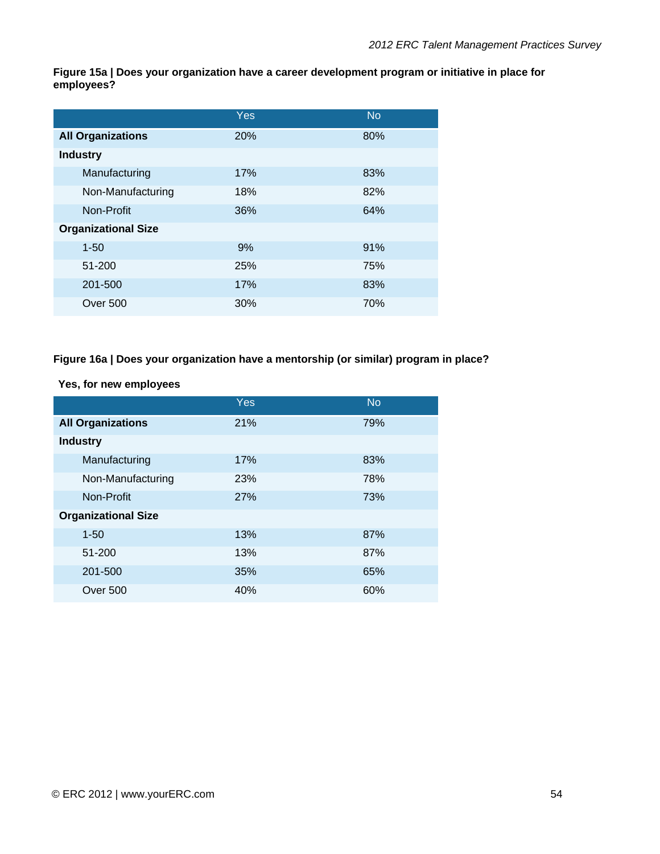**Figure 15a | Does your organization have a career development program or initiative in place for employees?** 

|                            | Yes | <b>No</b> |
|----------------------------|-----|-----------|
| <b>All Organizations</b>   | 20% | 80%       |
| <b>Industry</b>            |     |           |
| Manufacturing              | 17% | 83%       |
| Non-Manufacturing          | 18% | 82%       |
| Non-Profit                 | 36% | 64%       |
| <b>Organizational Size</b> |     |           |
| $1 - 50$                   | 9%  | 91%       |
| 51-200                     | 25% | 75%       |
| 201-500                    | 17% | 83%       |
| Over 500                   | 30% | 70%       |

#### **Figure 16a | Does your organization have a mentorship (or similar) program in place?**

**Yes, for new employees** 

|                            | <b>Yes</b> | <b>No</b> |
|----------------------------|------------|-----------|
| <b>All Organizations</b>   | 21%        | 79%       |
| <b>Industry</b>            |            |           |
| Manufacturing              | 17%        | 83%       |
| Non-Manufacturing          | 23%        | 78%       |
| Non-Profit                 | 27%        | 73%       |
| <b>Organizational Size</b> |            |           |
| $1 - 50$                   | 13%        | 87%       |
| 51-200                     | 13%        | 87%       |
| 201-500                    | 35%        | 65%       |
| <b>Over 500</b>            | 40%        | 60%       |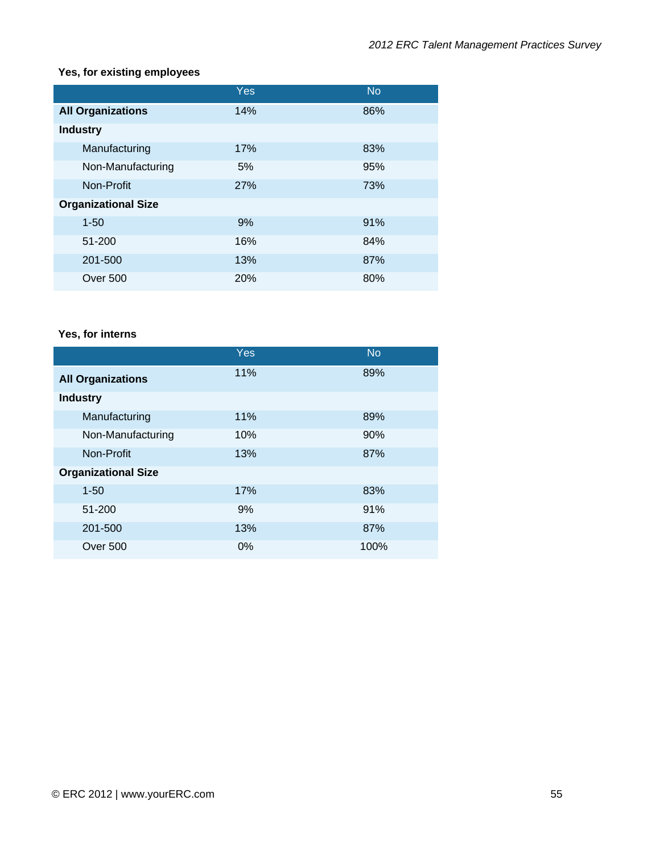# **Yes, for existing employees**

|                            | Yes        | <b>No</b> |
|----------------------------|------------|-----------|
| <b>All Organizations</b>   | 14%        | 86%       |
| <b>Industry</b>            |            |           |
| Manufacturing              | 17%        | 83%       |
| Non-Manufacturing          | 5%         | 95%       |
| Non-Profit                 | <b>27%</b> | 73%       |
| <b>Organizational Size</b> |            |           |
| $1 - 50$                   | 9%         | 91%       |
| 51-200                     | 16%        | 84%       |
| 201-500                    | 13%        | 87%       |
| Over 500                   | 20%        | 80%       |

# **Yes, for interns**

|                            | Yes   | <b>No</b> |
|----------------------------|-------|-----------|
| <b>All Organizations</b>   | 11%   | 89%       |
| <b>Industry</b>            |       |           |
| Manufacturing              | 11%   | 89%       |
| Non-Manufacturing          | 10%   | 90%       |
| Non-Profit                 | 13%   | 87%       |
| <b>Organizational Size</b> |       |           |
| $1 - 50$                   | 17%   | 83%       |
| 51-200                     | 9%    | 91%       |
| 201-500                    | 13%   | 87%       |
| Over 500                   | $0\%$ | 100%      |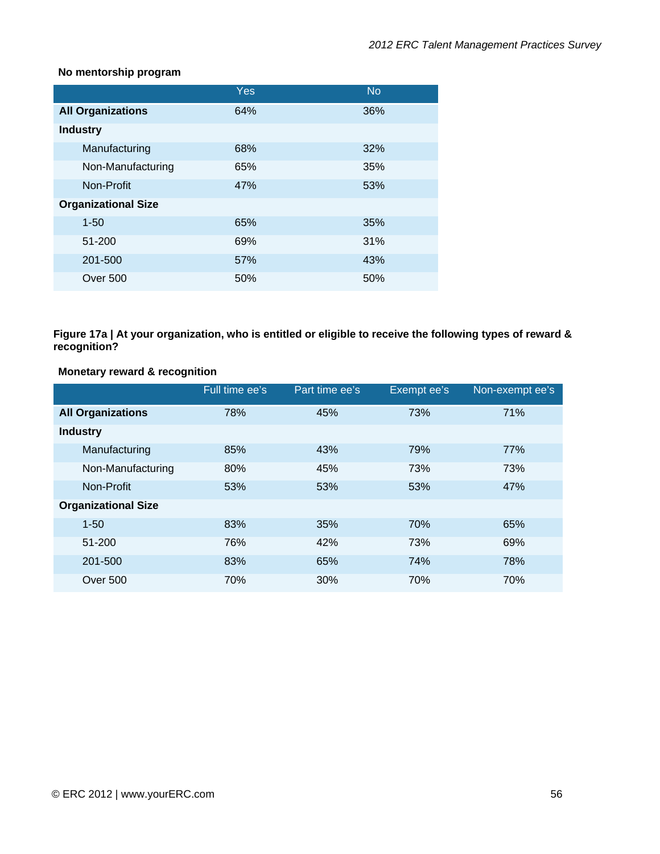#### **No mentorship program**

|                            | <b>Yes</b> | <b>No</b> |
|----------------------------|------------|-----------|
| <b>All Organizations</b>   | 64%        | 36%       |
| <b>Industry</b>            |            |           |
| Manufacturing              | 68%        | 32%       |
| Non-Manufacturing          | 65%        | 35%       |
| Non-Profit                 | 47%        | 53%       |
| <b>Organizational Size</b> |            |           |
| $1 - 50$                   | 65%        | 35%       |
| 51-200                     | 69%        | 31%       |
| 201-500                    | 57%        | 43%       |
| Over 500                   | 50%        | 50%       |

**Figure 17a | At your organization, who is entitled or eligible to receive the following types of reward & recognition?** 

#### **Monetary reward & recognition**

|                            | Full time ee's | Part time ee's | Exempt ee's | Non-exempt ee's |
|----------------------------|----------------|----------------|-------------|-----------------|
| <b>All Organizations</b>   | 78%            | 45%            | 73%         | 71%             |
| <b>Industry</b>            |                |                |             |                 |
| Manufacturing              | 85%            | 43%            | 79%         | 77%             |
| Non-Manufacturing          | 80%            | 45%            | 73%         | 73%             |
| Non-Profit                 | 53%            | 53%            | 53%         | 47%             |
| <b>Organizational Size</b> |                |                |             |                 |
| $1 - 50$                   | 83%            | 35%            | 70%         | 65%             |
| 51-200                     | 76%            | 42%            | 73%         | 69%             |
| 201-500                    | 83%            | 65%            | 74%         | 78%             |
| Over 500                   | 70%            | 30%            | 70%         | 70%             |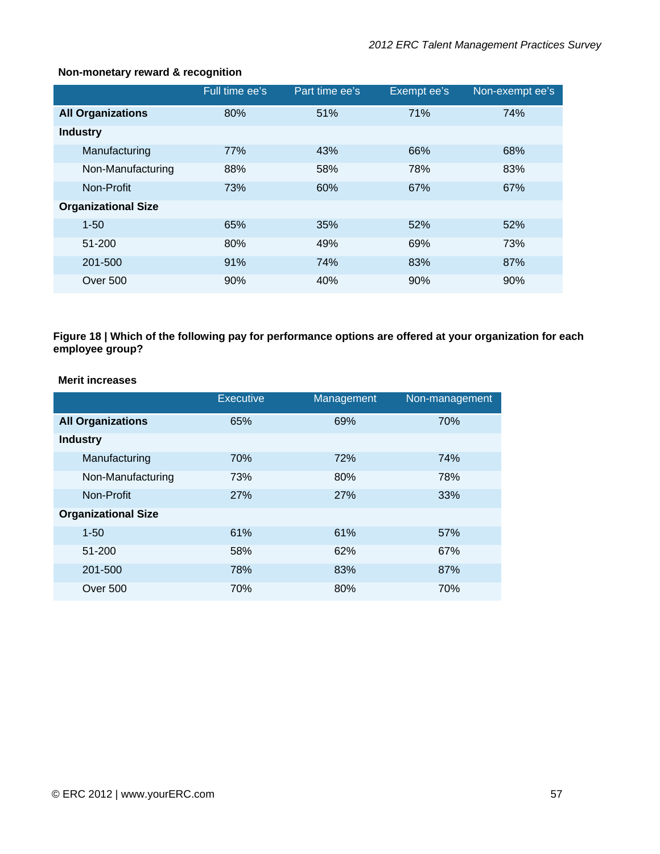|                            | Full time ee's | Part time ee's | Exempt ee's | Non-exempt ee's |
|----------------------------|----------------|----------------|-------------|-----------------|
| <b>All Organizations</b>   | 80%            | 51%            | 71%         | 74%             |
| <b>Industry</b>            |                |                |             |                 |
| Manufacturing              | 77%            | 43%            | 66%         | 68%             |
| Non-Manufacturing          | 88%            | 58%            | 78%         | 83%             |
| Non-Profit                 | 73%            | 60%            | 67%         | 67%             |
| <b>Organizational Size</b> |                |                |             |                 |
| $1 - 50$                   | 65%            | 35%            | 52%         | 52%             |
| 51-200                     | 80%            | 49%            | 69%         | 73%             |
| 201-500                    | 91%            | 74%            | 83%         | 87%             |
| Over 500                   | 90%            | 40%            | 90%         | 90%             |

#### **Non-monetary reward & recognition**

**Figure 18 | Which of the following pay for performance options are offered at your organization for each employee group?** 

#### **Merit increases**

|                            | <b>Executive</b> | Management | Non-management |
|----------------------------|------------------|------------|----------------|
| <b>All Organizations</b>   | 65%              | 69%        | 70%            |
| <b>Industry</b>            |                  |            |                |
| Manufacturing              | 70%              | 72%        | 74%            |
| Non-Manufacturing          | 73%              | 80%        | 78%            |
| Non-Profit                 | <b>27%</b>       | <b>27%</b> | 33%            |
| <b>Organizational Size</b> |                  |            |                |
| $1 - 50$                   | 61%              | 61%        | 57%            |
| 51-200                     | 58%              | 62%        | 67%            |
| 201-500                    | 78%              | 83%        | 87%            |
| Over 500                   | 70%              | 80%        | 70%            |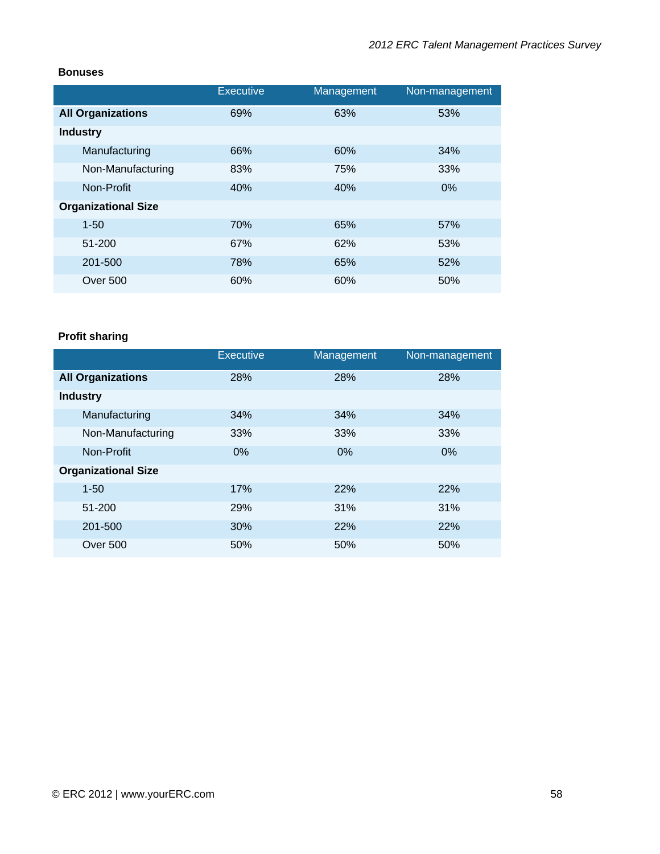#### **Bonuses**

|                            | <b>Executive</b> | Management | Non-management |
|----------------------------|------------------|------------|----------------|
| <b>All Organizations</b>   | 69%              | 63%        | 53%            |
| <b>Industry</b>            |                  |            |                |
| Manufacturing              | 66%              | 60%        | 34%            |
| Non-Manufacturing          | 83%              | 75%        | 33%            |
| Non-Profit                 | 40%              | 40%        | $0\%$          |
| <b>Organizational Size</b> |                  |            |                |
| $1 - 50$                   | 70%              | 65%        | 57%            |
| 51-200                     | 67%              | 62%        | 53%            |
| 201-500                    | 78%              | 65%        | 52%            |
| <b>Over 500</b>            | 60%              | 60%        | 50%            |

# **Profit sharing**

|                            | <b>Executive</b> | Management | Non-management |
|----------------------------|------------------|------------|----------------|
| <b>All Organizations</b>   | 28%              | 28%        | 28%            |
| <b>Industry</b>            |                  |            |                |
| Manufacturing              | 34%              | 34%        | 34%            |
| Non-Manufacturing          | 33%              | 33%        | 33%            |
| Non-Profit                 | $0\%$            | $0\%$      | 0%             |
| <b>Organizational Size</b> |                  |            |                |
| $1 - 50$                   | 17%              | 22%        | 22%            |
| 51-200                     | 29%              | 31%        | 31%            |
| 201-500                    | 30%              | 22%        | 22%            |
| Over 500                   | 50%              | 50%        | 50%            |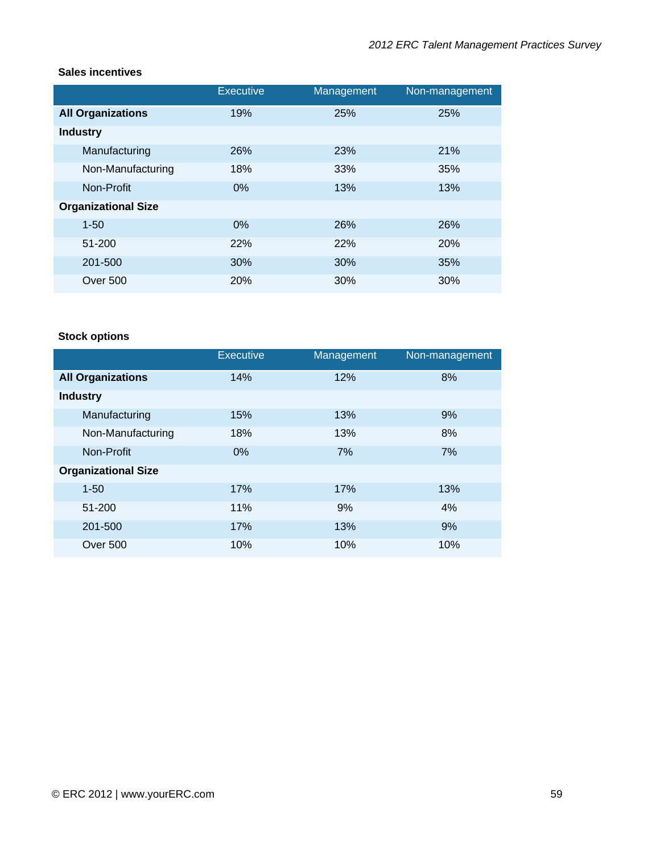### **Sales incentives**

|                            | <b>Executive</b> | Management | Non-management |
|----------------------------|------------------|------------|----------------|
| <b>All Organizations</b>   | 19%              | 25%        | 25%            |
| <b>Industry</b>            |                  |            |                |
| Manufacturing              | 26%              | 23%        | 21%            |
| Non-Manufacturing          | 18%              | 33%        | 35%            |
| Non-Profit                 | $0\%$            | 13%        | 13%            |
| <b>Organizational Size</b> |                  |            |                |
| $1 - 50$                   | 0%               | 26%        | 26%            |
| 51-200                     | 22%              | 22%        | 20%            |
| 201-500                    | 30%              | 30%        | 35%            |
| <b>Over 500</b>            | 20%              | 30%        | 30%            |

# **Stock options**

|                            | <b>Executive</b> | Management | Non-management |
|----------------------------|------------------|------------|----------------|
| <b>All Organizations</b>   | 14%              | 12%        | 8%             |
| <b>Industry</b>            |                  |            |                |
| Manufacturing              | 15%              | 13%        | 9%             |
| Non-Manufacturing          | 18%              | 13%        | 8%             |
| Non-Profit                 | 0%               | 7%         | 7%             |
| <b>Organizational Size</b> |                  |            |                |
| $1 - 50$                   | 17%              | 17%        | 13%            |
| 51-200                     | 11%              | 9%         | 4%             |
| 201-500                    | 17%              | 13%        | 9%             |
| <b>Over 500</b>            | 10%              | 10%        | 10%            |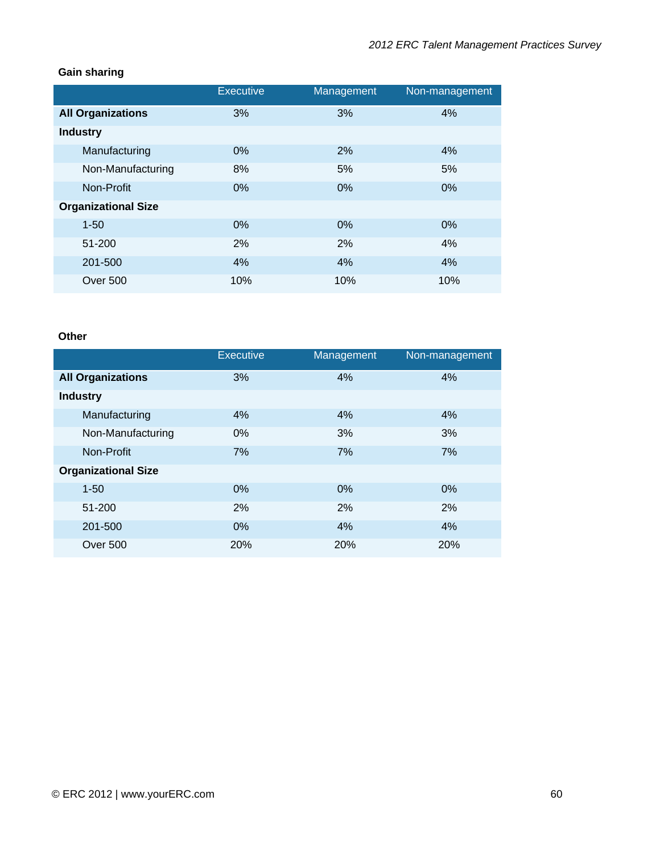## **Gain sharing**

|                            | <b>Executive</b> | Management | Non-management |
|----------------------------|------------------|------------|----------------|
| <b>All Organizations</b>   | 3%               | 3%         | 4%             |
| <b>Industry</b>            |                  |            |                |
| Manufacturing              | 0%               | 2%         | 4%             |
| Non-Manufacturing          | 8%               | 5%         | 5%             |
| Non-Profit                 | 0%               | 0%         | 0%             |
| <b>Organizational Size</b> |                  |            |                |
| $1 - 50$                   | $0\%$            | 0%         | 0%             |
| 51-200                     | 2%               | 2%         | 4%             |
| 201-500                    | 4%               | 4%         | 4%             |
| Over 500                   | 10%              | 10%        | 10%            |

# **Other**

|                            | <b>Executive</b> | Management | Non-management |
|----------------------------|------------------|------------|----------------|
| <b>All Organizations</b>   | 3%               | 4%         | 4%             |
| <b>Industry</b>            |                  |            |                |
| Manufacturing              | 4%               | 4%         | 4%             |
| Non-Manufacturing          | $0\%$            | 3%         | 3%             |
| Non-Profit                 | 7%               | 7%         | 7%             |
| <b>Organizational Size</b> |                  |            |                |
| $1 - 50$                   | 0%               | 0%         | 0%             |
| 51-200                     | 2%               | 2%         | 2%             |
| 201-500                    | 0%               | 4%         | 4%             |
| Over 500                   | <b>20%</b>       | <b>20%</b> | 20%            |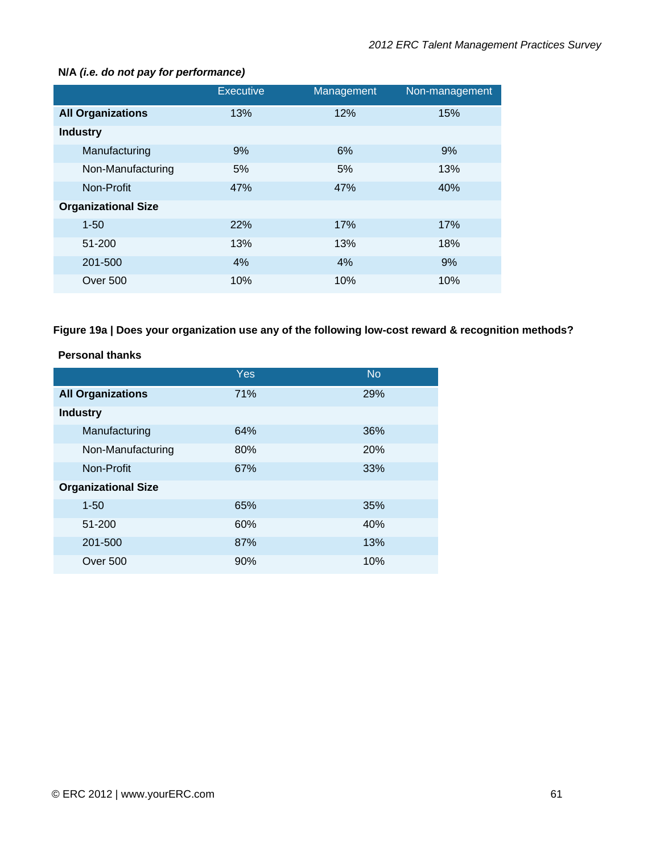|                            | <b>Executive</b> | Management | Non-management |
|----------------------------|------------------|------------|----------------|
| <b>All Organizations</b>   | 13%              | 12%        | 15%            |
| <b>Industry</b>            |                  |            |                |
| Manufacturing              | 9%               | 6%         | 9%             |
| Non-Manufacturing          | 5%               | 5%         | 13%            |
| Non-Profit                 | 47%              | 47%        | 40%            |
| <b>Organizational Size</b> |                  |            |                |
| $1 - 50$                   | 22%              | 17%        | 17%            |
| 51-200                     | 13%              | 13%        | 18%            |
| 201-500                    | 4%               | 4%         | 9%             |
| <b>Over 500</b>            | 10%              | 10%        | 10%            |

#### **N/A** *(i.e. do not pay for performance)*

# **Figure 19a | Does your organization use any of the following low-cost reward & recognition methods?**

#### **Personal thanks**

|                            | Yes | <b>No</b> |
|----------------------------|-----|-----------|
| <b>All Organizations</b>   | 71% | 29%       |
| <b>Industry</b>            |     |           |
| Manufacturing              | 64% | 36%       |
| Non-Manufacturing          | 80% | 20%       |
| Non-Profit                 | 67% | 33%       |
| <b>Organizational Size</b> |     |           |
| $1 - 50$                   | 65% | 35%       |
| 51-200                     | 60% | 40%       |
| 201-500                    | 87% | 13%       |
| Over 500                   | 90% | 10%       |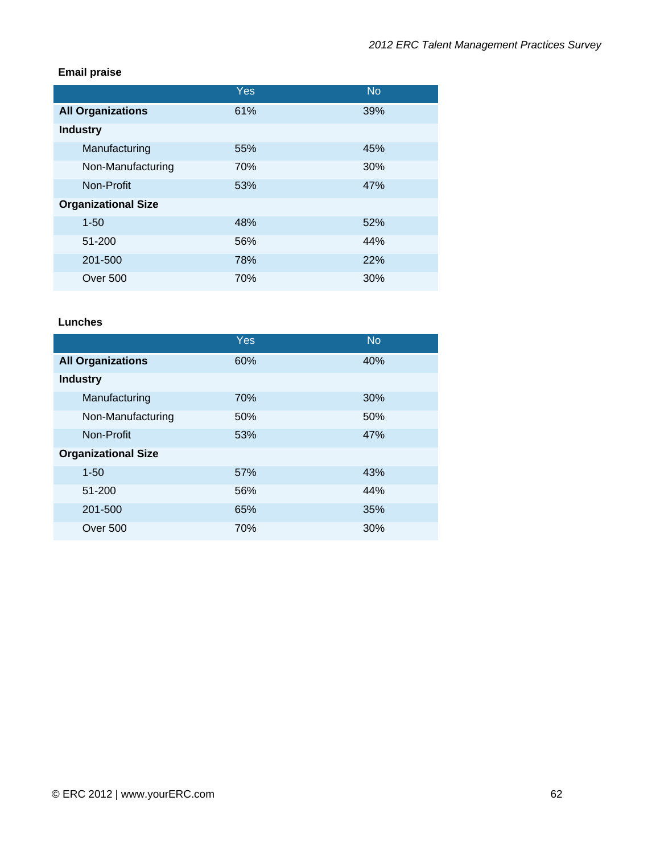## **Email praise**

|                            | Yes | <b>No</b> |
|----------------------------|-----|-----------|
| <b>All Organizations</b>   | 61% | 39%       |
| <b>Industry</b>            |     |           |
| Manufacturing              | 55% | 45%       |
| Non-Manufacturing          | 70% | 30%       |
| Non-Profit                 | 53% | 47%       |
| <b>Organizational Size</b> |     |           |
| $1 - 50$                   | 48% | 52%       |
| 51-200                     | 56% | 44%       |
| 201-500                    | 78% | 22%       |
| Over 500                   | 70% | 30%       |

#### **Lunches**

|                            | <b>Yes</b> | <b>No</b> |
|----------------------------|------------|-----------|
| <b>All Organizations</b>   | 60%        | 40%       |
| <b>Industry</b>            |            |           |
| Manufacturing              | 70%        | 30%       |
| Non-Manufacturing          | 50%        | 50%       |
| Non-Profit                 | 53%        | 47%       |
| <b>Organizational Size</b> |            |           |
| $1 - 50$                   | 57%        | 43%       |
| 51-200                     | 56%        | 44%       |
| 201-500                    | 65%        | 35%       |
| Over 500                   | 70%        | 30%       |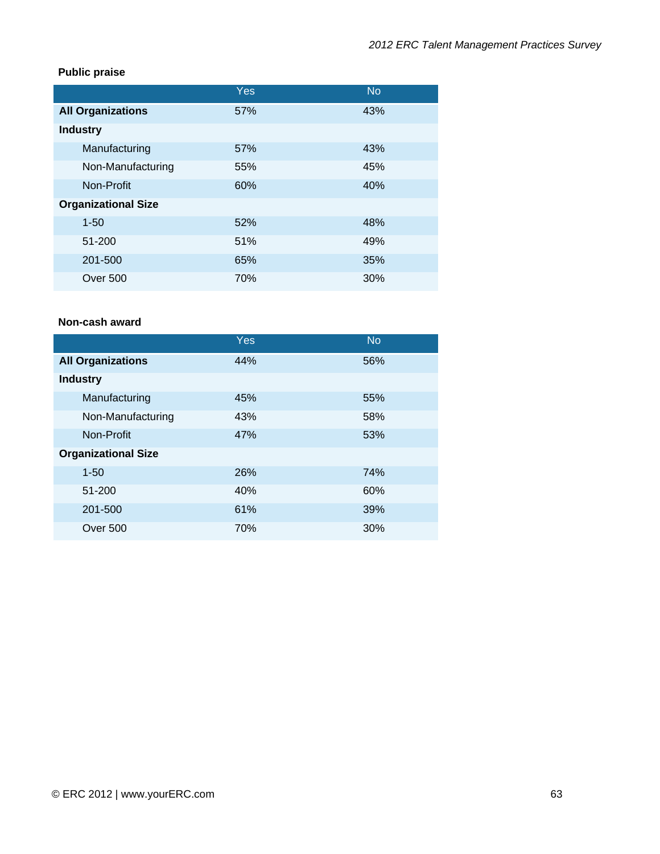## **Public praise**

|                            | Yes | <b>No</b> |
|----------------------------|-----|-----------|
| <b>All Organizations</b>   | 57% | 43%       |
| <b>Industry</b>            |     |           |
| Manufacturing              | 57% | 43%       |
| Non-Manufacturing          | 55% | 45%       |
| Non-Profit                 | 60% | 40%       |
| <b>Organizational Size</b> |     |           |
| $1 - 50$                   | 52% | 48%       |
| 51-200                     | 51% | 49%       |
| 201-500                    | 65% | 35%       |
| <b>Over 500</b>            | 70% | 30%       |

## **Non-cash award**

|                            | Yes | <b>No</b> |
|----------------------------|-----|-----------|
| <b>All Organizations</b>   | 44% | 56%       |
| <b>Industry</b>            |     |           |
| Manufacturing              | 45% | 55%       |
| Non-Manufacturing          | 43% | 58%       |
| Non-Profit                 | 47% | 53%       |
| <b>Organizational Size</b> |     |           |
| $1 - 50$                   | 26% | 74%       |
| 51-200                     | 40% | 60%       |
| 201-500                    | 61% | 39%       |
| Over 500                   | 70% | 30%       |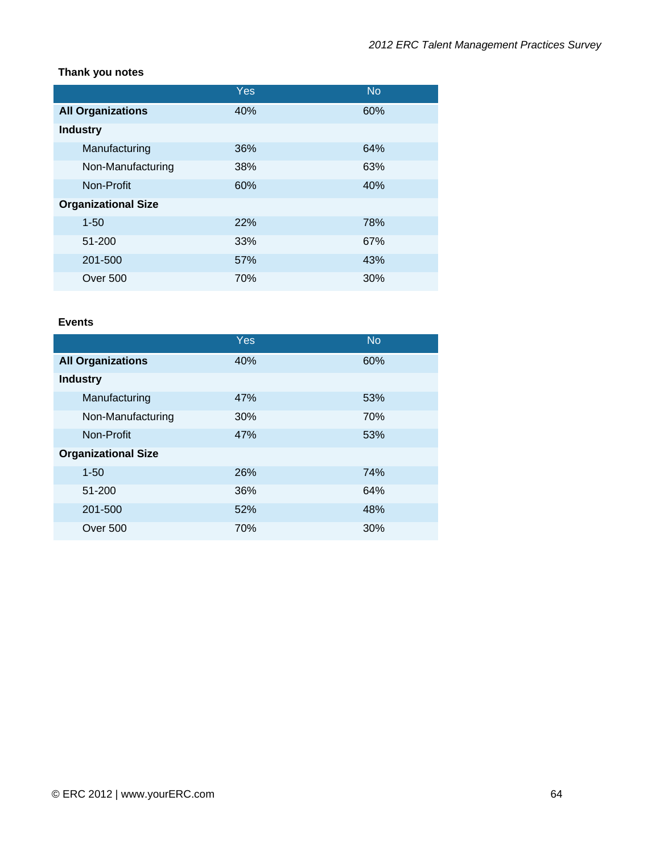## **Thank you notes**

|                            | Yes | <b>No</b> |
|----------------------------|-----|-----------|
| <b>All Organizations</b>   | 40% | 60%       |
| <b>Industry</b>            |     |           |
| Manufacturing              | 36% | 64%       |
| Non-Manufacturing          | 38% | 63%       |
| Non-Profit                 | 60% | 40%       |
| <b>Organizational Size</b> |     |           |
| $1 - 50$                   | 22% | 78%       |
| 51-200                     | 33% | 67%       |
| 201-500                    | 57% | 43%       |
| <b>Over 500</b>            | 70% | 30%       |

#### **Events**

|                            | <b>Yes</b> | <b>No</b> |
|----------------------------|------------|-----------|
| <b>All Organizations</b>   | 40%        | 60%       |
| <b>Industry</b>            |            |           |
| Manufacturing              | 47%        | 53%       |
| Non-Manufacturing          | 30%        | 70%       |
| Non-Profit                 | 47%        | 53%       |
| <b>Organizational Size</b> |            |           |
| $1 - 50$                   | 26%        | 74%       |
| 51-200                     | 36%        | 64%       |
| 201-500                    | 52%        | 48%       |
| Over 500                   | 70%        | 30%       |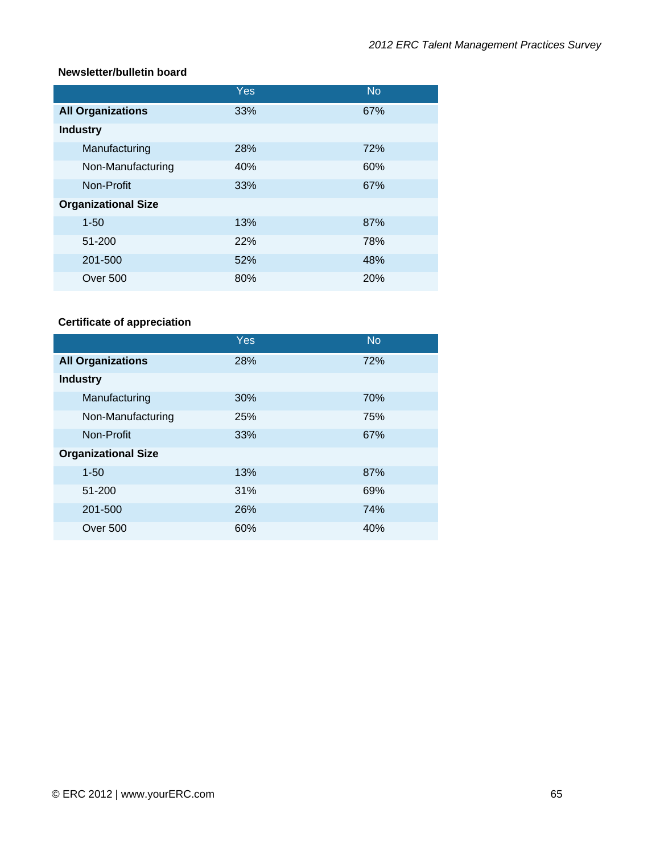#### **Newsletter/bulletin board**

|                            | Yes | <b>No</b> |
|----------------------------|-----|-----------|
| <b>All Organizations</b>   | 33% | 67%       |
| <b>Industry</b>            |     |           |
| Manufacturing              | 28% | 72%       |
| Non-Manufacturing          | 40% | 60%       |
| Non-Profit                 | 33% | 67%       |
| <b>Organizational Size</b> |     |           |
| $1 - 50$                   | 13% | 87%       |
| 51-200                     | 22% | 78%       |
| 201-500                    | 52% | 48%       |
| <b>Over 500</b>            | 80% | 20%       |

# **Certificate of appreciation**

|                            | <b>Yes</b> | <b>No</b> |
|----------------------------|------------|-----------|
| <b>All Organizations</b>   | 28%        | 72%       |
| <b>Industry</b>            |            |           |
| Manufacturing              | 30%        | 70%       |
| Non-Manufacturing          | 25%        | 75%       |
| Non-Profit                 | 33%        | 67%       |
| <b>Organizational Size</b> |            |           |
| $1 - 50$                   | 13%        | 87%       |
| 51-200                     | 31%        | 69%       |
| 201-500                    | 26%        | 74%       |
| Over 500                   | 60%        | 40%       |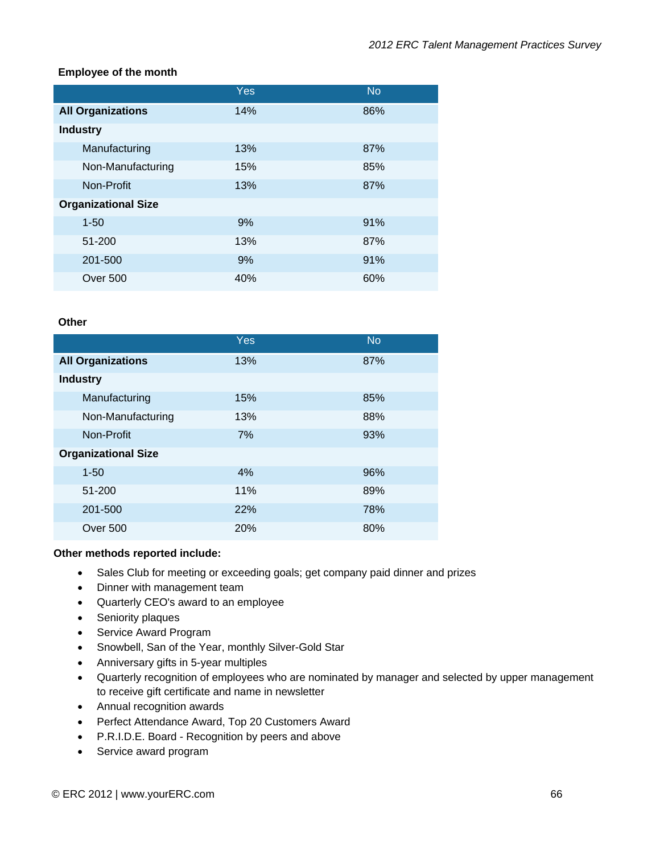#### **Employee of the month**

|                            | Yes | <b>No</b> |
|----------------------------|-----|-----------|
| <b>All Organizations</b>   | 14% | 86%       |
| <b>Industry</b>            |     |           |
| Manufacturing              | 13% | 87%       |
| Non-Manufacturing          | 15% | 85%       |
| Non-Profit                 | 13% | 87%       |
| <b>Organizational Size</b> |     |           |
| $1 - 50$                   | 9%  | 91%       |
| 51-200                     | 13% | 87%       |
| 201-500                    | 9%  | 91%       |
| Over 500                   | 40% | 60%       |

#### **Other**

|                            | Yes | <b>No</b> |
|----------------------------|-----|-----------|
| <b>All Organizations</b>   | 13% | 87%       |
| <b>Industry</b>            |     |           |
| Manufacturing              | 15% | 85%       |
| Non-Manufacturing          | 13% | 88%       |
| Non-Profit                 | 7%  | 93%       |
| <b>Organizational Size</b> |     |           |
| $1 - 50$                   | 4%  | 96%       |
| 51-200                     | 11% | 89%       |
| 201-500                    | 22% | 78%       |
| <b>Over 500</b>            | 20% | 80%       |

#### **Other methods reported include:**

- Sales Club for meeting or exceeding goals; get company paid dinner and prizes
- Dinner with management team
- Quarterly CEO's award to an employee
- Seniority plaques
- Service Award Program
- Snowbell, San of the Year, monthly Silver-Gold Star
- Anniversary gifts in 5-year multiples
- Quarterly recognition of employees who are nominated by manager and selected by upper management to receive gift certificate and name in newsletter
- Annual recognition awards
- Perfect Attendance Award, Top 20 Customers Award
- P.R.I.D.E. Board Recognition by peers and above
- Service award program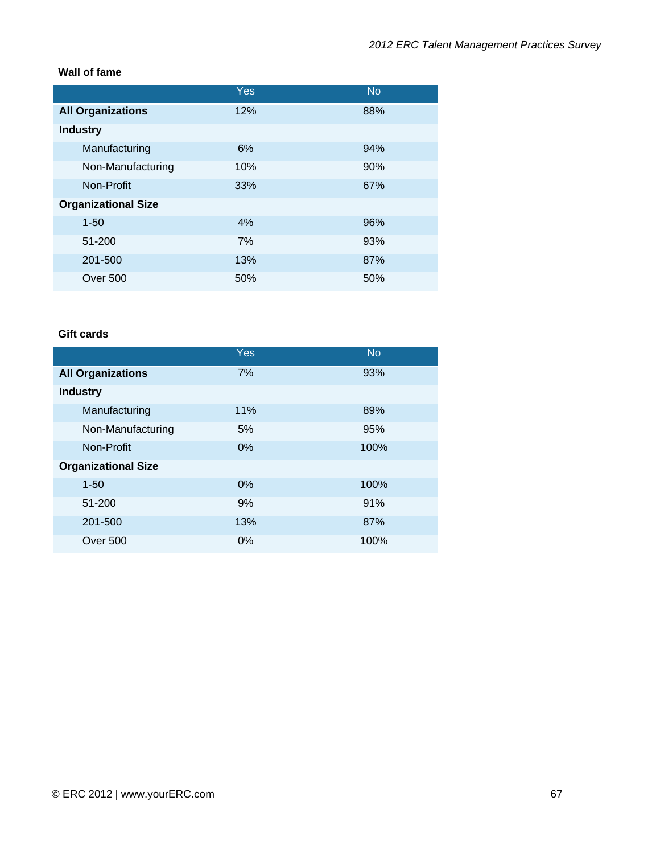## **Wall of fame**

|                            | Yes | <b>No</b> |
|----------------------------|-----|-----------|
| <b>All Organizations</b>   | 12% | 88%       |
| <b>Industry</b>            |     |           |
| Manufacturing              | 6%  | 94%       |
| Non-Manufacturing          | 10% | 90%       |
| Non-Profit                 | 33% | 67%       |
| <b>Organizational Size</b> |     |           |
| $1 - 50$                   | 4%  | 96%       |
| 51-200                     | 7%  | 93%       |
| 201-500                    | 13% | 87%       |
| Over 500                   | 50% | 50%       |

## **Gift cards**

|                            | Yes   | <b>No</b> |
|----------------------------|-------|-----------|
| <b>All Organizations</b>   | 7%    | 93%       |
| <b>Industry</b>            |       |           |
| Manufacturing              | 11%   | 89%       |
| Non-Manufacturing          | 5%    | 95%       |
| Non-Profit                 | 0%    | 100%      |
| <b>Organizational Size</b> |       |           |
| $1 - 50$                   | $0\%$ | 100%      |
| 51-200                     | 9%    | 91%       |
| 201-500                    | 13%   | 87%       |
| Over 500                   | 0%    | 100%      |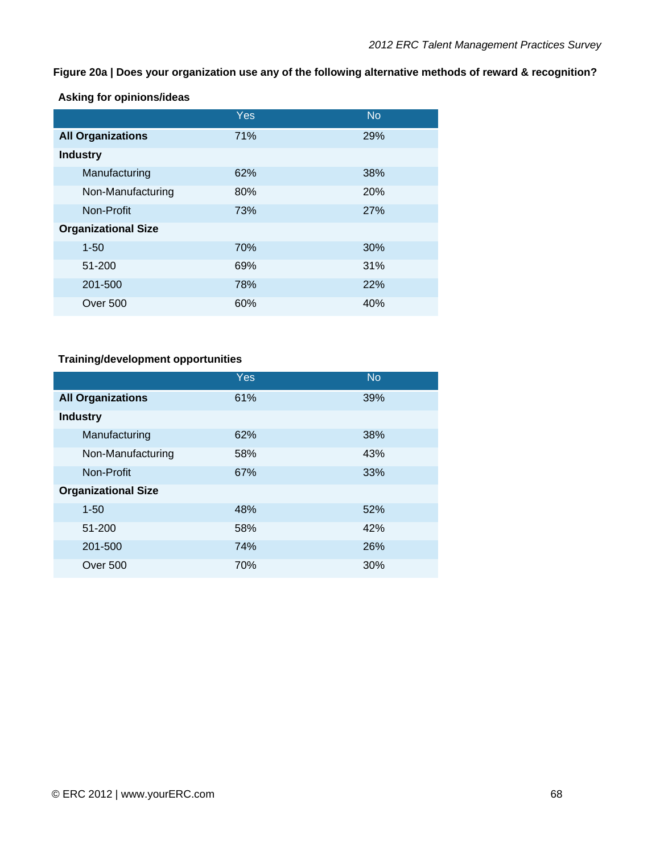## **Figure 20a | Does your organization use any of the following alternative methods of reward & recognition?**

**Asking for opinions/ideas** 

|                            | Yes | <b>No</b> |
|----------------------------|-----|-----------|
| <b>All Organizations</b>   | 71% | 29%       |
| <b>Industry</b>            |     |           |
| Manufacturing              | 62% | 38%       |
| Non-Manufacturing          | 80% | 20%       |
| Non-Profit                 | 73% | 27%       |
| <b>Organizational Size</b> |     |           |
| $1 - 50$                   | 70% | 30%       |
| 51-200                     | 69% | 31%       |
| 201-500                    | 78% | 22%       |
| <b>Over 500</b>            | 60% | 40%       |

# **Training/development opportunities**

|                            | Yes | <b>No</b> |
|----------------------------|-----|-----------|
| <b>All Organizations</b>   | 61% | 39%       |
| <b>Industry</b>            |     |           |
| Manufacturing              | 62% | 38%       |
| Non-Manufacturing          | 58% | 43%       |
| Non-Profit                 | 67% | 33%       |
| <b>Organizational Size</b> |     |           |
| $1 - 50$                   | 48% | 52%       |
| 51-200                     | 58% | 42%       |
| 201-500                    | 74% | 26%       |
| <b>Over 500</b>            | 70% | 30%       |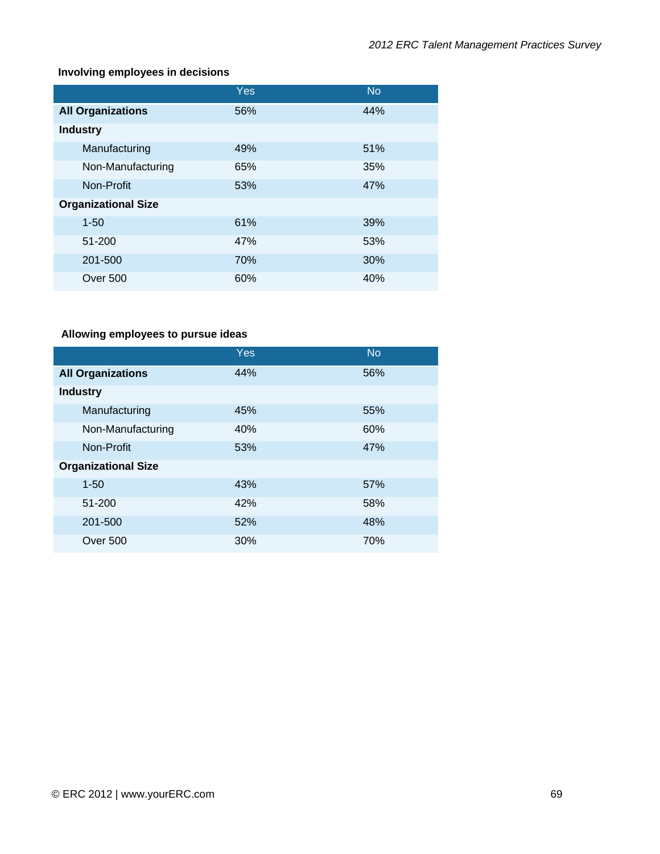# **Involving employees in decisions**

|                            | Yes | <b>No</b> |
|----------------------------|-----|-----------|
| <b>All Organizations</b>   | 56% | 44%       |
| <b>Industry</b>            |     |           |
| Manufacturing              | 49% | 51%       |
| Non-Manufacturing          | 65% | 35%       |
| Non-Profit                 | 53% | 47%       |
| <b>Organizational Size</b> |     |           |
| $1 - 50$                   | 61% | 39%       |
| 51-200                     | 47% | 53%       |
| 201-500                    | 70% | 30%       |
| Over 500                   | 60% | 40%       |

# **Allowing employees to pursue ideas**

|                            | Yes | <b>No</b> |
|----------------------------|-----|-----------|
| <b>All Organizations</b>   | 44% | 56%       |
| <b>Industry</b>            |     |           |
| Manufacturing              | 45% | 55%       |
| Non-Manufacturing          | 40% | 60%       |
| Non-Profit                 | 53% | 47%       |
| <b>Organizational Size</b> |     |           |
| $1 - 50$                   | 43% | 57%       |
| 51-200                     | 42% | 58%       |
| 201-500                    | 52% | 48%       |
| <b>Over 500</b>            | 30% | 70%       |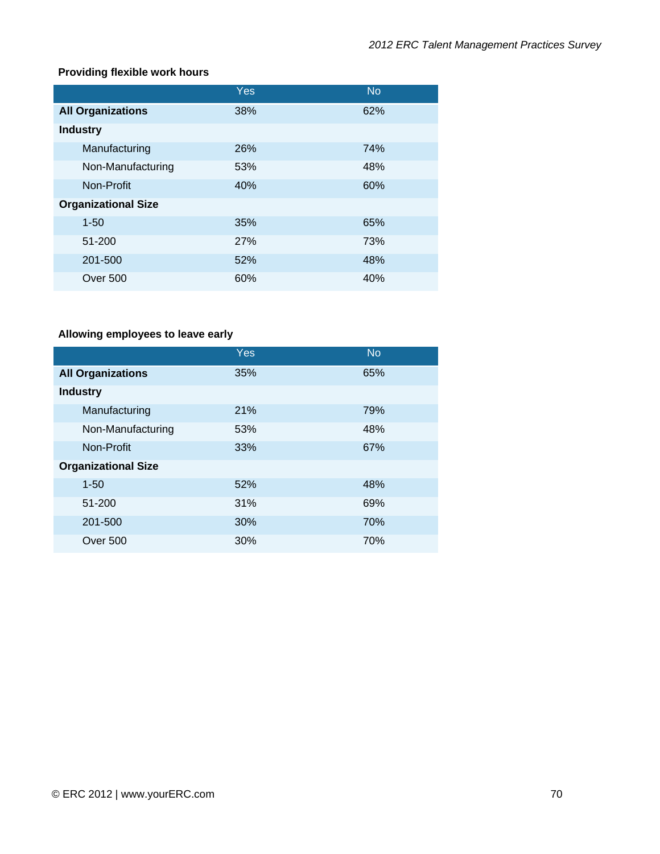# **Providing flexible work hours**

|                            | Yes        | <b>No</b> |
|----------------------------|------------|-----------|
| <b>All Organizations</b>   | 38%        | 62%       |
| <b>Industry</b>            |            |           |
| Manufacturing              | 26%        | 74%       |
| Non-Manufacturing          | 53%        | 48%       |
| Non-Profit                 | 40%        | 60%       |
| <b>Organizational Size</b> |            |           |
| $1 - 50$                   | 35%        | 65%       |
| 51-200                     | <b>27%</b> | 73%       |
| 201-500                    | 52%        | 48%       |
| <b>Over 500</b>            | 60%        | 40%       |

# **Allowing employees to leave early**

|                            | Yes | <b>No</b> |
|----------------------------|-----|-----------|
| <b>All Organizations</b>   | 35% | 65%       |
| <b>Industry</b>            |     |           |
| Manufacturing              | 21% | 79%       |
| Non-Manufacturing          | 53% | 48%       |
| Non-Profit                 | 33% | 67%       |
| <b>Organizational Size</b> |     |           |
| $1 - 50$                   | 52% | 48%       |
| 51-200                     | 31% | 69%       |
| 201-500                    | 30% | 70%       |
| <b>Over 500</b>            | 30% | 70%       |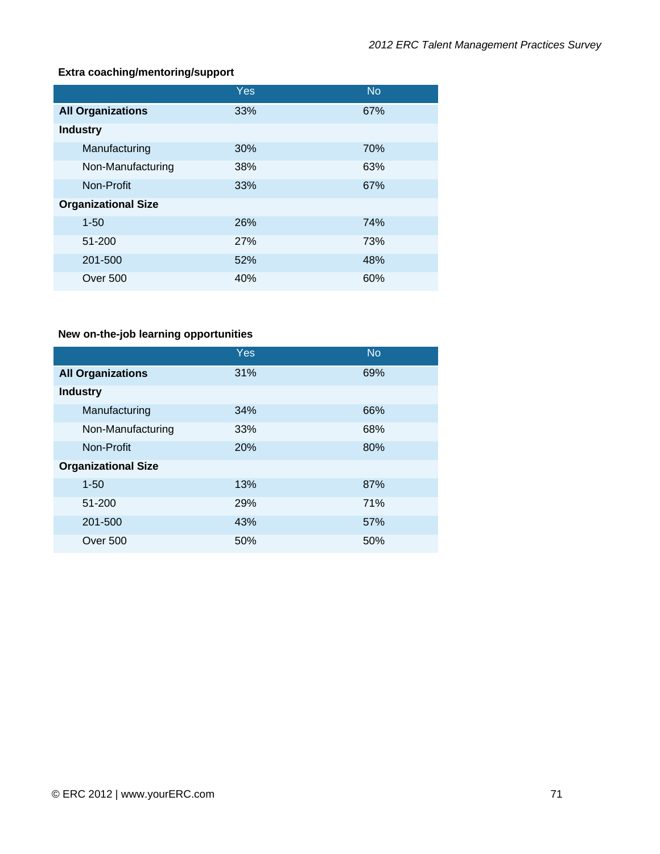# **Extra coaching/mentoring/support**

|                            | Yes | <b>No</b> |
|----------------------------|-----|-----------|
| <b>All Organizations</b>   | 33% | 67%       |
| <b>Industry</b>            |     |           |
| Manufacturing              | 30% | 70%       |
| Non-Manufacturing          | 38% | 63%       |
| Non-Profit                 | 33% | 67%       |
| <b>Organizational Size</b> |     |           |
| $1 - 50$                   | 26% | 74%       |
| 51-200                     | 27% | 73%       |
| 201-500                    | 52% | 48%       |
| Over 500                   | 40% | 60%       |

# **New on-the-job learning opportunities**

|                            | Yes | <b>No</b> |
|----------------------------|-----|-----------|
| <b>All Organizations</b>   | 31% | 69%       |
| <b>Industry</b>            |     |           |
| Manufacturing              | 34% | 66%       |
| Non-Manufacturing          | 33% | 68%       |
| Non-Profit                 | 20% | 80%       |
| <b>Organizational Size</b> |     |           |
| $1 - 50$                   | 13% | 87%       |
| 51-200                     | 29% | 71%       |
| 201-500                    | 43% | 57%       |
| <b>Over 500</b>            | 50% | 50%       |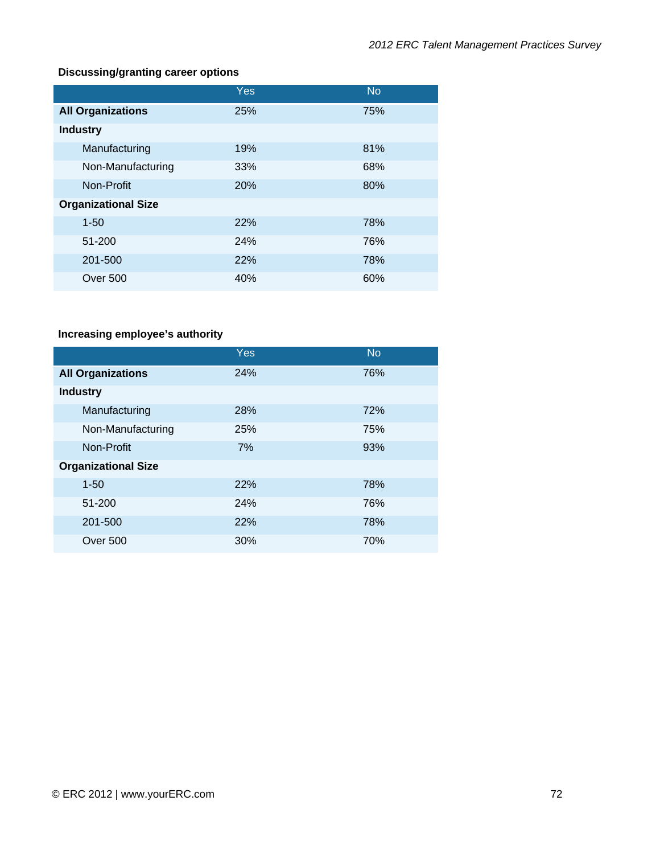### **Discussing/granting career options**

|                            | <b>Yes</b> | <b>No</b> |
|----------------------------|------------|-----------|
| <b>All Organizations</b>   | 25%        | 75%       |
| <b>Industry</b>            |            |           |
| Manufacturing              | 19%        | 81%       |
| Non-Manufacturing          | 33%        | 68%       |
| Non-Profit                 | 20%        | 80%       |
| <b>Organizational Size</b> |            |           |
| $1 - 50$                   | 22%        | 78%       |
| 51-200                     | 24%        | 76%       |
| 201-500                    | 22%        | 78%       |
| Over 500                   | 40%        | 60%       |

## **Increasing employee's authority**

|                            | Yes | <b>No</b> |
|----------------------------|-----|-----------|
| <b>All Organizations</b>   | 24% | 76%       |
| <b>Industry</b>            |     |           |
| Manufacturing              | 28% | 72%       |
| Non-Manufacturing          | 25% | 75%       |
| Non-Profit                 | 7%  | 93%       |
| <b>Organizational Size</b> |     |           |
| $1 - 50$                   | 22% | 78%       |
| 51-200                     | 24% | 76%       |
| 201-500                    | 22% | 78%       |
| <b>Over 500</b>            | 30% | 70%       |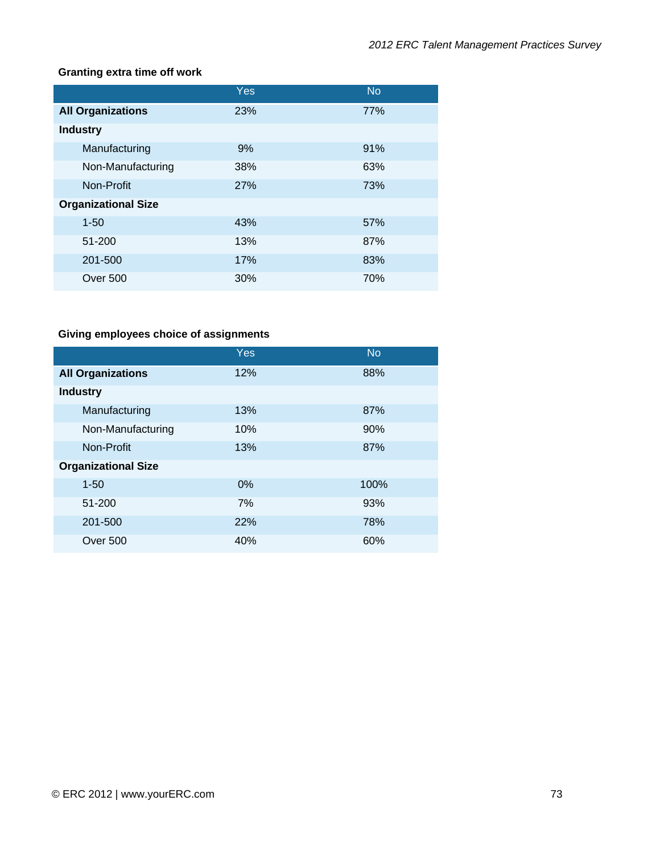#### **Granting extra time off work**

|                            | Yes        | <b>No</b> |
|----------------------------|------------|-----------|
| <b>All Organizations</b>   | 23%        | 77%       |
| <b>Industry</b>            |            |           |
| Manufacturing              | 9%         | 91%       |
| Non-Manufacturing          | 38%        | 63%       |
| Non-Profit                 | <b>27%</b> | 73%       |
| <b>Organizational Size</b> |            |           |
| $1 - 50$                   | 43%        | 57%       |
| 51-200                     | 13%        | 87%       |
| 201-500                    | 17%        | 83%       |
| <b>Over 500</b>            | 30%        | 70%       |

## **Giving employees choice of assignments**

|                            | Yes | <b>No</b> |
|----------------------------|-----|-----------|
| <b>All Organizations</b>   | 12% | 88%       |
| <b>Industry</b>            |     |           |
| Manufacturing              | 13% | 87%       |
| Non-Manufacturing          | 10% | 90%       |
| Non-Profit                 | 13% | 87%       |
| <b>Organizational Size</b> |     |           |
| $1 - 50$                   | 0%  | 100%      |
| 51-200                     | 7%  | 93%       |
| 201-500                    | 22% | 78%       |
| Over 500                   | 40% | 60%       |